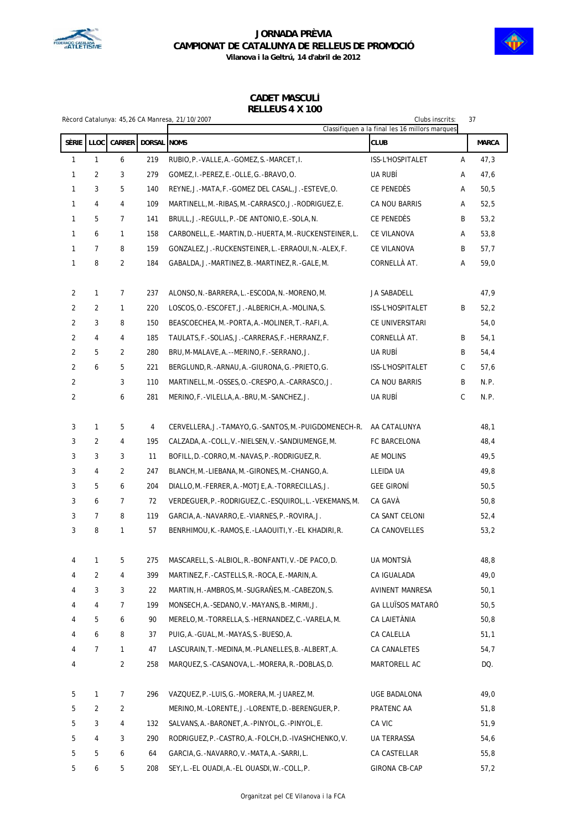



**Vilanova i la Geltrú, 14 d'abril de 2012**

### **CADET MASCULÍ RELLEUS 4 X 100**

|                |                |                |             | Rècord Catalunya: 45,26 CA Manresa, 21/10/2007           | 37<br>Clubs inscrits:<br>Classifiquen a la final les 16 millors marques |              |              |
|----------------|----------------|----------------|-------------|----------------------------------------------------------|-------------------------------------------------------------------------|--------------|--------------|
| SÈRIE          | LLOC           | CARRER         | DORSAL NOMS |                                                          | <b>CLUB</b>                                                             |              | <b>MARCA</b> |
| 1              | $\mathbf{1}$   | 6              | 219         | RUBIO, P. - VALLE, A. - GOMEZ, S. - MARCET, I.           | ISS-L'HOSPITALET                                                        | Α            | 47,3         |
| 1              | 2              | 3              | 279         | GOMEZ, I.-PEREZ, E.-OLLE, G.-BRAVO, O.                   | UA RUBÍ                                                                 | Α            | 47,6         |
| 1              | 3              | 5              | 140         | REYNE, J.-MATA, F.-GOMEZ DEL CASAL, J.-ESTEVE, O.        | CE PENEDÈS                                                              | Α            | 50,5         |
| 1              | 4              | 4              | 109         | MARTINELL, M.-RIBAS, M.-CARRASCO, J.-RODRIGUEZ, E.       | CA NOU BARRIS                                                           | Α            | 52,5         |
| 1              | 5              | $\overline{7}$ | 141         | BRULL, J.-REGULL, P.-DE ANTONIO, E.-SOLA, N.             | CE PENEDÈS                                                              | B            | 53,2         |
| 1              | 6              | $\mathbf{1}$   | 158         | CARBONELL, E. -MARTIN, D. -HUERTA, M. -RUCKENSTEINER, L. | CE VILANOVA                                                             | Α            | 53,8         |
| 1              | $\overline{7}$ | 8              | 159         | GONZALEZ, J.-RUCKENSTEINER, L.-ERRAOUI, N.-ALEX, F.      | CE VILANOVA                                                             | В            | 57,7         |
| 1              | 8              | $\overline{2}$ | 184         | GABALDA, J.-MARTINEZ, B.-MARTINEZ, R.-GALE, M.           | CORNELLÀ AT.                                                            | Α            | 59,0         |
| 2              | 1              | 7              | 237         | ALONSO, N. - BARRERA, L. - ESCODA, N. - MORENO, M.       | JA SABADELL                                                             |              | 47,9         |
| 2              | 2              | 1              | 220         | LOSCOS, O. - ESCOFET, J. - ALBERICH, A. - MOLINA, S.     | ISS-L'HOSPITALET                                                        | В            | 52,2         |
| 2              | 3              | 8              | 150         | BEASCOECHEA, M. - PORTA, A. - MOLINER, T. - RAFI, A.     | CE UNIVERSITARI                                                         |              | 54,0         |
| 2              | 4              | 4              | 185         | TAULATS, F. - SOLIAS, J. - CARRERAS, F. - HERRANZ, F.    | CORNELLÀ AT.                                                            | В            | 54,1         |
| 2              | 5              | 2              | 280         | BRU, M-MALAVE, A. --MERINO, F. -SERRANO, J.              | UA RUBÍ                                                                 | B            | 54,4         |
| $\overline{2}$ | 6              | 5              | 221         | BERGLUND, R. - ARNAU, A. - GIURONA, G. - PRIETO, G.      | ISS-L'HOSPITALET                                                        | C            | 57,6         |
| $\overline{2}$ |                | 3              | 110         | MARTINELL, M.-OSSES, O.-CRESPO, A.-CARRASCO, J.          | CA NOU BARRIS                                                           | B            | N.P.         |
| $\overline{2}$ |                | 6              | 281         | MERINO, F. - VILELLA, A. - BRU, M. - SANCHEZ, J.         | UA RUBÍ                                                                 | $\mathsf{C}$ | N.P.         |
| 3              | 1              | 5              | 4           | CERVELLERA, J.-TAMAYO, G.-SANTOS, M.-PUIGDOMENECH-R.     | AA CATALUNYA                                                            |              | 48,1         |
| 3              | 2              | 4              | 195         | CALZADA, A. - COLL, V. - NIELSEN, V. - SANDIUMENGE, M.   | FC BARCELONA                                                            |              | 48,4         |
| 3              | 3              | 3              | 11          | BOFILL, D. -CORRO, M. -NAVAS, P. -RODRIGUEZ, R.          | AE MOLINS                                                               |              | 49,5         |
| 3              | 4              | $\overline{2}$ | 247         | BLANCH, M. -LIEBANA, M. -GIRONES, M. -CHANGO, A.         | LLEIDA UA                                                               |              | 49,8         |
| 3              | 5              | 6              | 204         | DIALLO, M. - FERRER, A. - MOTJE, A. - TORRECILLAS, J.    | <b>GEE GIRONI</b>                                                       |              | 50,5         |
| 3              | 6              | $\overline{7}$ | 72          | VERDEGUER, P.-RODRIGUEZ, C.-ESQUIROL, L.-VEKEMANS, M.    | CA GAVÀ                                                                 |              | 50, 8        |
| 3              | 7              | 8              | 119         | GARCIA, A.-NAVARRO, E.-VIARNES, P.-ROVIRA, J.            | CA SANT CELONI                                                          |              | 52,4         |
| 3              | 8              | $\mathbf{1}$   | 57          | BENRHIMOU, K.-RAMOS, E.-LAAOUITI, Y.-EL KHADIRI, R.      | CA CANOVELLES                                                           |              | 53,2         |
| 4              |                | 5              | 275         | MASCARELL, S.-ALBIOL, R.-BONFANTI, V.-DE PACO, D.        | UA MONTSIÀ                                                              |              | 48,8         |
| 4              | 2              | 4              | 399         | MARTINEZ, F. - CASTELLS, R. - ROCA, E. - MARIN, A.       | CA IGUALADA                                                             |              | 49,0         |
| 4              | 3              | $\mathbf{3}$   | 22          | MARTIN, H.-AMBROS, M.-SUGRAÑES, M.-CABEZON, S.           | AVINENT MANRESA                                                         |              | 50,1         |
| 4              | 4              | 7              | 199         | MONSECH, A.-SEDANO, V.-MAYANS, B.-MIRMI, J.              | <b>GA LLUÏSOS MATARÓ</b>                                                |              | 50, 5        |
| 4              | 5              | 6              | 90          | MERELO, M. - TORRELLA, S. - HERNANDEZ, C. - VARELA, M.   | CA LAIETÀNIA                                                            |              | 50, 8        |
| 4              | 6              | 8              | 37          | PUIG, A. - GUAL, M. - MAYAS, S. - BUESO, A.              | CA CALELLA                                                              |              | 51,1         |
| 4              | 7              | $\mathbf{1}$   | 47          | LASCURAIN, T. - MEDINA, M. - PLANELLES, B. - ALBERT, A.  | CA CANALETES                                                            |              | 54,7         |
| 4              |                | $\overline{2}$ | 258         | MARQUEZ, S.-CASANOVA, L.-MORERA, R.-DOBLAS, D.           | MARTORELL AC                                                            |              | DQ.          |
| 5              | 1              | 7              | 296         | VAZQUEZ, P. - LUIS, G. - MORERA, M. - JUAREZ, M.         | UGE BADALONA                                                            |              | 49,0         |
| 5              | $\overline{2}$ | $\overline{2}$ |             | MERINO,M.-LORENTE,J.-LORENTE,D.-BERENGUER,P.             | PRATENC AA                                                              |              | 51,8         |
| 5              | 3              | 4              | 132         | SALVANS, A. - BARONET, A. - PINYOL, G. - PINYOL, E.      | CA VIC                                                                  |              | 51,9         |
| 5              | 4              | 3              | 290         | RODRIGUEZ, P.-CASTRO, A.-FOLCH, D.-IVASHCHENKO, V.       | UA TERRASSA                                                             |              | 54,6         |
| 5              | 5              | 6              | 64          | GARCIA, G. - NAVARRO, V. - MATA, A. - SARRI, L.          | CA CASTELLAR                                                            |              | 55,8         |
| 5              | 6              | 5              | 208         | SEY, L.-EL OUADI, A.-EL OUASDI, W.-COLL, P.              | GIRONA CB-CAP                                                           |              | 57,2         |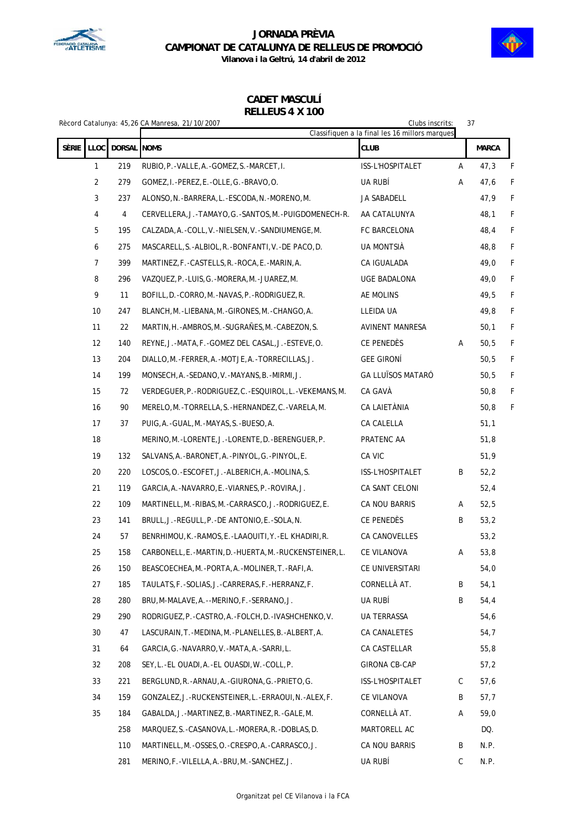



**Vilanova i la Geltrú, 14 d'abril de 2012**

### **CADET MASCULÍ RELLEUS 4 X 100**

|  |                                     |     | Rècord Catalunya: 45,26 CA Manresa, 21/10/2007              | Clubs inscrits:                                               |   | 37           |   |  |
|--|-------------------------------------|-----|-------------------------------------------------------------|---------------------------------------------------------------|---|--------------|---|--|
|  | SÈRIE<br><b>LLOC</b><br>DORSAL NOMS |     |                                                             | Classifiquen a la final les 16 millors marques<br><b>CLUB</b> |   | <b>MARCA</b> |   |  |
|  | $\mathbf{1}$                        | 219 | RUBIO, P. - VALLE, A. - GOMEZ, S. - MARCET, I.              | ISS-L'HOSPITALET                                              | Α | 47,3         | F |  |
|  | $\overline{2}$                      | 279 | GOMEZ, I.-PEREZ, E.-OLLE, G.-BRAVO, O.                      | UA RUBÍ                                                       | Α | 47,6         | F |  |
|  | 3                                   | 237 | ALONSO, N. -BARRERA, L. -ESCODA, N. -MORENO, M.             | JA SABADELL                                                   |   | 47,9         | F |  |
|  | 4                                   | 4   | CERVELLERA, J.-TAMAYO, G.-SANTOS, M.-PUIGDOMENECH-R.        | AA CATALUNYA                                                  |   | 48,1         | F |  |
|  | 5                                   | 195 | CALZADA, A. - COLL, V. - NIELSEN, V. - SANDIUMENGE, M.      | FC BARCELONA                                                  |   | 48,4         | F |  |
|  | 6                                   | 275 | MASCARELL, S.-ALBIOL, R.-BONFANTI, V.-DE PACO, D.           | UA MONTSIÀ                                                    |   | 48,8         | F |  |
|  | 7                                   | 399 | MARTINEZ, F. - CASTELLS, R. - ROCA, E. - MARIN, A.          | CA IGUALADA                                                   |   | 49,0         | F |  |
|  | 8                                   | 296 | VAZQUEZ, P. - LUIS, G. - MORERA, M. - JUAREZ, M.            | UGE BADALONA                                                  |   | 49,0         | F |  |
|  | 9                                   | 11  | BOFILL, D. -CORRO, M. -NAVAS, P. -RODRIGUEZ, R.             | AE MOLINS                                                     |   | 49,5         | F |  |
|  | 10                                  | 247 | BLANCH, M. -LIEBANA, M. -GIRONES, M. -CHANGO, A.            | LLEIDA UA                                                     |   | 49,8         | F |  |
|  | 11                                  | 22  | MARTIN, H.-AMBROS, M.-SUGRANES, M.-CABEZON, S.              | AVINENT MANRESA                                               |   | 50,1         | F |  |
|  | 12                                  | 140 | REYNE, J.-MATA, F.-GOMEZ DEL CASAL, J.-ESTEVE, O.           | CE PENEDÈS                                                    | Α | 50,5         | F |  |
|  | 13                                  | 204 | DIALLO, M. -FERRER, A. -MOTJE, A. -TORRECILLAS, J.          | <b>GEE GIRONÍ</b>                                             |   | 50,5         | F |  |
|  | 14                                  | 199 | MONSECH, A.-SEDANO, V.-MAYANS, B.-MIRMI, J.                 | <b>GA LLUÏSOS MATARÓ</b>                                      |   | 50,5         | F |  |
|  | 15                                  | 72  | VERDEGUER, P. - RODRIGUEZ, C. - ESQUIROL, L. - VEKEMANS, M. | CA GAVÀ                                                       |   | 50, 8        | F |  |
|  | 16                                  | 90  | MERELO, M. - TORRELLA, S. - HERNANDEZ, C. - VARELA, M.      | CA LAIETÀNIA                                                  |   | 50, 8        | F |  |
|  | 17                                  | 37  | PUIG, A.-GUAL, M.-MAYAS, S.-BUESO, A.                       | CA CALELLA                                                    |   | 51,1         |   |  |
|  | 18                                  |     | MERINO, M. - LORENTE, J. - LORENTE, D. - BERENGUER, P.      | PRATENC AA                                                    |   | 51,8         |   |  |
|  | 19                                  | 132 | SALVANS, A. - BARONET, A. - PINYOL, G. - PINYOL, E.         | CA VIC                                                        |   | 51,9         |   |  |
|  | 20                                  | 220 | LOSCOS, O. - ESCOFET, J. - ALBERICH, A. - MOLINA, S.        | ISS-L'HOSPITALET                                              | B | 52,2         |   |  |
|  | 21                                  | 119 | GARCIA, A. -NAVARRO, E. -VIARNES, P. -ROVIRA, J.            | CA SANT CELONI                                                |   | 52,4         |   |  |
|  | 22                                  | 109 | MARTINELL, M.-RIBAS, M.-CARRASCO, J.-RODRIGUEZ, E.          | CA NOU BARRIS                                                 | Α | 52,5         |   |  |
|  | 23                                  | 141 | BRULL, J.-REGULL, P.-DE ANTONIO, E.-SOLA, N.                | CE PENEDÈS                                                    | B | 53,2         |   |  |
|  | 24                                  | 57  | BENRHIMOU, K.-RAMOS, E.-LAAOUITI, Y.-EL KHADIRI, R.         | CA CANOVELLES                                                 |   | 53,2         |   |  |
|  | 25                                  | 158 | CARBONELL, E.-MARTIN, D.-HUERTA, M.-RUCKENSTEINER, L.       | CE VILANOVA                                                   | А | 53,8         |   |  |
|  | 26                                  | 150 | BEASCOECHEA, M. - PORTA, A. - MOLINER, T. - RAFI, A.        | CE UNIVERSITARI                                               |   | 54,0         |   |  |
|  | 27                                  | 185 | TAULATS, F. - SOLIAS, J. - CARRERAS, F. - HERRANZ, F.       | CORNELLÀ AT.                                                  | B | 54,1         |   |  |
|  | 28                                  | 280 | BRU, M-MALAVE, A. --MERINO, F. -SERRANO, J.                 | ua rubí                                                       | B | 54,4         |   |  |
|  | 29                                  | 290 | RODRIGUEZ, P. - CASTRO, A. - FOLCH, D. - IVASHCHENKO, V.    | UA TERRASSA                                                   |   | 54,6         |   |  |
|  | 30                                  | 47  | LASCURAIN, T. - MEDINA, M. - PLANELLES, B. - ALBERT, A.     | CA CANALETES                                                  |   | 54,7         |   |  |
|  | 31                                  | 64  | GARCIA, G.-NAVARRO, V.-MATA, A.-SARRI, L.                   | CA CASTELLAR                                                  |   | 55,8         |   |  |
|  | 32                                  | 208 | SEY, L.-EL OUADI, A.-EL OUASDI, W.-COLL, P.                 | <b>GIRONA CB-CAP</b>                                          |   | 57,2         |   |  |
|  | 33                                  | 221 | BERGLUND, R.-ARNAU, A.-GIURONA, G.-PRIETO, G.               | ISS-L'HOSPITALET                                              | C | 57,6         |   |  |
|  | 34                                  | 159 | GONZALEZ, J.-RUCKENSTEINER, L.-ERRAOUI, N.-ALEX, F.         | CE VILANOVA                                                   | B | 57,7         |   |  |
|  | 35                                  | 184 | GABALDA, J. - MARTINEZ, B. - MARTINEZ, R. - GALE, M.        | CORNELLÀ AT.                                                  | Α | 59,0         |   |  |
|  |                                     | 258 | MARQUEZ,S.-CASANOVA,L.-MORERA,R.-DOBLAS,D.                  | MARTORELL AC                                                  |   | DQ.          |   |  |
|  |                                     | 110 | MARTINELL, M.-OSSES, O.-CRESPO, A.-CARRASCO, J.             | CA NOU BARRIS                                                 | B | N.P.         |   |  |
|  |                                     | 281 | MERINO, F. - VILELLA, A. - BRU, M. - SANCHEZ, J.            | ua rubí                                                       | C | N.P.         |   |  |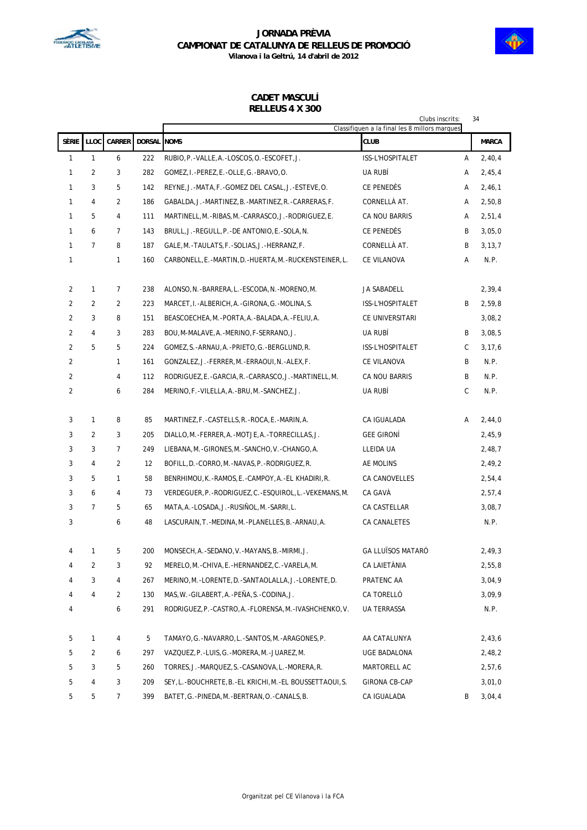



### **CADET MASCULÍ RELLEUS 4 X 300**

|                |                |                 |               |                                                             | Clubs inscrits:<br>Classifiquen a la final les 8 millors marques |   | 34           |
|----------------|----------------|-----------------|---------------|-------------------------------------------------------------|------------------------------------------------------------------|---|--------------|
| SÈRIE          | LLOC           | <b>CARRER</b>   | <b>DORSAL</b> | <b>NOMS</b>                                                 | <b>CLUB</b>                                                      |   | <b>MARCA</b> |
| $\mathbf{1}$   | $\mathbf{1}$   | 6               | 222           | RUBIO, P. - VALLE, A. - LOSCOS, O. - ESCOFET, J.            | ISS-L'HOSPITALET                                                 | Α | 2,40,4       |
| 1              | $\overline{2}$ | 3               | 282           | GOMEZ, I.-PEREZ, E.-OLLE, G.-BRAVO, O.                      | UA RUBÍ                                                          | Α | 2,45,4       |
| 1              | 3              | 5               | 142           | REYNE, J.-MATA, F.-GOMEZ DEL CASAL, J.-ESTEVE, O.           | CE PENEDÈS                                                       | Α | 2,46,1       |
| 1              | 4              | $\overline{2}$  | 186           | GABALDA, J.-MARTINEZ, B.-MARTINEZ, R.-CARRERAS, F.          | CORNELLÀ AT.                                                     | Α | 2,50,8       |
| 1              | 5              | 4               | 111           | MARTINELL, M.-RIBAS, M.-CARRASCO, J.-RODRIGUEZ, E.          | CA NOU BARRIS                                                    | Α | 2,51,4       |
| 1              | 6              | $\overline{7}$  | 143           | BRULL, J. - REGULL, P. - DE ANTONIO, E. - SOLA, N.          | CE PENEDÈS                                                       | B | 3,05,0       |
| $\mathbf{1}$   | $\overline{7}$ | 8               | 187           | GALE, M. - TAULATS, F. - SOLIAS, J. - HERRANZ, F.           | CORNELLÀ AT.                                                     | B | 3, 13, 7     |
| 1              |                | 1               | 160           | CARBONELL, E. -MARTIN, D. -HUERTA, M. -RUCKENSTEINER, L.    | CE VILANOVA                                                      | A | N.P.         |
|                |                |                 |               |                                                             |                                                                  |   |              |
| $\overline{2}$ | $\mathbf{1}$   | 7               | 238           | ALONSO, N. - BARRERA, L. - ESCODA, N. - MORENO, M.          | JA SABADELL                                                      |   | 2,39,4       |
| $\overline{2}$ | 2              | $\overline{2}$  | 223           | MARCET, I. - ALBERICH, A. - GIRONA, G. - MOLINA, S.         | ISS-L'HOSPITALET                                                 | B | 2,59,8       |
| $\overline{2}$ | 3              | 8               | 151           | BEASCOECHEA, M. - PORTA, A. - BALADA, A. - FELIU, A.        | CE UNIVERSITARI                                                  |   | 3,08,2       |
| $\overline{2}$ | 4              | 3               | 283           | BOU, M-MALAVE, A. - MERINO, F-SERRANO, J.                   | UA RUBÍ                                                          | В | 3,08,5       |
| $\overline{2}$ | 5              | 5               | 224           | GOMEZ, S.-ARNAU, A.-PRIETO, G.-BERGLUND, R.                 | ISS-L'HOSPITALET                                                 | C | 3, 17, 6     |
| 2              |                | 1               | 161           | GONZALEZ, J. -FERRER, M. -ERRAOUI, N. -ALEX, F.             | CE VILANOVA                                                      | B | N.P.         |
| 2              |                | 4               | 112           | RODRIGUEZ, E.-GARCIA, R.-CARRASCO, J.-MARTINELL, M.         | CA NOU BARRIS                                                    | B | N.P.         |
| 2              |                | 6               | 284           | MERINO, F. - VILELLA, A. - BRU, M. - SANCHEZ, J.            | UA RUBÍ                                                          | C | N.P.         |
|                |                |                 |               |                                                             |                                                                  |   |              |
| 3              | 1              | 8               | 85            | MARTINEZ, F. - CASTELLS, R. - ROCA, E. - MARIN, A.          | CA IGUALADA                                                      | A | 2,44,0       |
| 3              | $\overline{2}$ | 3               | 205           | DIALLO, M. -FERRER, A. -MOTJE, A. -TORRECILLAS, J.          | <b>GEE GIRONÍ</b>                                                |   | 2,45,9       |
| 3              | 3              | $7\overline{ }$ | 249           | LIEBANA, M. - GIRONES, M. - SANCHO, V. - CHANGO, A.         | LLEIDA UA                                                        |   | 2,48,7       |
| 3              | 4              | 2               | 12            | BOFILL, D. -CORRO, M. -NAVAS, P. - RODRIGUEZ, R.            | AE MOLINS                                                        |   | 2,49,2       |
| 3              | 5              | 1               | 58            | BENRHIMOU, K.-RAMOS, E.-CAMPOY, A.-EL KHADIRI, R.           | CA CANOVELLES                                                    |   | 2,54,4       |
| 3              | 6              | 4               | 73            | VERDEGUER, P. - RODRIGUEZ, C. - ESQUIROL, L. - VEKEMANS, M. | CA GAVÀ                                                          |   | 2,57,4       |
| 3              | $\overline{7}$ | 5               | 65            | MATA, A. - LOSADA, J. - RUSIÑOL, M. - SARRI, L.             | CA CASTELLAR                                                     |   | 3,08,7       |
| 3              |                | 6               | 48            | LASCURAIN, T. -MEDINA, M. -PLANELLES, B. -ARNAU, A.         | CA CANALETES                                                     |   | N.P.         |
|                |                |                 |               |                                                             |                                                                  |   |              |
| 4              | 1              | 5               | 200           | MONSECH, A.-SEDANO, V.-MAYANS, B.-MIRMI, J.                 | <b>GA LLUÏSOS MATARÓ</b>                                         |   | 2,49,3       |
| 4              | 2              | 3               | 92            | MERELO, M. - CHIVA, E. - HERNANDEZ, C. - VARELA, M.         | CA LAIETÀNIA                                                     |   | 2,55,8       |
| 4              | 3              | 4               | 267           | MERINO, M. - LORENTE, D. - SANTAOLALLA, J. - LORENTE, D.    | PRATENC AA                                                       |   | 3,04,9       |
| 4              | 4              | 2               | 130           | MAS, W. - GILABERT, A. - PEÑA, S. - CODINA, J.              | CA TORELLO                                                       |   | 3,09,9       |
| 4              |                | 6               | 291           | RODRIGUEZ, P. - CASTRO, A. - FLORENSA, M. - IVASHCHENKO, V. | UA TERRASSA                                                      |   | N.P.         |
| 5              | 1              | 4               | 5             | TAMAYO, G. -NAVARRO, L. -SANTOS, M. -ARAGONES, P.           | AA CATALUNYA                                                     |   | 2,43,6       |
| 5              | 2              | 6               | 297           | VAZQUEZ, P.-LUIS, G.-MORERA, M.-JUAREZ, M.                  | UGE BADALONA                                                     |   | 2,48,2       |
| 5              | 3              | 5               | 260           | TORRES, J.-MARQUEZ, S.-CASANOVA, L.-MORERA, R.              | MARTORELL AC                                                     |   | 2,57,6       |
| 5              | 4              | 3               | 209           | SEY, L.-BOUCHRETE, B.-EL KRICHI, M.-EL BOUSSETTAOUI, S.     | <b>GIRONA CB-CAP</b>                                             |   | 3,01,0       |
| 5              | 5              | 7               | 399           | BATET, G. -PINEDA, M. -BERTRAN, O. -CANALS, B.              | CA IGUALADA                                                      | Β | 3,04,4       |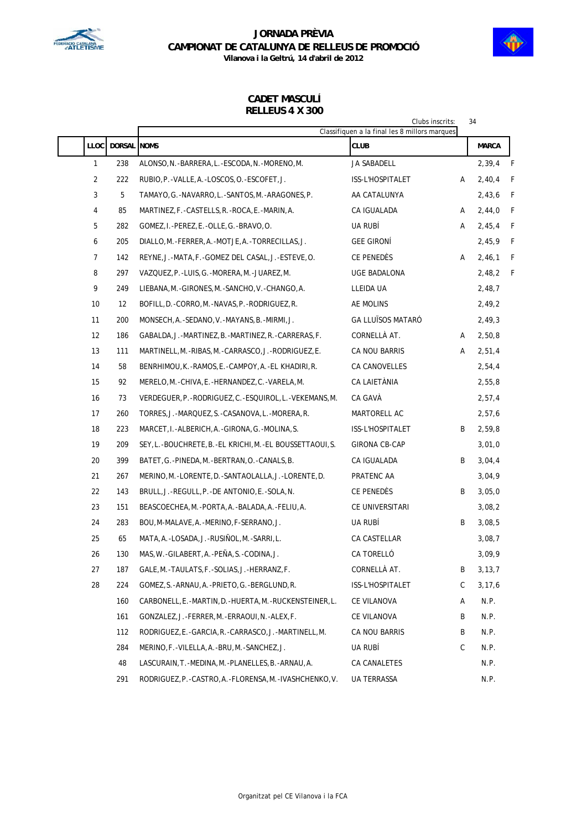



**CADET MASCULÍ**

**RELLEUS 4 X 300**

|                |                    | Clubs inscrits:<br>34<br>Classifiquen a la final les 8 millors marques |                          |   |              |  |  |  |  |
|----------------|--------------------|------------------------------------------------------------------------|--------------------------|---|--------------|--|--|--|--|
| <b>LLOC</b>    | <b>DORSAL NOMS</b> |                                                                        | CLUB                     |   | <b>MARCA</b> |  |  |  |  |
| 1              | 238                | ALONSO, N. - BARRERA, L. - ESCODA, N. - MORENO, M.                     | JA SABADELL              |   | 2,39,4       |  |  |  |  |
| $\overline{2}$ | 222                | RUBIO, P. - VALLE, A. - LOSCOS, O. - ESCOFET, J.                       | ISS-L'HOSPITALET         | Α | 2,40,4       |  |  |  |  |
| 3              | 5                  | TAMAYO, G.-NAVARRO, L.-SANTOS, M.-ARAGONES, P.                         | AA CATALUNYA             |   | 2,43,6       |  |  |  |  |
| 4              | 85                 | MARTINEZ, F.-CASTELLS, R.-ROCA, E.-MARIN, A.                           | CA IGUALADA              | Α | 2,44,0       |  |  |  |  |
| 5              | 282                | GOMEZ, I.-PEREZ, E.-OLLE, G.-BRAVO, O.                                 | UA RUBÍ                  | Α | 2,45,4       |  |  |  |  |
| 6              | 205                | DIALLO, M. -FERRER, A. -MOTJE, A. -TORRECILLAS, J.                     | <b>GEE GIRONÍ</b>        |   | 2,45,9       |  |  |  |  |
| 7              | 142                | REYNE, J.-MATA, F.-GOMEZ DEL CASAL, J.-ESTEVE, O.                      | CE PENEDÈS               | Α | 2,46,1       |  |  |  |  |
| 8              | 297                | VAZQUEZ, P. - LUIS, G. - MORERA, M. - JUAREZ, M.                       | UGE BADALONA             |   | 2,48,2       |  |  |  |  |
| 9              | 249                | LIEBANA, M. - GIRONES, M. - SANCHO, V. - CHANGO, A.                    | LLEIDA UA                |   | 2,48,7       |  |  |  |  |
| 10             | 12                 | BOFILL, D. -CORRO, M. -NAVAS, P. - RODRIGUEZ, R.                       | AE MOLINS                |   | 2,49,2       |  |  |  |  |
| 11             | 200                | MONSECH, A. - SEDANO, V. - MAYANS, B. - MIRMI, J.                      | <b>GA LLUÏSOS MATARÓ</b> |   | 2,49,3       |  |  |  |  |
| 12             | 186                | GABALDA, J. -MARTINEZ, B. -MARTINEZ, R. -CARRERAS, F.                  | CORNELLÀ AT.             | Α | 2,50,8       |  |  |  |  |
| 13             | 111                | MARTINELL, M.-RIBAS, M.-CARRASCO, J.-RODRIGUEZ, E.                     | CA NOU BARRIS            | Α | 2,51,4       |  |  |  |  |
| 14             | 58                 | BENRHIMOU, K.-RAMOS, E.-CAMPOY, A.-EL KHADIRI, R.                      | CA CANOVELLES            |   | 2,54,4       |  |  |  |  |
| 15             | 92                 | MERELO, M. - CHIVA, E. - HERNANDEZ, C. - VARELA, M.                    | CA LAIETÀNIA             |   | 2,55,8       |  |  |  |  |
| 16             | 73                 | VERDEGUER, P.-RODRIGUEZ, C.-ESQUIROL, L.-VEKEMANS, M.                  | CA GAVÀ                  |   | 2,57,4       |  |  |  |  |
| 17             | 260                | TORRES, J.-MARQUEZ, S.-CASANOVA, L.-MORERA, R.                         | MARTORELL AC             |   | 2,57,6       |  |  |  |  |
| 18             | 223                | MARCET, I.-ALBERICH, A.-GIRONA, G.-MOLINA, S.                          | ISS-L'HOSPITALET         | B | 2,59,8       |  |  |  |  |
| 19             | 209                | SEY, L.-BOUCHRETE, B.-EL KRICHI, M.-EL BOUSSETTAOUI, S.                | GIRONA CB-CAP            |   | 3,01,0       |  |  |  |  |
| 20             | 399                | BATET, G.-PINEDA, M.-BERTRAN, O.-CANALS, B.                            | CA IGUALADA              | B | 3,04,4       |  |  |  |  |
| 21             | 267                | MERINO, M. - LORENTE, D. - SANTAOLALLA, J. - LORENTE, D.               | PRATENC AA               |   | 3,04,9       |  |  |  |  |
| 22             | 143                | BRULL, J.-REGULL, P.-DE ANTONIO, E.-SOLA, N.                           | CE PENEDES               | B | 3,05,0       |  |  |  |  |
| 23             | 151                | BEASCOECHEA, M. - PORTA, A. - BALADA, A. - FELIU, A.                   | CE UNIVERSITARI          |   | 3,08,2       |  |  |  |  |
| 24             | 283                | BOU, M-MALAVE, A. -MERINO, F-SERRANO, J.                               | UA RUBÍ                  | B | 3,08,5       |  |  |  |  |
| 25             | 65                 | MATA, A. - LOSADA, J. - RUSIÑOL, M. - SARRI, L.                        | <b>CA CASTELLAR</b>      |   | 3,08,7       |  |  |  |  |
| 26             | 130                | MAS, W. - GILABERT, A. - PEÑA, S. - CODINA, J.                         | CA TORELLÓ               |   | 3,09,9       |  |  |  |  |
| 27             | 187                | GALE, M. - TAULATS, F. - SOLIAS, J. - HERRANZ, F.                      | CORNELLÀ AT.             | B | 3, 13, 7     |  |  |  |  |
| 28             | 224                | GOMEZ, S.-ARNAU, A.-PRIETO, G.-BERGLUND, R.                            | ISS-L'HOSPITALET         | C | 3, 17, 6     |  |  |  |  |
|                | 160                | CARBONELL, E. -MARTIN, D. -HUERTA, M. -RUCKENSTEINER, L.               | CE VILANOVA              | Α | N.P.         |  |  |  |  |
|                | 161                | GONZALEZ, J. -FERRER, M. -ERRAOUI, N. -ALEX, F.                        | CE VILANOVA              | B | N.P.         |  |  |  |  |
|                | 112                | RODRIGUEZ, E.-GARCIA, R.-CARRASCO, J.-MARTINELL, M.                    | CA NOU BARRIS            | Β | N.P.         |  |  |  |  |
|                | 284                | MERINO, F. - VILELLA, A. - BRU, M. - SANCHEZ, J.                       | ua Rubi                  | С | N.P.         |  |  |  |  |
|                | 48                 | LASCURAIN, T. - MEDINA, M. - PLANELLES, B. - ARNAU, A.                 | CA CANALETES             |   | N.P.         |  |  |  |  |
|                | 291                | RODRIGUEZ, P.-CASTRO, A.-FLORENSA, M.-IVASHCHENKO, V.                  | UA TERRASSA              |   | N.P.         |  |  |  |  |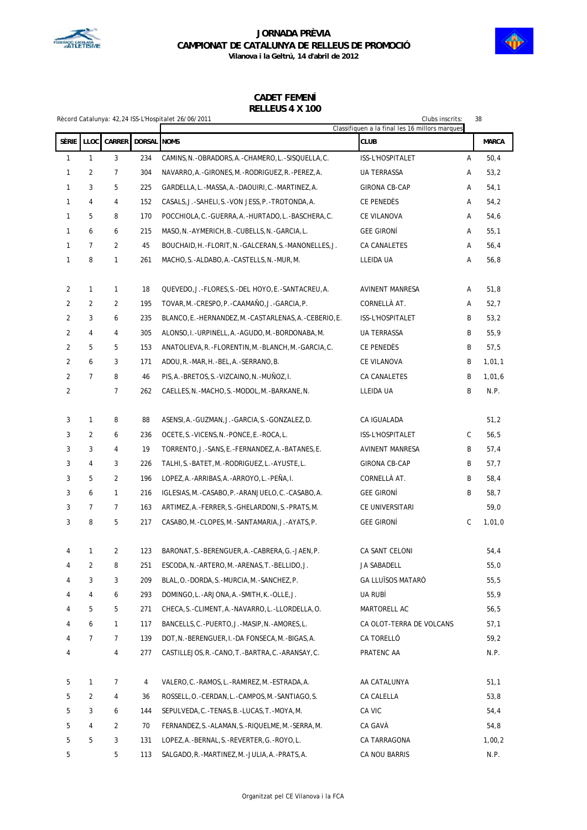



|                | 11LLLLUJ T A 100<br>38<br>Rècord Catalunya: 42,24 ISS-L'Hospitalet 26/06/2011<br>Clubs inscrits:<br>Classifiquen a la final les 16 millors marques |                |             |                                                           |                          |   |              |
|----------------|----------------------------------------------------------------------------------------------------------------------------------------------------|----------------|-------------|-----------------------------------------------------------|--------------------------|---|--------------|
| Sèrie          | LLOC                                                                                                                                               | <b>CARRER</b>  | DORSAL NOMS |                                                           | <b>CLUB</b>              |   | <b>MARCA</b> |
| $\mathbf{1}$   | $\mathbf{1}$                                                                                                                                       | 3              | 234         | CAMINS, N. - OBRADORS, A. - CHAMERO, L. - SISQUELLA, C.   | ISS-L'HOSPITALET         | Α | 50,4         |
| $\mathbf{1}$   | $\overline{2}$                                                                                                                                     | 7              | 304         | NAVARRO, A. - GIRONES, M. - RODRIGUEZ, R. - PEREZ, A.     | UA TERRASSA              | Α | 53,2         |
| $\mathbf{1}$   | 3                                                                                                                                                  | 5              | 225         | GARDELLA, L. -MASSA, A. -DAOUIRI, C. -MARTINEZ, A.        | GIRONA CB-CAP            | Α | 54,1         |
| 1              | 4                                                                                                                                                  | 4              | 152         | CASALS, J.-SAHELI, S.-VON JESS, P.-TROTONDA, A.           | CE PENEDES               | Α | 54,2         |
| 1              | 5                                                                                                                                                  | 8              | 170         | POCCHIOLA, C. - GUERRA, A. - HURTADO, L. - BASCHERA, C.   | CE VILANOVA              | Α | 54,6         |
| $\mathbf{1}$   | 6                                                                                                                                                  | 6              | 215         | MASO, N. - AYMERICH, B. - CUBELLS, N. - GARCIA, L.        | <b>GEE GIRONI</b>        | Α | 55,1         |
| 1              | $\overline{7}$                                                                                                                                     | 2              | 45          | BOUCHAID, H. - FLORIT, N. - GALCERAN, S. - MANONELLES, J. | CA CANALETES             | Α | 56,4         |
| $\mathbf{1}$   | 8                                                                                                                                                  | 1              | 261         | MACHO, S. - ALDABO, A. - CASTELLS, N. - MUR, M.           | LLEIDA UA                | Α | 56,8         |
|                |                                                                                                                                                    |                |             |                                                           |                          |   |              |
| 2              | $\mathbf{1}$                                                                                                                                       | 1              | 18          | QUEVEDO, J.-FLORES, S.-DEL HOYO, E.-SANTACREU, A.         | AVINENT MANRESA          | Α | 51,8         |
| 2              | 2                                                                                                                                                  | 2              | 195         | TOVAR, M.-CRESPO, P.-CAAMAÑO, J.-GARCIA, P.               | CORNELLÀ AT.             | Α | 52,7         |
| $\overline{2}$ | 3                                                                                                                                                  | 6              | 235         | BLANCO, E. -HERNANDEZ, M. -CASTARLENAS, A. -CEBERIO, E.   | ISS-L'HOSPITALET         | B | 53,2         |
| $\overline{2}$ | 4                                                                                                                                                  | 4              | 305         | ALONSO, I.-URPINELL, A.-AGUDO, M.-BORDONABA, M.           | <b>UA TERRASSA</b>       | B | 55,9         |
| $\overline{2}$ | 5                                                                                                                                                  | 5              | 153         | ANATOLIEVA, R. - FLORENTIN, M. - BLANCH, M. - GARCIA, C.  | CE PENEDES               | В | 57,5         |
| 2              | 6                                                                                                                                                  | 3              | 171         | ADOU, R. -MAR, H. -BEL, A. -SERRANO, B.                   | CE VILANOVA              | B | 1,01,1       |
| $\overline{2}$ | $\overline{7}$                                                                                                                                     | 8              | 46          | PIS, A. - BRETOS, S. - VIZCAINO, N. - MUÑOZ, I.           | CA CANALETES             | B | 1,01,6       |
| 2              |                                                                                                                                                    | 7              | 262         | CAELLES, N. -MACHO, S. -MODOL, M. -BARKANE, N.            | LLEIDA UA                | B | N.P.         |
| 3              | 1                                                                                                                                                  | 8              | 88          | ASENSI, A. -GUZMAN, J. -GARCIA, S. -GONZALEZ, D.          | CA IGUALADA              |   | 51,2         |
| 3              | 2                                                                                                                                                  | 6              | 236         | OCETE, S. - VICENS, N. - PONCE, E. - ROCA, L.             | ISS-L'HOSPITALET         | C | 56,5         |
| 3              | 3                                                                                                                                                  | 4              | 19          | TORRENTO, J.-SANS, E.-FERNANDEZ, A.-BATANES, E.           | AVINENT MANRESA          | B | 57,4         |
| 3              | 4                                                                                                                                                  | 3              | 226         | TALHI, S.-BATET, M.-RODRIGUEZ, L.-AYUSTE, L.              | GIRONA CB-CAP            | B | 57,7         |
| 3              | 5                                                                                                                                                  | 2              | 196         | LOPEZ, A. - ARRIBAS, A. - ARROYO, L. - PEÑA, I.           | CORNELLA AT.             | B | 58,4         |
| 3              | 6                                                                                                                                                  | 1              | 216         | IGLESIAS, M. -CASABO, P. -ARANJUELO, C. -CASABO, A.       | <b>GEE GIRONÍ</b>        | B | 58,7         |
| 3              | $\overline{7}$                                                                                                                                     | 7              | 163         | ARTIMEZ, A. -FERRER, S. -GHELARDONI, S. -PRATS, M.        | CE UNIVERSITARI          |   | 59,0         |
| 3              | 8                                                                                                                                                  | 5              | 217         | CASABO, M. -CLOPES, M. -SANTAMARIA, J. -AYATS, P.         | <b>GEE GIRONI</b>        | С | 1,01,0       |
| 4              | 1                                                                                                                                                  | 2              | 123         | BARONAT.S.-BERENGUER.A.-CABRERA.G.-JAEN.P                 | CA SANT CELONI           |   | 54,4         |
| 4              | 2                                                                                                                                                  | 8              | 251         | ESCODA, N. - ARTERO, M. - ARENAS, T. - BELLIDO, J.        | JA SABADELL              |   | 55,0         |
| 4              | 3                                                                                                                                                  | 3              | 209         | BLAL, O. -DORDA, S. - MURCIA, M. - SANCHEZ, P.            | <b>GA LLUÏSOS MATARÓ</b> |   | 55,5         |
| 4              | 4                                                                                                                                                  | 6              | 293         | DOMINGO, L.-ARJONA, A.-SMITH, K.-OLLE, J.                 | UA RUBÍ                  |   | 55,9         |
| 4              | 5                                                                                                                                                  | 5              | 271         | CHECA, S. - CLIMENT, A. - NAVARRO, L. - LLORDELLA, O.     | MARTORELL AC             |   | 56,5         |
| 4              | 6                                                                                                                                                  | 1              | 117         | BANCELLS, C.-PUERTO, J.-MASIP, N.-AMORES, L.              | CA OLOT-TERRA DE VOLCANS |   | 57,1         |
| 4              | $\overline{7}$                                                                                                                                     | 7              | 139         | DOT, N. - BERENGUER, I. - DA FONSECA, M. - BIGAS, A.      | CA TORELLO               |   | 59,2         |
| 4              |                                                                                                                                                    | 4              | 277         | CASTILLEJOS, R.-CANO, T.-BARTRA, C.-ARANSAY, C.           | PRATENC AA               |   | N.P.         |
| 5              | 1                                                                                                                                                  | 7              | 4           | VALERO, C. - RAMOS, L. - RAMIREZ, M. - ESTRADA, A.        | AA CATALUNYA             |   | 51,1         |
| 5              | $\overline{a}$                                                                                                                                     | 4              | 36          | ROSSELL, O. - CERDAN, L. - CAMPOS, M. - SANTIAGO, S.      | CA CALELLA               |   | 53,8         |
| 5              | 3                                                                                                                                                  | 6              | 144         | SEPULVEDA, C. - TENAS, B. - LUCAS, T. - MOYA, M.          | CA VIC                   |   | 54,4         |
| 5              | 4                                                                                                                                                  | $\overline{2}$ | 70          | FERNANDEZ, S. - ALAMAN, S. - RIQUELME, M. - SERRA, M.     | CA GAVÀ                  |   | 54,8         |
| 5              | 5                                                                                                                                                  | 3              | 131         | LOPEZ, A. - BERNAL, S. - REVERTER, G. - ROYO, L.          | CA TARRAGONA             |   | 1,00,2       |
| 5              |                                                                                                                                                    | 5              | 113         | SALGADO, R. -MARTINEZ, M. -JULIA, A. -PRATS, A.           | CA NOU BARRIS            |   | N.P.         |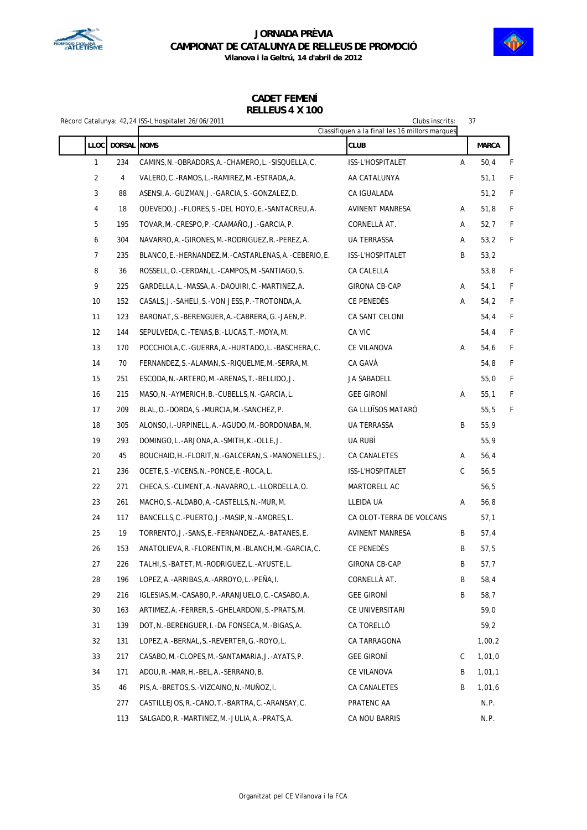



|                |               | Rècord Catalunya: 42,24 ISS-L'Hospitalet 26/06/2011      | Clubs inscrits:                                               |   | 37     |   |  |
|----------------|---------------|----------------------------------------------------------|---------------------------------------------------------------|---|--------|---|--|
| <b>LLOC</b>    | <b>DORSAL</b> | <b>NOMS</b>                                              | Classifiquen a la final les 16 millors marques<br><b>CLUB</b> |   | MARCA  |   |  |
| 1              | 234           | CAMINS, N. - OBRADORS, A. - CHAMERO, L. - SISQUELLA, C.  | ISS-L'HOSPITALET                                              | Α | 50,4   | F |  |
| $\overline{2}$ | 4             | VALERO, C.-RAMOS, L.-RAMIREZ, M.-ESTRADA, A.             | AA CATALUNYA                                                  |   | 51,1   | F |  |
| $\mathbf{3}$   | 88            | ASENSI, A. - GUZMAN, J. - GARCIA, S. - GONZALEZ, D.      | CA IGUALADA                                                   |   | 51,2   | F |  |
| 4              | 18            | QUEVEDO, J.-FLORES, S.-DEL HOYO, E.-SANTACREU, A.        | AVINENT MANRESA                                               | Α | 51,8   | F |  |
| 5              | 195           | TOVAR, M. - CRESPO, P. - CAAMAÑO, J. - GARCIA, P.        | CORNELLÀ AT.                                                  | Α | 52,7   | F |  |
| 6              | 304           | NAVARRO, A.-GIRONES, M.-RODRIGUEZ, R.-PEREZ, A.          | UA TERRASSA                                                   | Α | 53,2   | F |  |
| $\overline{7}$ | 235           | BLANCO, E. -HERNANDEZ, M. -CASTARLENAS, A. -CEBERIO, E.  | ISS-L'HOSPITALET                                              | B | 53,2   |   |  |
| 8              | 36            | ROSSELL, O. - CERDAN, L. - CAMPOS, M. - SANTIAGO, S.     | CA CALELLA                                                    |   | 53,8   | F |  |
| 9              | 225           | GARDELLA, L.-MASSA, A.-DAOUIRI, C.-MARTINEZ, A.          | GIRONA CB-CAP                                                 | Α | 54,1   | F |  |
| 10             | 152           | CASALS, J.-SAHELI, S.-VON JESS, P.-TROTONDA, A.          | CE PENEDÉS                                                    | Α | 54,2   | F |  |
| 11             | 123           | BARONAT, S.-BERENGUER, A.-CABRERA, G.-JAEN, P.           | CA SANT CELONI                                                |   | 54,4   | F |  |
| 12             | 144           | SEPULVEDA, C. - TENAS, B. - LUCAS, T. - MOYA, M.         | CA VIC                                                        |   | 54,4   | F |  |
| 13             | 170           | POCCHIOLA, C.-GUERRA, A.-HURTADO, L.-BASCHERA, C.        | CE VILANOVA                                                   | Α | 54,6   | F |  |
| 14             | 70            | FERNANDEZ, S. - ALAMAN, S. - RIQUELME, M. - SERRA, M.    | CA GAVÀ                                                       |   | 54,8   | F |  |
| 15             | 251           | ESCODA, N. - ARTERO, M. - ARENAS, T. - BELLIDO, J.       | JA SABADELL                                                   |   | 55,0   | F |  |
| 16             | 215           | MASO, N. -AYMERICH, B. -CUBELLS, N. -GARCIA, L.          | <b>GEE GIRONÍ</b>                                             | Α | 55,1   | F |  |
| 17             | 209           | BLAL, O. -DORDA, S. -MURCIA, M. -SANCHEZ, P.             | <b>GA LLUÏSOS MATARO</b>                                      |   | 55,5   | F |  |
| 18             | 305           | ALONSO, I. - URPINELL, A. - AGUDO, M. - BORDONABA, M.    | <b>UA TERRASSA</b>                                            | B | 55,9   |   |  |
| 19             | 293           | DOMINGO, L.-ARJONA, A.-SMITH, K.-OLLE, J.                | UA RUBÍ                                                       |   | 55,9   |   |  |
| 20             | 45            | BOUCHAID, H. -FLORIT, N. -GALCERAN, S. -MANONELLES, J.   | CA CANALETES                                                  | Α | 56,4   |   |  |
| 21             | 236           | OCETE, S. - VICENS, N. - PONCE, E. - ROCA, L.            | ISS-L'HOSPITALET                                              | C | 56,5   |   |  |
| 22             | 271           | CHECA, S. - CLIMENT, A. - NAVARRO, L. - LLORDELLA, O.    | MARTORELL AC                                                  |   | 56,5   |   |  |
| 23             | 261           | MACHO, S. - ALDABO, A. - CASTELLS, N. - MUR, M.          | LLEIDA UA                                                     | Α | 56,8   |   |  |
| 24             | 117           | BANCELLS, C.-PUERTO, J.-MASIP, N.-AMORES, L.             | CA OLOT-TERRA DE VOLCANS                                      |   | 57,1   |   |  |
| 25             | 19            | TORRENTO, J.-SANS, E.-FERNANDEZ, A.-BATANES, E.          | <b>AVINENT MANRESA</b>                                        | B | 57,4   |   |  |
| 26             | 153           | ANATOLIEVA, R. - FLORENTIN, M. - BLANCH, M. - GARCIA, C. | CE PENEDÈS                                                    | B | 57,5   |   |  |
| 27             | 226           | TALHI, S. - BATET, M. - RODRIGUEZ, L. - AYUSTE, L.       | <b>GIRONA CB-CAP</b>                                          | Β | 57,7   |   |  |
| 28             | 196           | LOPEZ, A.-ARRIBAS, A.-ARROYO, L.-PEÑA, I.                | CORNELLÀ AT.                                                  | B | 58,4   |   |  |
| 29             | 216           | IGLESIAS, M. -CASABO, P. - ARANJUELO, C. -CASABO, A.     | <b>GEE GIRONI</b>                                             | B | 58,7   |   |  |
| 30             | 163           | ARTIMEZ,A.-FERRER,S.-GHELARDONI,S.-PRATS,M.              | CE UNIVERSITARI                                               |   | 59,0   |   |  |
| 31             | 139           | DOT.N.-BERENGUER.I.-DA FONSECA.M.-BIGAS.A.               | CA TORELLÓ                                                    |   | 59,2   |   |  |
| 32             | 131           | LOPEZ, A.-BERNAL, S.-REVERTER, G.-ROYO, L.               | CA TARRAGONA                                                  |   | 1,00,2 |   |  |
| 33             | 217           | CASABO, M. - CLOPES, M. - SANTAMARIA, J. - AYATS, P.     | <b>GEE GIRONÍ</b>                                             | С | 1,01,0 |   |  |
| 34             | 171           | ADOU, R. -MAR, H. -BEL, A. -SERRANO, B.                  | CE VILANOVA                                                   | B | 1,01,1 |   |  |
| 35             | 46            | PIS, A. -BRETOS, S. -VIZCAINO, N. -MUÑOZ, I.             | CA CANALETES                                                  | B | 1,01,6 |   |  |
|                | 277           | CASTILLEJOS, R. -CANO, T. -BARTRA, C. -ARANSAY, C.       | PRATENC AA                                                    |   | N.P.   |   |  |
|                | 113           | SALGADO, R. -MARTINEZ, M. -JULIA, A. -PRATS, A.          | CA NOU BARRIS                                                 |   | N.P.   |   |  |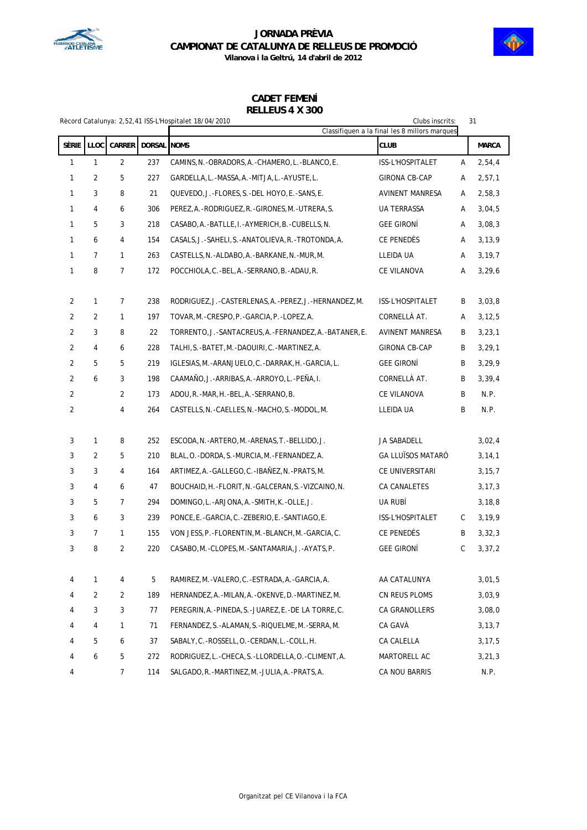



|       | Clubs inscrits:<br>31<br>Rècord Catalunya: 2,52,41 ISS-L'Hospitalet 18/04/2010<br>Classifiquen a la final les 8 millors marques |                |             |                                                             |                          |   |              |  |  |  |  |
|-------|---------------------------------------------------------------------------------------------------------------------------------|----------------|-------------|-------------------------------------------------------------|--------------------------|---|--------------|--|--|--|--|
| SÈRIE | LLOC                                                                                                                            | <b>CARRER</b>  | DORSAL NOMS |                                                             | <b>CLUB</b>              |   | <b>MARCA</b> |  |  |  |  |
| 1     | 1                                                                                                                               | $\overline{2}$ | 237         | CAMINS, N. - OBRADORS, A. - CHAMERO, L. - BLANCO, E.        | ISS-L'HOSPITALET         | Α | 2,54,4       |  |  |  |  |
| 1     | 2                                                                                                                               | 5              | 227         | GARDELLA, L.-MASSA, A.-MITJA, L.-AYUSTE, L.                 | <b>GIRONA CB-CAP</b>     | Α | 2,57,1       |  |  |  |  |
| 1     | 3                                                                                                                               | 8              | 21          | QUEVEDO, J.-FLORES, S.-DEL HOYO, E.-SANS, E.                | AVINENT MANRESA          | Α | 2,58,3       |  |  |  |  |
| 1     | 4                                                                                                                               | 6              | 306         | PEREZ, A. -RODRIGUEZ, R. -GIRONES, M. -UTRERA, S.           | <b>UA TERRASSA</b>       | Α | 3,04,5       |  |  |  |  |
| 1     | 5                                                                                                                               | 3              | 218         | CASABO, A. -BATLLE, I. -AYMERICH, B. -CUBELLS, N.           | <b>GEE GIRONI</b>        | Α | 3,08,3       |  |  |  |  |
| 1     | 6                                                                                                                               | 4              | 154         | CASALS, J.-SAHELI, S.-ANATOLIEVA, R.-TROTONDA, A.           | CE PENEDÉS               | Α | 3, 13, 9     |  |  |  |  |
| 1     | $\overline{7}$                                                                                                                  | 1              | 263         | CASTELLS, N. -ALDABO, A. -BARKANE, N. -MUR, M.              | LLEIDA UA                | Α | 3, 19, 7     |  |  |  |  |
| 1     | 8                                                                                                                               | 7              | 172         | POCCHIOLA, C.-BEL, A.-SERRANO, B.-ADAU, R.                  | CE VILANOVA              | А | 3, 29, 6     |  |  |  |  |
| 2     | 1                                                                                                                               | 7              | 238         | RODRIGUEZ, J. - CASTERLENAS, A. - PEREZ, J. - HERNANDEZ, M. | ISS-L'HOSPITALET         | B | 3,03,8       |  |  |  |  |
| 2     | 2                                                                                                                               | 1              | 197         | TOVAR, M.-CRESPO, P.-GARCIA, P.-LOPEZ, A.                   | CORNELLÀ AT.             | Α | 3, 12, 5     |  |  |  |  |
| 2     | 3                                                                                                                               | 8              | 22          | TORRENTO, J. - SANTACREUS, A. - FERNANDEZ, A. - BATANER, E. | AVINENT MANRESA          | B | 3, 23, 1     |  |  |  |  |
| 2     | 4                                                                                                                               | 6              | 228         | TALHI, S.-BATET, M.-DAOUIRI, C.-MARTINEZ, A.                | GIRONA CB-CAP            | B | 3, 29, 1     |  |  |  |  |
| 2     | 5                                                                                                                               | 5              | 219         | IGLESIAS, M. - ARANJUELO, C. - DARRAK, H. - GARCIA, L.      | <b>GEE GIRONI</b>        | B | 3,29,9       |  |  |  |  |
| 2     | 6                                                                                                                               | 3              | 198         | CAAMAÑO, J.-ARRIBAS, A.-ARROYO, L.-PEÑA, I.                 | CORNELLA AT.             | B | 3,39,4       |  |  |  |  |
| 2     |                                                                                                                                 | $\overline{2}$ | 173         | ADOU, R. - MAR, H. - BEL, A. - SERRANO, B.                  | CE VILANOVA              | B | N.P.         |  |  |  |  |
| 2     |                                                                                                                                 | 4              | 264         | CASTELLS, N. - CAELLES, N. - MACHO, S. - MODOL, M.          | LLEIDA UA                | B | N.P.         |  |  |  |  |
| 3     | 1                                                                                                                               | 8              | 252         | ESCODA, N. - ARTERO, M. - ARENAS, T. - BELLIDO, J.          | JA SABADELL              |   | 3,02,4       |  |  |  |  |
| 3     | $\overline{2}$                                                                                                                  | 5              | 210         | BLAL, O. - DORDA, S. - MURCIA, M. - FERNANDEZ, A.           | <b>GA LLUÏSOS MATARÓ</b> |   | 3, 14, 1     |  |  |  |  |
| 3     | 3                                                                                                                               | 4              | 164         | ARTIMEZ, A. - GALLEGO, C. - IBAÑEZ, N. - PRATS, M.          | CE UNIVERSITARI          |   | 3, 15, 7     |  |  |  |  |
| 3     | 4                                                                                                                               | 6              | 47          | BOUCHAID, H. - FLORIT, N. - GALCERAN, S. - VIZCAINO, N.     | CA CANALETES             |   | 3, 17, 3     |  |  |  |  |
| 3     | 5                                                                                                                               | 7              | 294         | DOMINGO, L.-ARJONA, A.-SMITH, K.-OLLE, J.                   | ua rubí                  |   | 3, 18, 8     |  |  |  |  |
| 3     | 6                                                                                                                               | 3              | 239         | PONCE, E.-GARCIA, C.-ZEBERIO, E.-SANTIAGO, E.               | ISS-L'HOSPITALET         | С | 3, 19, 9     |  |  |  |  |
| 3     | $\overline{7}$                                                                                                                  | 1              | 155         | VON JESS, P. - FLORENTIN, M. - BLANCH, M. - GARCIA, C.      | CE PENEDÈS               | B | 3,32,3       |  |  |  |  |
| 3     | 8                                                                                                                               | $\overline{2}$ | 220         | CASABO, M. -CLOPES, M. -SANTAMARIA, J. -AYATS, P.           | <b>GEE GIRONÍ</b>        | C | 3, 37, 2     |  |  |  |  |
| 4     | 1                                                                                                                               | 4              | 5           | RAMIREZ, M. - VALERO, C. - ESTRADA, A. - GARCIA, A.         | AA CATALUNYA             |   | 3,01,5       |  |  |  |  |
| 4     | $\overline{2}$                                                                                                                  | 2              | 189         | HERNANDEZ, A. - MILAN, A. - OKENVE, D. - MARTINEZ, M.       | CN REUS PLOMS            |   | 3,03,9       |  |  |  |  |
| 4     | 3                                                                                                                               | 3              | 77          | PEREGRIN, A. - PINEDA, S. - JUAREZ, E. - DE LA TORRE, C.    | CA GRANOLLERS            |   | 3,08,0       |  |  |  |  |
| 4     | 4                                                                                                                               | $\mathbf{1}$   | 71          | FERNANDEZ, S. - ALAMAN, S. - RIQUELME, M. - SERRA, M.       | CA GAVÀ                  |   | 3, 13, 7     |  |  |  |  |
| 4     | 5                                                                                                                               | 6              | 37          | SABALY, C.-ROSSELL, O.-CERDAN, L.-COLL, H.                  | CA CALELLA               |   | 3, 17, 5     |  |  |  |  |
| 4     | 6                                                                                                                               | 5              | 272         | RODRIGUEZ, L.-CHECA, S.-LLORDELLA, O.-CLIMENT, A.           | MARTORELL AC             |   | 3, 21, 3     |  |  |  |  |
| 4     |                                                                                                                                 | $\overline{7}$ | 114         | SALGADO, R. - MARTINEZ, M. - JULIA, A. - PRATS, A.          | CA NOU BARRIS            |   | N.P.         |  |  |  |  |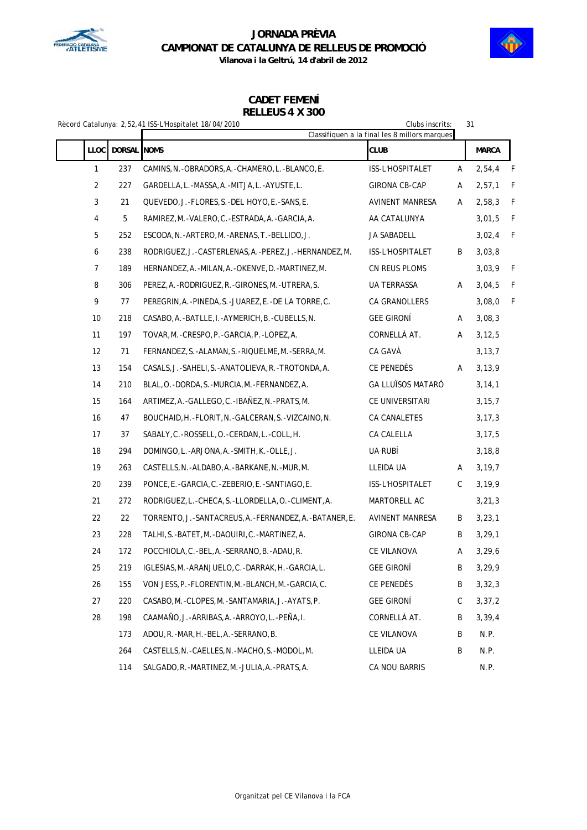



**Vilanova i la Geltrú, 14 d'abril de 2012**

|                |             | Rècord Catalunya: 2,52,41 ISS-L'Hospitalet 18/04/2010   | Clubs inscrits:                                              |   | 31           |   |
|----------------|-------------|---------------------------------------------------------|--------------------------------------------------------------|---|--------------|---|
| <b>LLOC</b>    | DORSAL NOMS |                                                         | Classifiquen a la final les 8 millors marques<br><b>CLUB</b> |   | <b>MARCA</b> |   |
| $\mathbf{1}$   | 237         | CAMINS, N. - OBRADORS, A. - CHAMERO, L. - BLANCO, E.    | ISS-L'HOSPITALET                                             | Α | 2,54,4       | F |
| $\overline{2}$ | 227         | GARDELLA, L. -MASSA, A. -MITJA, L. -AYUSTE, L.          | <b>GIRONA CB-CAP</b>                                         | Α | 2,57,1       | F |
| 3              | 21          | QUEVEDO, J.-FLORES, S.-DEL HOYO, E.-SANS, E.            | <b>AVINENT MANRESA</b>                                       | Α | 2,58,3       | F |
| 4              | 5           | RAMIREZ, M. - VALERO, C. - ESTRADA, A. - GARCIA, A.     | AA CATALUNYA                                                 |   | 3,01,5       | F |
| 5              | 252         | ESCODA, N. - ARTERO, M. - ARENAS, T. - BELLIDO, J.      | JA SABADELL                                                  |   | 3,02,4       | F |
| 6              | 238         | RODRIGUEZ, J.-CASTERLENAS, A.-PEREZ, J.-HERNANDEZ, M.   | ISS-L'HOSPITALET                                             | B | 3,03,8       |   |
| $\overline{7}$ | 189         | HERNANDEZ, A. - MILAN, A. - OKENVE, D. - MARTINEZ, M.   | CN REUS PLOMS                                                |   | 3,03,9       | F |
| 8              | 306         | PEREZ, A. - RODRIGUEZ, R. - GIRONES, M. - UTRERA, S.    | UA TERRASSA                                                  | Α | 3,04,5       | F |
| 9              | 77          | PEREGRIN, A. -PINEDA, S. - JUAREZ, E. - DE LA TORRE, C. | CA GRANOLLERS                                                |   | 3,08,0       | F |
| 10             | 218         | CASABO, A.-BATLLE, I.-AYMERICH, B.-CUBELLS, N.          | <b>GEE GIRONÍ</b>                                            | Α | 3,08,3       |   |
| 11             | 197         | TOVAR, M. - CRESPO, P. - GARCIA, P. - LOPEZ, A.         | CORNELLÀ AT.                                                 | Α | 3, 12, 5     |   |
| 12             | 71          | FERNANDEZ, S.-ALAMAN, S.-RIQUELME, M.-SERRA, M.         | CA GAVÀ                                                      |   | 3, 13, 7     |   |
| 13             | 154         | CASALS, J. - SAHELI, S. - ANATOLIEVA, R. - TROTONDA, A. | CE PENEDÈS                                                   | Α | 3, 13, 9     |   |
| 14             | 210         | BLAL, O. - DORDA, S. - MURCIA, M. - FERNANDEZ, A.       | <b>GA LLUÏSOS MATARÓ</b>                                     |   | 3, 14, 1     |   |
| 15             | 164         | ARTIMEZ, A. - GALLEGO, C. - IBAÑEZ, N. - PRATS, M.      | CE UNIVERSITARI                                              |   | 3, 15, 7     |   |
| 16             | 47          | BOUCHAID, H. - FLORIT, N. - GALCERAN, S. - VIZCAINO, N. | CA CANALETES                                                 |   | 3, 17, 3     |   |
| 17             | 37          | SABALY, C. - ROSSELL, O. - CERDAN, L. - COLL, H.        | CA CALELLA                                                   |   | 3, 17, 5     |   |
| 18             | 294         | DOMINGO, L.-ARJONA, A.-SMITH, K.-OLLE, J.               | UA RUBÍ                                                      |   | 3, 18, 8     |   |
| 19             | 263         | CASTELLS, N. - ALDABO, A. - BARKANE, N. - MUR, M.       | LLEIDA UA                                                    | A | 3, 19, 7     |   |
| 20             | 239         | PONCE, E.-GARCIA, C.-ZEBERIO, E.-SANTIAGO, E.           | ISS-L'HOSPITALET                                             | C | 3, 19, 9     |   |
| 21             | 272         | RODRIGUEZ, L.-CHECA, S.-LLORDELLA, O.-CLIMENT, A.       | MARTORELL AC                                                 |   | 3, 21, 3     |   |
| 22             | 22          | TORRENTO, J.-SANTACREUS, A.-FERNANDEZ, A.-BATANER, E.   | AVINENT MANRESA                                              | B | 3, 23, 1     |   |
| 23             | 228         | TALHI, S.-BATET, M.-DAOUIRI, C.-MARTINEZ, A.            | <b>GIRONA CB-CAP</b>                                         | B | 3, 29, 1     |   |
| 24             | 172         | POCCHIOLA, C.-BEL, A.-SERRANO, B.-ADAU, R.              | CE VILANOVA                                                  | Α | 3, 29, 6     |   |
| 25             | 219         | IGLESIAS, M. - ARANJUELO, C. - DARRAK, H. - GARCIA, L.  | <b>GEE GIRONÍ</b>                                            | Β | 3,29,9       |   |
| 26             | 155         | VON JESS, P. - FLORENTIN, M. - BLANCH, M. - GARCIA, C.  | CE PENEDÈS                                                   | B | 3, 32, 3     |   |
| 27             | 220         | CASABO, M.-CLOPES, M.-SANTAMARIA, J.-AYATS, P.          | <b>GEE GIRONÍ</b>                                            | С | 3, 37, 2     |   |
| 28             | 198         | CAAMAÑO, J.-ARRIBAS, A.-ARROYO, L.-PEÑA, I.             | CORNELLÀ AT.                                                 | B | 3, 39, 4     |   |
|                | 173         | ADOU, R. -MAR, H. -BEL, A. -SERRANO, B.                 | CE VILANOVA                                                  | B | N.P.         |   |
|                | 264         | CASTELLS, N. - CAELLES, N. - MACHO, S. - MODOL, M.      | LLEIDA UA                                                    | B | N.P.         |   |
|                | 114         | SALGADO, R. - MARTINEZ, M. - JULIA, A. - PRATS, A.      | CA NOU BARRIS                                                |   | N.P.         |   |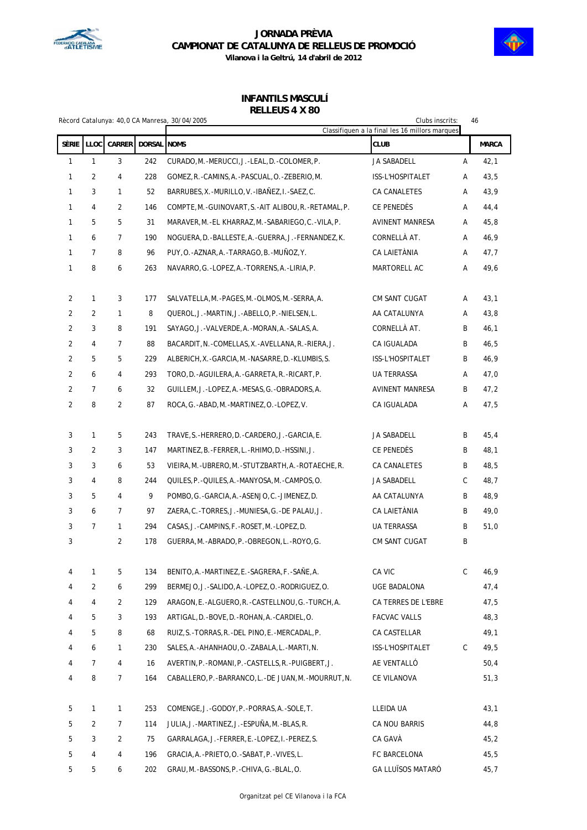



**Vilanova i la Geltrú, 14 d'abril de 2012**

### **INFANTILS MASCULÍ RELLEUS 4 X 80**

|       |                |               |             | Rècord Catalunya: 40,0 CA Manresa, 30/04/2005             | Clubs inscrits:<br>46<br>Classifiquen a la final les 16 millors marques |   |              |
|-------|----------------|---------------|-------------|-----------------------------------------------------------|-------------------------------------------------------------------------|---|--------------|
| Sèrie | LLOC           | <b>CARRER</b> | DORSAL NOMS |                                                           | <b>CLUB</b>                                                             |   | <b>MARCA</b> |
| 1     | $\mathbf{1}$   | 3             | 242         | CURADO, M. - MERUCCI, J. - LEAL, D. - COLOMER, P.         | JA SABADELL                                                             | Α | 42,1         |
| 1     | 2              | 4             | 228         | GOMEZ, R. - CAMINS, A. - PASCUAL, O. - ZEBERIO, M.        | ISS-L'HOSPITALET                                                        | Α | 43,5         |
| 1     | 3              | $\mathbf{1}$  | 52          | BARRUBES, X. - MURILLO, V. - IBAÑEZ, I. - SAEZ, C.        | CA CANALETES                                                            | Α | 43,9         |
| 1     | 4              | 2             | 146         | COMPTE, M. - GUINOVART, S. - AIT ALIBOU, R. - RETAMAL, P. | CE PENEDES                                                              | Α | 44,4         |
| 1     | 5              | 5             | 31          | MARAVER, M. - EL KHARRAZ, M. - SABARIEGO, C. - VILA, P.   | <b>AVINENT MANRESA</b>                                                  | Α | 45,8         |
| 1     | 6              | 7             | 190         | NOGUERA, D. - BALLESTE, A. - GUERRA, J. - FERNANDEZ, K.   | CORNELLÀ AT.                                                            | Α | 46,9         |
| 1     | 7              | 8             | 96          | PUY, O. -AZNAR, A. -TARRAGO, B. -MUÑOZ, Y.                | CA LAIETÀNIA                                                            | Α | 47,7         |
| 1     | 8              | 6             | 263         | NAVARRO, G. - LOPEZ, A. - TORRENS, A. - LIRIA, P.         | MARTORELL AC                                                            | Α | 49,6         |
| 2     | 1              | 3             | 177         | SALVATELLA, M. -PAGES, M. -OLMOS, M. -SERRA, A.           | CM SANT CUGAT                                                           | Α | 43,1         |
| 2     | 2              | 1             | 8           | QUEROL, J.-MARTIN, J.-ABELLO, P.-NIELSEN, L.              | AA CATALUNYA                                                            | Α | 43,8         |
| 2     | 3              | 8             | 191         | SAYAGO, J. - VALVERDE, A. - MORAN, A. - SALAS, A.         | CORNELLÀ AT.                                                            | B | 46,1         |
| 2     | 4              | 7             | 88          | BACARDIT, N. - COMELLAS, X. - AVELLANA, R. - RIERA, J.    | CA IGUALADA                                                             | B | 46,5         |
| 2     | 5              | 5             | 229         | ALBERICH, X. - GARCIA, M. - NASARRE, D. - KLUMBIS, S.     | <b>ISS-L'HOSPITALET</b>                                                 | B | 46,9         |
| 2     | 6              | 4             | 293         | TORO, D. - AGUILERA, A. - GARRETA, R. - RICART, P.        | UA TERRASSA                                                             | Α | 47,0         |
| 2     | $\overline{7}$ | 6             | 32          | GUILLEM, J.-LOPEZ, A.-MESAS, G.-OBRADORS, A.              | AVINENT MANRESA                                                         | B | 47,2         |
| 2     | 8              | 2             | 87          | ROCA, G.-ABAD, M.-MARTINEZ, O.-LOPEZ, V.                  | CA IGUALADA                                                             | А | 47,5         |
| 3     | 1              | 5             | 243         | TRAVE, S.-HERRERO, D.-CARDERO, J.-GARCIA, E.              | JA SABADELL                                                             | B | 45,4         |
| 3     | 2              | 3             | 147         | MARTINEZ, B.-FERRER, L.-RHIMO, D.-HSSINI, J.              | CE PENEDÉS                                                              | B | 48,1         |
| 3     | 3              | 6             | 53          | VIEIRA, M. - UBRERO, M. - STUTZBARTH, A. - ROTAECHE, R.   | CA CANALETES                                                            | B | 48,5         |
| 3     | 4              | 8             | 244         | QUILES, P. - QUILES, A. - MANYOSA, M. - CAMPOS, O.        | JA SABADELL                                                             | С | 48,7         |
| 3     | 5              | 4             | 9           | POMBO, G.-GARCIA, A.-ASENJO, C.-JIMENEZ, D.               | AA CATALUNYA                                                            | B | 48,9         |
| 3     | 6              | 7             | 97          | ZAERA, C.-TORRES, J.-MUNIESA, G.-DE PALAU, J.             | CA LAIETÀNIA                                                            | B | 49,0         |
| 3     | $\overline{7}$ | 1             | 294         | CASAS, J.-CAMPINS, F.-ROSET, M.-LOPEZ, D.                 | UA TERRASSA                                                             | B | 51,0         |
| 3     |                | 2             | 178         | GUERRA, M. - ABRADO, P. - OBREGON, L. - ROYO, G.          | CM SANT CUGAT                                                           | B |              |
| 4     | 1              | 5             | 134         | BENITO, A. -MARTINEZ, E. -SAGRERA, F. -SAÑE, A.           | CA VIC                                                                  | C | 46,9         |
| 4     | $\overline{2}$ | 6             | 299         | BERMEJO, J.-SALIDO, A.-LOPEZ, O.-RODRIGUEZ, O.            | UGE BADALONA                                                            |   | 47,4         |
| 4     | 4              | 2             | 129         | ARAGON, E. - ALGUERO, R. - CASTELLNOU, G. - TURCH, A.     | CA TERRES DE L'EBRE                                                     |   | 47,5         |
| 4     | 5              | 3             | 193         | ARTIGAL, D. - BOVE, D. - ROHAN, A. - CARDIEL, O.          | <b>FACVAC VALLS</b>                                                     |   | 48,3         |
| 4     | 5              | 8             | 68          | RUIZ, S. - TORRAS, R. - DEL PINO, E. - MERCADAL, P.       | CA CASTELLAR                                                            |   | 49,1         |
| 4     | 6              | 1             | 230         | SALES, A. - AHANHAOU, O. - ZABALA, L. - MARTI, N.         | ISS-L'HOSPITALET                                                        | C | 49,5         |
| 4     | 7              | 4             | 16          | AVERTIN, P. - ROMANI, P. - CASTELLS, R. - PUIGBERT, J.    | AE VENTALLÓ                                                             |   | 50,4         |
| 4     | 8              | 7             | 164         | CABALLERO, P. - BARRANCO, L. - DE JUAN, M. - MOURRUT, N.  | CE VILANOVA                                                             |   | 51,3         |
| 5     | 1              | $\mathbf{1}$  | 253         | COMENGE, J. - GODOY, P. - PORRAS, A. - SOLE, T.           | LLEIDA UA                                                               |   | 43,1         |
| 5     | 2              | 7             | 114         | JULIA, J. -MARTINEZ, J. -ESPUÑA, M. -BLAS, R.             | CA NOU BARRIS                                                           |   | 44,8         |
| 5     | 3              | 2             | 75          | GARRALAGA, J. - FERRER, E. - LOPEZ, I. - PEREZ, S.        | CA GAVÀ                                                                 |   | 45,2         |
| 5     | 4              | 4             | 196         | GRACIA, A. - PRIETO, O. - SABAT, P. - VIVES, L.           | FC BARCELONA                                                            |   | 45,5         |
| 5     | 5              | 6             | 202         | GRAU, M. -BASSONS, P. - CHIVA, G. - BLAL, O.              | <b>GA LLUÏSOS MATARÓ</b>                                                |   | 45,7         |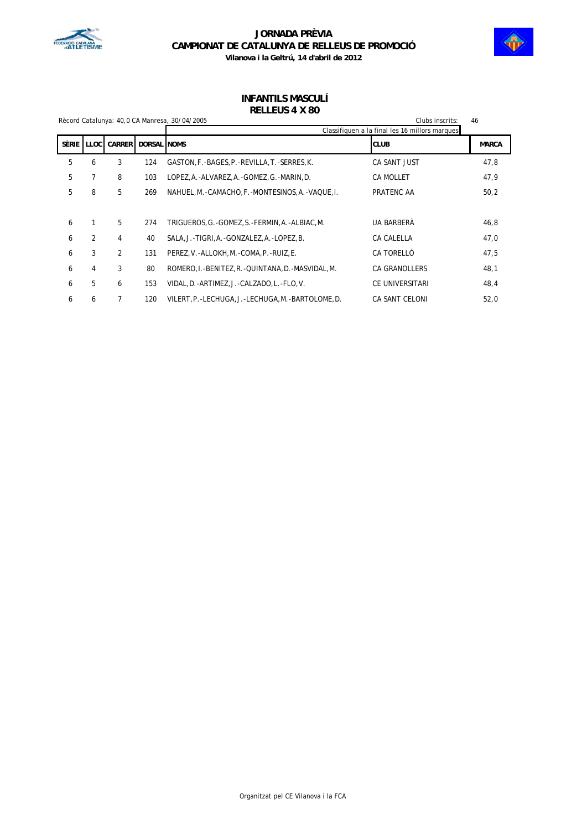



### **INFANTILS MASCULÍ RELLEUS 4 X 80**

|         | Rècord Catalunya: 40,0 CA Manresa, 30/04/2005 |               |                    | Clubs inscrits:                                        |                      | 46           |
|---------|-----------------------------------------------|---------------|--------------------|--------------------------------------------------------|----------------------|--------------|
|         |                                               |               |                    | Classifiquen a la final les 16 millors marques         |                      |              |
| Sèrie I | <b>LLOC</b>                                   | <b>CARRER</b> | <b>DORSAL NOMS</b> |                                                        | <b>CLUB</b>          | <b>MARCA</b> |
| 5       | 6                                             | 3             | 124                | GASTON, F.-BAGES, P.-REVILLA, T.-SERRES, K.            | CA SANT JUST         | 47,8         |
| 5       | 7                                             | 8             | 103                | LOPEZ, A.-ALVAREZ, A.-GOMEZ, G.-MARIN, D.              | <b>CA MOLLET</b>     | 47,9         |
| 5       | 8                                             | 5             | 269                | NAHUEL, M. - CAMACHO, F. - MONTESINOS, A. - VAQUE, I.  | PRATENC AA           | 50,2         |
|         |                                               |               |                    |                                                        |                      |              |
| 6       | 1                                             | 5             | 274                | TRIGUEROS, G. -GOMEZ, S. -FERMIN, A. -ALBIAC, M.       | UA BARBERÀ           | 46,8         |
| 6       | $\overline{2}$                                | 4             | 40                 | SALA, J.-TIGRI, A.-GONZALEZ, A.-LOPEZ, B.              | CA CALELLA           | 47,0         |
| 6       | 3                                             | 2             | 131                | PEREZ, V. - ALLOKH, M. - COMA, P. - RUIZ, E.           | CA TORELLÓ           | 47,5         |
| 6       | 4                                             | 3             | 80                 | ROMERO, I. - BENITEZ, R. - QUINTANA, D. - MASVIDAL, M. | <b>CA GRANOLLERS</b> | 48,1         |
| 6       | 5                                             | 6             | 153                | VIDAL, D. - ARTIMEZ, J. - CALZADO, L. - FLO, V.        | CE UNIVERSITARI      | 48,4         |
| 6       | 6                                             | 7             | 120                | VILERT, P.-LECHUGA, J.-LECHUGA, M.-BARTOLOME, D.       | CA SANT CELONI       | 52,0         |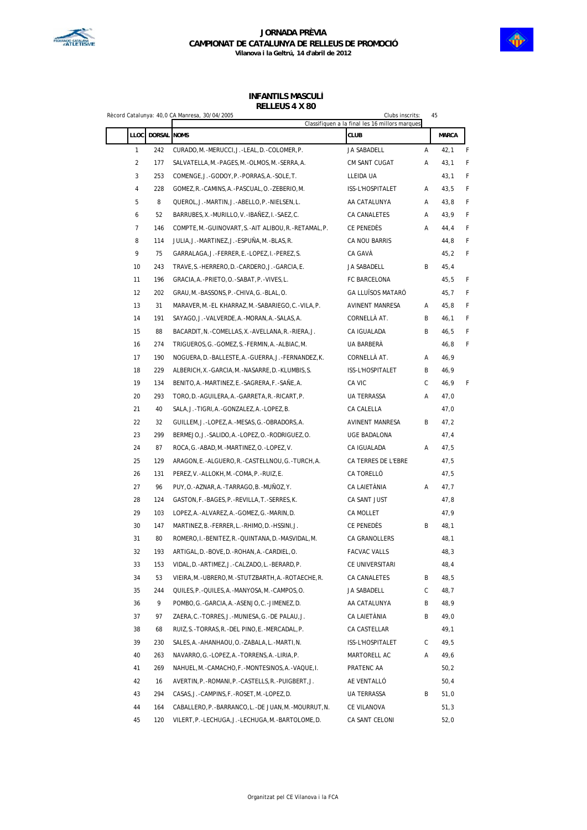

#### **INFANTILS MASCULÍ RELLEUS 4 X 80**

|                |                  | Rècord Catalunya: 40,0 CA Manresa, 30/04/2005            | Clubs inscrits:<br>Classifiquen a la final les 16 millors marques | 45 |              |   |
|----------------|------------------|----------------------------------------------------------|-------------------------------------------------------------------|----|--------------|---|
|                | LLOC DORSAL NOMS |                                                          | <b>CLUB</b>                                                       |    | <b>MARCA</b> |   |
| $\mathbf{1}$   | 242              | CURADO, M. - MERUCCI, J. - LEAL, D. - COLOMER, P.        | JA SABADELL                                                       | Α  | 42,1         | F |
| $\overline{c}$ | 177              | SALVATELLA, M. - PAGES, M. - OLMOS, M. - SERRA, A.       | CM SANT CUGAT                                                     | Α  | 43,1         | F |
| 3              | 253              | COMENGE, J.-GODOY, P.-PORRAS, A.-SOLE, T.                | LLEIDA UA                                                         |    | 43,1         | F |
| 4              | 228              | GOMEZ, R. -CAMINS, A. -PASCUAL, O. -ZEBERIO, M.          | ISS-L'HOSPITALET                                                  | Α  | 43,5         | F |
| 5              | 8                | QUEROL, J.-MARTIN, J.-ABELLO, P.-NIELSEN, L.             | AA CATALUNYA                                                      | Α  | 43,8         | F |
| 6              | 52               | BARRUBES, X. - MURILLO, V. - IBAÑEZ, I. - SAEZ, C.       | CA CANALETES                                                      | Α  | 43,9         | F |
| 7              | 146              | COMPTE, M.-GUINOVART, S.-AIT ALIBOU, R.-RETAMAL, P.      | CE PENEDÈS                                                        | Α  | 44,4         | F |
| 8              | 114              | JULIA, J.-MARTINEZ, J.-ESPUÑA, M.-BLAS, R.               | CA NOU BARRIS                                                     |    | 44,8         | F |
| 9              | 75               | GARRALAGA, J. -FERRER, E. -LOPEZ, I. -PEREZ, S.          | CA GAVÀ                                                           |    | 45,2         | F |
| 10             | 243              | TRAVE, S. -HERRERO, D. -CARDERO, J. -GARCIA, E.          | JA SABADELL                                                       | В  | 45,4         |   |
| 11             | 196              | GRACIA, A. - PRIETO, O. - SABAT, P. - VIVES, L.          | FC BARCELONA                                                      |    | 45,5         | F |
| 12             | 202              | GRAU, M.-BASSONS, P.-CHIVA, G.-BLAL, O.                  | GA LLUÏSOS MATARÓ                                                 |    | 45,7         | F |
| 13             | 31               | MARAVER, M.-EL KHARRAZ, M.-SABARIEGO, C.-VILA, P.        | AVINENT MANRESA                                                   | Α  | 45,8         | F |
| 14             | 191              | SAYAGO, J. - VALVERDE, A. - MORAN, A. - SALAS, A.        | CORNELLÀ AT.                                                      | B  | 46,1         | F |
| 15             | 88               | BACARDIT, N. - COMELLAS, X. - AVELLANA, R. - RIERA, J.   | CA IGUALADA                                                       | В  | 46,5         | F |
| 16             | 274              | TRIGUEROS, G. - GOMEZ, S. - FERMIN, A. - ALBIAC, M.      | UA BARBERÀ                                                        |    | 46,8         | F |
| 17             | 190              | NOGUERA, D. - BALLESTE, A. - GUERRA, J. - FERNANDEZ, K.  | CORNELLÀ AT.                                                      | Α  | 46,9         |   |
| 18             | 229              | ALBERICH, X. - GARCIA, M. - NASARRE, D. - KLUMBIS, S.    | ISS-L'HOSPITALET                                                  | В  | 46,9         |   |
| 19             | 134              | BENITO, A.-MARTINEZ, E.-SAGRERA, F.-SAÑE, A.             | CA VIC                                                            | C. | 46,9         | F |
| 20             | 293              | TORO, D. - AGUILERA, A. - GARRETA, R. - RICART, P.       | UA TERRASSA                                                       | Α  | 47,0         |   |
| 21             | 40               | SALA, J.-TIGRI, A.-GONZALEZ, A.-LOPEZ, B.                | CA CALELLA                                                        |    | 47,0         |   |
| 22             | 32               | GUILLEM, J.-LOPEZ, A.-MESAS, G.-OBRADORS, A.             | AVINENT MANRESA                                                   | B  | 47,2         |   |
| 23             | 299              | BERMEJO, J.-SALIDO, A.-LOPEZ, O.-RODRIGUEZ, O.           | UGE BADALONA                                                      |    | 47,4         |   |
| 24             | 87               | ROCA, G.-ABAD, M.-MARTINEZ, O.-LOPEZ, V.                 | CA IGUALADA                                                       | Α  | 47,5         |   |
| 25             | 129              | ARAGON, E. - ALGUERO, R. - CASTELLNOU, G. - TURCH, A.    | CA TERRES DE L'EBRE                                               |    | 47,5         |   |
| 26             | 131              | PEREZ, V.-ALLOKH, M.-COMA, P.-RUIZ, E.                   | CA TORELLÓ                                                        |    | 47,5         |   |
| 27             | 96               | PUY, O. -AZNAR, A. -TARRAGO, B. -MUÑOZ, Y.               | CA LAIETÀNIA                                                      | Α  | 47,7         |   |
| 28             | 124              | GASTON, F.-BAGES, P.-REVILLA, T.-SERRES, K.              | CA SANT JUST                                                      |    | 47,8         |   |
| 29             | 103              | LOPEZ, A.-ALVAREZ, A.-GOMEZ, G.-MARIN, D.                | CA MOLLET                                                         |    | 47,9         |   |
| 30             | 147              | MARTINEZ, B.-FERRER, L.-RHIMO, D.-HSSINI, J.             | CE PENEDÈS                                                        | В  | 48,1         |   |
| 31             | 80               | ROMERO, I.-BENITEZ, R.-QUINTANA, D.-MASVIDAL, M.         | CA GRANOLLERS                                                     |    | 48,1         |   |
| 32             | 193              | ARTIGAL, D. - BOVE, D. - ROHAN, A. - CARDIEL, O.         | FACVAC VALLS                                                      |    | 48,3         |   |
| 33             | 153              | VIDAL, D. - ARTIMEZ, J. - CALZADO, L. - BERARD, P.       | CE UNIVERSITARI                                                   |    | 48,4         |   |
| 34             | 53               | VIEIRA, M. - UBRERO, M. - STUTZBARTH, A. - ROTAECHE, R.  | CA CANALETES                                                      | В  | 48,5         |   |
| 35             | 244              | QUILES, P. - QUILES, A. - MANYOSA, M. - CAMPOS, O.       | JA SABADELL                                                       | С  | 48,7         |   |
| 36             | 9                | POMBO, G.-GARCIA, A.-ASENJO, C.-JIMENEZ, D.              | AA CATALUNYA                                                      | В  | 48,9         |   |
| 37             | 97               | ZAERA, C.-TORRES, J.-MUNIESA, G.-DE PALAU, J.            | CA LAIETÀNIA                                                      | B  | 49,0         |   |
| 38             | 68               | RUIZ, S.-TORRAS, R.-DEL PINO, E.-MERCADAL, P.            | CA CASTELLAR                                                      |    | 49,1         |   |
| 39             | 230              | SALES, A. - AHANHAOU, O. - ZABALA, L. - MARTI, N.        | ISS-L'HOSPITALET                                                  | C  | 49,5         |   |
| 40             | 263              | NAVARRO, G. - LOPEZ, A. - TORRENS, A. - LIRIA, P.        | MARTORELL AC                                                      | Α  | 49,6         |   |
| 41             | 269              | NAHUEL, M. - CAMACHO, F. - MONTESINOS, A. - VAQUE, I.    | PRATENC AA                                                        |    | 50,2         |   |
| 42             | 16               | AVERTIN, P. - ROMANI, P. - CASTELLS, R. - PUIGBERT, J.   | AE VENTALLÓ                                                       |    | 50,4         |   |
| 43             | 294              | CASAS, J.-CAMPINS, F.-ROSET, M.-LOPEZ, D.                | UA TERRASSA                                                       | В  | 51,0         |   |
| 44             | 164              | CABALLERO, P. - BARRANCO, L. - DE JUAN, M. - MOURRUT, N. | CE VILANOVA                                                       |    | 51,3         |   |
| 45             | 120              | VILERT, P. - LECHUGA, J. - LECHUGA, M. - BARTOLOME, D.   | CA SANT CELONI                                                    |    | 52,0         |   |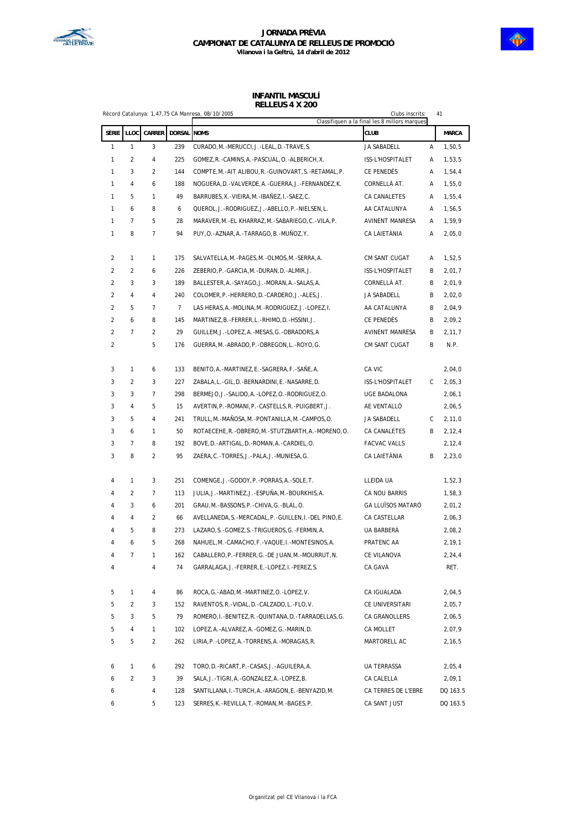

#### **JORNADA PRÈVIA CAMPIONAT DE CATALUNYA DE RELLEUS DE PROMOCIÓ Vilanova i la Geltrú, 14 d'abril de 2012**

#### **INFANTIL MASCULÍ RELLEUS 4 X 200**

|                | Rècord Catalunya: 1,47,75 CA Manresa, 08/10/2005 |        |                |                                                            | Clubs inscrits:<br>Classifiquen a la final les 8 millors marques |   | 41           |  |
|----------------|--------------------------------------------------|--------|----------------|------------------------------------------------------------|------------------------------------------------------------------|---|--------------|--|
| SÈRIE          | LLOC                                             | CARRER | DORSAL NOMS    |                                                            | <b>CLUB</b>                                                      |   | <b>MARCA</b> |  |
| 1              | 1                                                | 3      | 239            | CURADO, M. - MERUCCI, J. - LEAL, D. - TRAVE, S.            | JA SABADELL                                                      | Α | 1,50,5       |  |
| 1              | 2                                                | 4      | 225            | GOMEZ, R. - CAMINS, A. - PASCUAL, O. - ALBERICH, X.        | ISS-L'HOSPITALET                                                 | Α | 1,53,5       |  |
| 1              | 3                                                | 2      | 144            | COMPTE, M.-AIT ALIBOU, R.-GUINOVART, S.-RETAMAL, P.        | CE PENEDÈS                                                       | Α | 1,54,4       |  |
| 1              | 4                                                | 6      | 188            | NOGUERA, D. - VALVERDE, A. - GUERRA, J. - FERNANDEZ, K.    | CORNELLÀ AT.                                                     | Α | 1,55,0       |  |
| 1              | 5                                                | 1      | 49             | BARRUBES, X. - VIEIRA, M. - IBAÑEZ, I. - SAEZ, C.          | CA CANALETES                                                     | Α | 1,55,4       |  |
| 1              | 6                                                | 8      | 6              | QUEROL, J.-RODRIGUEZ, J.-ABELLO, P.-NIELSEN, L.            | AA CATALUNYA                                                     | Α | 1,56,5       |  |
| 1              | 7                                                | 5      | 28             | MARAVER, M.-EL KHARRAZ, M.-SABARIEGO, C.-VILA, P.          | AVINENT MANRESA                                                  | Α | 1,59,9       |  |
| 1              | 8                                                | 7      | 94             | PUY, O. - AZNAR, A. - TARRAGO, B. - MUÑOZ, Y.              | CA LAIETÀNIA                                                     | Α | 2,05,0       |  |
| 2              | 1                                                | 1      | 175            | SALVATELLA, M. - PAGES, M. - OLMOS, M. - SERRA, A.         | CM SANT CUGAT                                                    | Α | 1,52,5       |  |
| $\overline{2}$ | 2                                                | 6      | 226            | ZEBERIO, P. - GARCIA, M. - DURAN, D. - ALMIR, J.           | ISS-L'HOSPITALET                                                 | B | 2,01,7       |  |
| $\overline{c}$ | 3                                                | 3      | 189            | BALLESTER, A. - SAYAGO, J. - MORAN, A. - SALAS, A.         | CORNELLÀ AT.                                                     | В | 2,01,9       |  |
| 2              | $\overline{4}$                                   | 4      | 240            | COLOMER, P. - HERRERO, D. - CARDERO, J. - ALES, J.         | JA SABADELL                                                      | В | 2,02,0       |  |
| 2              | 5                                                | 7      | $\overline{7}$ | LAS HERAS, A. - MOLINA, M. - RODRIGUEZ, J. - LOPEZ, I.     | AA CATALUNYA                                                     | В | 2,04,9       |  |
| $\overline{2}$ | 6                                                | 8      | 145            | MARTINEZ, B.-FERRER, L.-RHIMO, D.-HSSINI, J.               | CE PENEDÈS                                                       | В | 2,09,2       |  |
| 2              | 7                                                | 2      | 29             | GUILLEM, J.-LOPEZ, A.-MESAS, G.-OBRADORS, A                | AVINENT MANRESA                                                  | В | 2,11,7       |  |
| 2              |                                                  | 5      | 176            | GUERRA, M. - ABRADO, P. - OBREGON, L. - ROYO, G.           | CM SANT CUGAT                                                    | В | N.P.         |  |
| 3              | 1                                                | 6      | 133            | BENITO, A. - MARTINEZ, E. - SAGRERA, F. - SAÑE, A.         | CA VIC                                                           |   | 2,04,0       |  |
| 3              | 2                                                | 3      | 227            | ZABALA, L.-GIL, D.-BERNARDINI, E.-NASARRE, D.              | ISS-L'HOSPITALET                                                 | С | 2,05,3       |  |
| 3              | 3                                                | 7      | 298            | BERMEJO, J.-SALIDO, A.-LOPEZ, O.-RODRIGUEZ, O.             | UGE BADALONA                                                     |   | 2,06,1       |  |
| 3              | $\overline{4}$                                   | 5      | 15             | AVERTIN, P. - ROMANI, P. - CASTELLS, R. - PUIGBERT, J.     | AE VENTALLÓ                                                      |   | 2,06,5       |  |
| 3              | 5                                                | 4      | 241            | TRULL, M. -MAÑOSA, M. -PONTANILLA, M. -CAMPOS, O.          | JA SABADELL                                                      | С | 2,11,0       |  |
| 3              | 6                                                | 1      | 50             | ROTAECEHE, R. - OBRERO, M. - STUTZBARTH, A. - MORENO, O.   | CA CANALETES                                                     | В | 2,12,4       |  |
| 3              | 7                                                | 8      | 192            | BOVE, D. - ARTIGAL, D. - ROMAN, A. - CARDIEL, O.           | <b>FACVAC VALLS</b>                                              |   | 2,12,4       |  |
| 3              | 8                                                | 2      | 95             | ZAERA, C.-TORRES, J.-PALA, J.-MUNIESA, G.                  | CA LAIETÀNIA                                                     | В | 2,23,0       |  |
|                |                                                  |        |                |                                                            |                                                                  |   |              |  |
| 4              | 1                                                | 3      | 251            | COMENGE, J. - GODOY, P. - PORRAS, A. - SOLE, T.            | LLEIDA UA                                                        |   | 1,52,3       |  |
| 4              | 2                                                | 7      | 113            | JULIA, J. - MARTINEZ, J. - ESPUÑA, M. - BOURKHIS, A.       | CA NOU BARRIS                                                    |   | 1,58,3       |  |
| 4              | 3                                                | 6      | 201            | GRAU, M.-BASSONS, P.-CHIVA, G.-BLAL, O.                    | <b>GA LLUÏSOS MATARÓ</b>                                         |   | 2,01,2       |  |
| 4              | 4                                                | 2      | 66             | AVELLANEDA, S. - MERCADAL, P. - GUILLEN, I. - DEL PINO, E. | CA CASTELLAR                                                     |   | 2,06,3       |  |
| 4              | 5                                                | 8      | 273            | LAZARO, S.-GOMEZ, S.-TRIGUEROS, G.-FERMIN, A.              | UA BARBERÀ                                                       |   | 2,08,2       |  |
| 4              | 6                                                | 5      | 268            | NAHUEL, M. - CAMACHO, F. - VAQUE, I. - MONTESINOS, A.      | PRATENC AA                                                       |   | 2, 19, 1     |  |
| 4              |                                                  |        | 162            | CABALLERO, P. - FERRER, G. - DE JUAN, M. - MOURRUT, N.     | CE VILANOVA                                                      |   | 2,24,4       |  |
| 4              |                                                  | 4      | 74             | GARRALAGA, J. - FERRER, E. - LOPEZ, I. - PEREZ, S.         | CA GAVÀ                                                          |   | RET.         |  |
| 5              | 1                                                | 4      | 86             | ROCA, G.-ABAD, M.-MARTINEZ, O.-LOPEZ, V.                   | CA IGUALADA                                                      |   | 2,04,5       |  |
| 5              | 2                                                | 3      | 152            | RAVENTOS, R. - VIDAL, D. - CALZADO, L. - FLO, V.           | CE UNIVERSITARI                                                  |   | 2,05,7       |  |
| 5              | 3                                                | 5      | 79             | ROMERO, I.-BENITEZ, R.-QUINTANA, D.-TARRADELLAS, G.        | CA GRANOLLERS                                                    |   | 2,06,5       |  |
| 5              | 4                                                | 1      | 102            | LOPEZ, A. - ALVAREZ, A. - GOMEZ, G. - MARIN, D.            | CA MOLLET                                                        |   | 2,07,9       |  |
| 5              | 5                                                | 2      | 262            | LIRIA, P. - LOPEZ, A. - TORRENS, A. - MORAGAS, R.          | MARTORELL AC                                                     |   | 2,16,5       |  |
| 6              | 1                                                | 6      | 292            | TORO, D. - RICART, P. - CASAS, J. - AGUILERA, A.           | UA TERRASSA                                                      |   | 2,05,4       |  |
| 6              | $\overline{2}$                                   | 3      | 39             | SALA, J.-TIGRI, A.-GONZALEZ, A.-LOPEZ, B.                  | CA CALELLA                                                       |   | 2,09,1       |  |
| 6              |                                                  | 4      | 128            | SANTILLANA, I.-TURCH, A.-ARAGON, E.-BENYAZID, M.           | CA TERRES DE L'EBRE                                              |   | DQ 163.5     |  |
| 6              |                                                  | 5      | 123            | SERRES, K.-REVILLA, T.-ROMAN, M.-BAGES, P.                 | CA SANT JUST                                                     |   | DQ 163.5     |  |

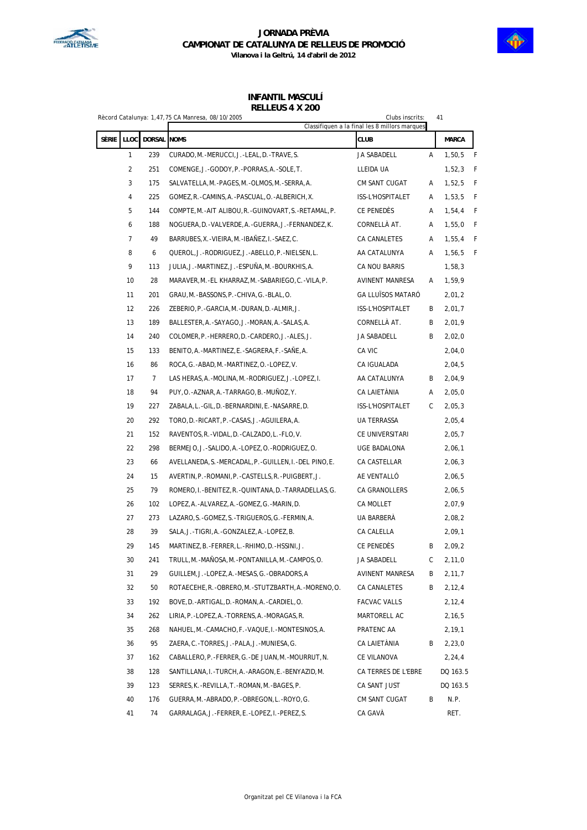



**Vilanova i la Geltrú, 14 d'abril de 2012**

#### **INFANTIL MASCULÍ RELLEUS 4 X 200**

|       |                |                | Rècord Catalunya: 1,47,75 CA Manresa, 08/10/2005           | Clubs inscrits:                               |   | 41       |   |
|-------|----------------|----------------|------------------------------------------------------------|-----------------------------------------------|---|----------|---|
|       |                |                |                                                            | Classifiquen a la final les 8 millors marques |   |          |   |
| Sèrie | LLOC           | DORSAL NOMS    |                                                            | <b>CLUB</b>                                   |   | MARCA    |   |
|       | 1              | 239            | CURADO, M. - MERUCCI, J. - LEAL, D. - TRAVE, S.            | JA SABADELL                                   | A | 1,50,5   | F |
|       | $\overline{2}$ | 251            | COMENGE, J. -GODOY, P. -PORRAS, A. -SOLE, T.               | LLEIDA UA                                     |   | 1,52,3   | F |
|       | 3              | 175            | SALVATELLA, M. - PAGES, M. - OLMOS, M. - SERRA, A.         | CM SANT CUGAT                                 | Α | 1,52,5   | F |
|       | 4              | 225            | GOMEZ, R. -CAMINS, A. -PASCUAL, O. -ALBERICH, X.           | ISS-L'HOSPITALET                              | Α | 1,53,5   | F |
|       | 5              | 144            | COMPTE, M. - AIT ALIBOU, R. - GUINOVART, S. - RETAMAL, P.  | CE PENEDÈS                                    | Α | 1,54,4   | F |
|       | 6              | 188            | NOGUERA, D. - VALVERDE, A. - GUERRA, J. - FERNANDEZ, K.    | CORNELLÀ AT.                                  | Α | 1,55,0   | F |
|       | $\overline{7}$ | 49             | BARRUBES, X. - VIEIRA, M. - IBAÑEZ, I. - SAEZ, C.          | CA CANALETES                                  | Α | 1,55,4   | F |
|       | 8              | 6              | QUEROL, J.-RODRIGUEZ, J.-ABELLO, P.-NIELSEN, L.            | AA CATALUNYA                                  | Α | 1,56,5   | F |
|       | 9              | 113            | JULIA, J. -MARTINEZ, J. -ESPUÑA, M. -BOURKHIS, A.          | CA NOU BARRIS                                 |   | 1,58,3   |   |
|       | 10             | 28             | MARAVER, M. - EL KHARRAZ, M. - SABARIEGO, C. - VILA, P.    | AVINENT MANRESA                               | Α | 1,59,9   |   |
|       | 11             | 201            | GRAU, M.-BASSONS, P.-CHIVA, G.-BLAL, O.                    | <b>GA LLUÏSOS MATARÓ</b>                      |   | 2,01,2   |   |
|       | 12             | 226            | ZEBERIO, P. - GARCIA, M. - DURAN, D. - ALMIR, J.           | ISS-L'HOSPITALET                              | Β | 2,01,7   |   |
|       | 13             | 189            | BALLESTER, A. - SAYAGO, J. - MORAN, A. - SALAS, A.         | CORNELLÀ AT.                                  | В | 2,01,9   |   |
|       | 14             | 240            | COLOMER, P. -HERRERO, D. -CARDERO, J. -ALES, J.            | JA SABADELL                                   | B | 2,02,0   |   |
|       | 15             | 133            | BENITO, A. -MARTINEZ, E. -SAGRERA, F. -SANE, A.            | CA VIC                                        |   | 2,04,0   |   |
|       | 16             | 86             | ROCA, G. - ABAD, M. - MARTINEZ, O. - LOPEZ, V.             | CA IGUALADA                                   |   | 2,04,5   |   |
|       | 17             | $\overline{7}$ | LAS HERAS, A. - MOLINA, M. - RODRIGUEZ, J. - LOPEZ, I.     | AA CATALUNYA                                  | B | 2,04,9   |   |
|       | 18             | 94             | PUY, O. - AZNAR, A. - TARRAGO, B. - MUÑOZ, Y.              | CA LAIETÀNIA                                  | Α | 2,05,0   |   |
|       | 19             | 227            | ZABALA, L.-GIL, D.-BERNARDINI, E.-NASARRE, D.              | ISS-L'HOSPITALET                              | C | 2,05,3   |   |
|       | 20             | 292            | TORO, D. - RICART, P. - CASAS, J. - AGUILERA, A.           | UA TERRASSA                                   |   | 2,05,4   |   |
|       | 21             | 152            | RAVENTOS, R. - VIDAL, D. - CALZADO, L. - FLO, V.           | CE UNIVERSITARI                               |   | 2,05,7   |   |
|       | 22             | 298            | BERMEJO, J.-SALIDO, A.-LOPEZ, O.-RODRIGUEZ, O.             | UGE BADALONA                                  |   | 2,06,1   |   |
|       | 23             | 66             | AVELLANEDA, S. - MERCADAL, P. - GUILLEN, I. - DEL PINO, E. | CA CASTELLAR                                  |   | 2,06,3   |   |
|       | 24             | 15             | AVERTIN, P. - ROMANI, P. - CASTELLS, R. - PUIGBERT, J.     | AE VENTALLÓ                                   |   | 2,06,5   |   |
|       | 25             | 79             | ROMERO, I.-BENITEZ, R.-QUINTANA, D.-TARRADELLAS, G.        | CA GRANOLLERS                                 |   | 2,06,5   |   |
|       | 26             | 102            | LOPEZ, A.-ALVAREZ, A.-GOMEZ, G.-MARIN, D.                  | CA MOLLET                                     |   | 2,07,9   |   |
|       | 27             | 273            | LAZARO, S. - GOMEZ, S. - TRIGUEROS, G. - FERMIN, A.        | UA BARBERÀ                                    |   | 2,08,2   |   |
|       | 28             | 39             | SALA, J. - TIGRI, A. - GONZALEZ, A. - LOPEZ, B.            | CA CALELLA                                    |   | 2,09,1   |   |
|       | 29             | 145            | MARTINEZ, B.-FERRER, L.-RHIMO, D.-HSSINI, J.               | CE PENEDÈS                                    | Β | 2,09,2   |   |
|       | 30             | 241            | TRULL, M.-MANOSA, M.-PONTANILLA, M.-CAMPOS, O.             | JA SABADELL                                   | С | 2,11,0   |   |
|       | 31             | 29             | GUILLEM, J.-LOPEZ, A.-MESAS, G.-OBRADORS, A                | <b>AVINENT MANRESA</b>                        | В | 2,11,7   |   |
|       | 32             | 50             | ROTAECEHE, R. - OBRERO, M. - STUTZBARTH, A. - MORENO, O.   | CA CANALETES                                  | В | 2,12,4   |   |
|       | 33             | 192            | BOVE, D. - ARTIGAL, D. - ROMAN, A. - CARDIEL, O.           | FACVAC VALLS                                  |   | 2,12,4   |   |
|       | 34             | 262            | LIRIA, P. - LOPEZ, A. - TORRENS, A. - MORAGAS, R.          | MARTORELL AC                                  |   | 2,16,5   |   |
|       | 35             | 268            | NAHUEL, M. - CAMACHO, F. - VAQUE, I. - MONTESINOS, A.      | PRATENC AA                                    |   | 2, 19, 1 |   |
|       | 36             | 95             | ZAERA, C. - TORRES, J. - PALA, J. - MUNIESA, G.            | CA LAIETÀNIA                                  | В | 2,23,0   |   |
|       | 37             | 162            | CABALLERO, P. - FERRER, G. - DE JUAN, M. - MOURRUT, N.     | CE VILANOVA                                   |   | 2,24,4   |   |
|       | 38             | 128            | SANTILLANA, I. - TURCH, A. - ARAGON, E. - BENYAZID, M.     | CA TERRES DE L'EBRE                           |   | DQ 163.5 |   |
|       | 39             | 123            | SERRES, K.-REVILLA, T.-ROMAN, M.-BAGES, P.                 | CA SANT JUST                                  |   | DQ 163.5 |   |
|       |                |                |                                                            |                                               |   |          |   |
|       | 40             | 176            | GUERRA, M. - ABRADO, P. - OBREGON, L. - ROYO, G.           | CM SANT CUGAT                                 | В | N.P.     |   |
|       | 41             | 74             | GARRALAGA, J. - FERRER, E. - LOPEZ, I. - PEREZ, S.         | CA GAVÀ                                       |   | RET.     |   |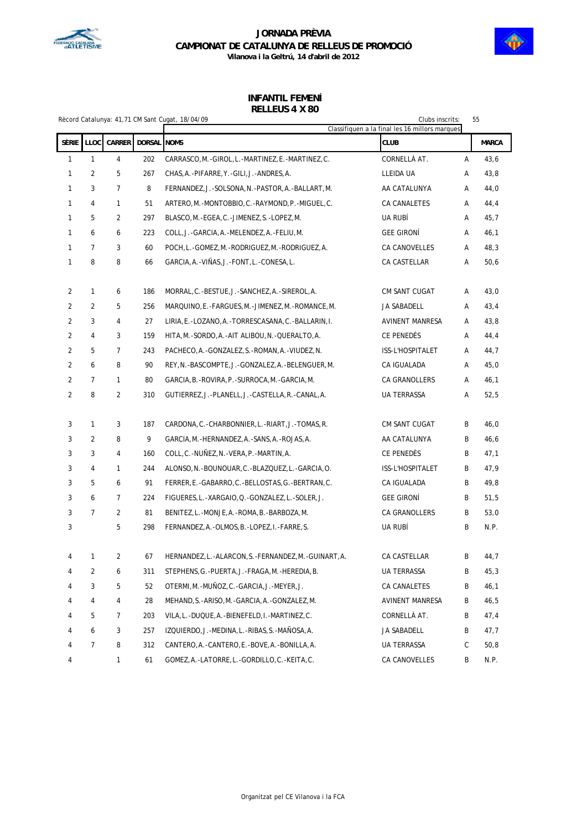



|                |                |                |                    | Rècord Catalunya: 41,71 CM Sant Cugat, 18/04/09        | Clubs inscrits:<br>Classifiquen a la final les 16 millors marques |   | 55           |
|----------------|----------------|----------------|--------------------|--------------------------------------------------------|-------------------------------------------------------------------|---|--------------|
| Sèrie          | <b>LLOC</b>    | <b>CARRER</b>  | <b>DORSAL</b> NOMS |                                                        | <b>CLUB</b>                                                       |   | <b>MARCA</b> |
| $\mathbf{1}$   | $\mathbf{1}$   | $\overline{4}$ | 202                | CARRASCO, M.-GIROL, L.-MARTINEZ, E.-MARTINEZ, C.       | CORNELLÀ AT.                                                      | A | 43,6         |
| $\mathbf{1}$   | 2              | 5              | 267                | CHAS, A. - PIFARRE, Y. - GILI, J. - ANDRES, A.         | LLEIDA UA                                                         | Α | 43,8         |
| $\mathbf{1}$   | 3              | 7              | 8                  | FERNANDEZ, J.-SOLSONA, N.-PASTOR, A.-BALLART, M.       | AA CATALUNYA                                                      | Α | 44,0         |
| $\mathbf{1}$   | 4              | 1              | 51                 | ARTERO, M. - MONTOBBIO, C. - RAYMOND, P. - MIGUEL, C.  | CA CANALETES                                                      | Α | 44,4         |
| $\mathbf{1}$   | 5              | $\overline{2}$ | 297                | BLASCO, M. - EGEA, C. - JIMENEZ, S. - LOPEZ, M.        | UA RUBÍ                                                           | Α | 45,7         |
| 1              | 6              | 6              | 223                | COLL, J. - GARCIA, A. - MELENDEZ, A. - FELIU, M.       | <b>GEE GIRONI</b>                                                 | Α | 46,1         |
| $\mathbf{1}$   | 7              | 3              | 60                 | POCH, L.-GOMEZ, M.-RODRIGUEZ, M.-RODRIGUEZ, A.         | CA CANOVELLES                                                     | Α | 48,3         |
| 1              | 8              | 8              | 66                 | GARCIA, A. - VIÑAS, J. - FONT, L. - CONESA, L.         | CA CASTELLAR                                                      | Α | 50,6         |
| $\overline{2}$ | 1              | 6              | 186                | MORRAL, C. - BESTUE, J. - SANCHEZ, A. - SIREROL, A.    | CM SANT CUGAT                                                     | Α | 43,0         |
| 2              | 2              | 5              | 256                | MARQUINO, E. - FARGUES, M. - JIMENEZ, M. - ROMANCE, M. | JA SABADELL                                                       | Α | 43,4         |
| 2              | 3              | 4              | 27                 | LIRIA, E. -LOZANO, A. -TORRESCASANA, C. -BALLARIN, I.  | AVINENT MANRESA                                                   | Α | 43,8         |
| 2              | 4              | 3              | 159                | HITA, M. - SORDO, A. - AIT ALIBOU, N. - QUERALTO, A.   | CE PENEDÈS                                                        | Α | 44,4         |
| 2              | 5              | 7              | 243                | PACHECO, A. - GONZALEZ, S. - ROMAN, A. - VIUDEZ, N.    | ISS-L'HOSPITALET                                                  | Α | 44,7         |
| 2              | 6              | 8              | 90                 | REY, N. -BASCOMPTE, J. -GONZALEZ, A. -BELENGUER, M.    | CA IGUALADA                                                       | Α | 45,0         |
| 2              | 7              | 1              | 80                 | GARCIA, B. - ROVIRA, P. - SURROCA, M. - GARCIA, M.     | CA GRANOLLERS                                                     | Α | 46,1         |
| $\overline{2}$ | 8              | $\overline{2}$ | 310                | GUTIERREZ, J. -PLANELL, J. -CASTELLA, R. -CANAL, A.    | UA TERRASSA                                                       | Α | 52,5         |
| 3              | 1              | 3              | 187                | CARDONA, C.-CHARBONNIER, L.-RIART, J.-TOMAS, R.        | CM SANT CUGAT                                                     | B | 46,0         |
| 3              | 2              | 8              | 9                  | GARCIA, M. -HERNANDEZ, A. -SANS, A. -ROJAS, A.         | AA CATALUNYA                                                      | B | 46,6         |
| 3              | 3              | 4              | 160                | COLL, C. - NUÑEZ, N. - VERA, P. - MARTIN, A.           | CE PENEDÈS                                                        | B | 47,1         |
| 3              | 4              | $\mathbf{1}$   | 244                | ALONSO, N. - BOUNOUAR, C. - BLAZQUEZ, L. - GARCIA, O.  | ISS-L'HOSPITALET                                                  | B | 47,9         |
| 3              | 5              | 6              | 91                 | FERRER, E. - GABARRO, C. - BELLOSTAS, G. - BERTRAN, C. | CA IGUALADA                                                       | B | 49,8         |
| 3              | 6              | 7              | 224                | FIGUERES, L. - XARGAIO, Q. - GONZALEZ, L. - SOLER, J.  | <b>GEE GIRONÍ</b>                                                 | B | 51,5         |
| 3              | $\overline{7}$ | $\overline{2}$ | 81                 | BENITEZ, L.-MONJE, A.-ROMA, B.-BARBOZA, M.             | <b>CA GRANOLLERS</b>                                              | B | 53,0         |
| 3              |                | 5              | 298                | FERNANDEZ, A. -OLMOS, B. -LOPEZ, I. -FARRE, S.         | UA RUBÍ                                                           | B | N.P.         |
| 4              | 1              | 2              | 67                 | HERNANDEZ, L.-ALARCON, S.-FERNANDEZ, M.-GUINART, A.    | CA CASTELLAR                                                      | B | 44,7         |
| 4              | 2              | 6              | 311                | STEPHENS, G. -PUERTA, J. -FRAGA, M. -HEREDIA, B.       | UA TERRASSA                                                       | B | 45,3         |
| 4              | 3              | 5              | 52                 | OTERMI, M.-MUNOZ, C.-GARCIA, J.-MEYER, J.              | CA CANALETES                                                      | B | 46,1         |
| 4              | 4              | 4              | 28                 | MEHAND, S. - ARISO, M. - GARCIA, A. - GONZALEZ, M.     | AVINENT MANRESA                                                   | B | 46,5         |
| 4              | 5              | 7              | 203                | VILA, L. - DUQUE, A. - BIENEFELD, I. - MARTINEZ, C.    | CORNELLÀ AT.                                                      | B | 47,4         |
| 4              | 6              | 3              | 257                | IZQUIERDO, J.-MEDINA, L.-RIBAS, S.-MAÑOSA, A.          | JA SABADELL                                                       | B | 47,7         |
| 4              | 7              | 8              | 312                | CANTERO, A. -CANTERO, E. - BOVE, A. - BONILLA, A.      | UA TERRASSA                                                       | С | 50,8         |
| 4              |                | $\mathbf{1}$   | 61                 | GOMEZ, A. -LATORRE, L. -GORDILLO, C. -KEITA, C.        | CA CANOVELLES                                                     | B | N.P.         |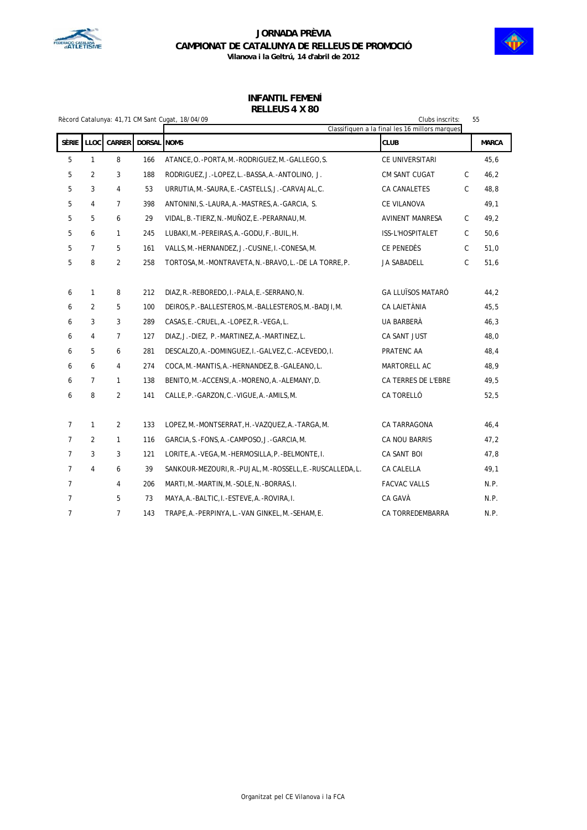



# **INFANTIL FEMENÍ**

### **RELLEUS 4 X 80**

|                |                |                |             | Rècord Catalunya: 41,71 CM Sant Cugat, 18/04/09            | Clubs inscrits:                                               |              | 55           |  |
|----------------|----------------|----------------|-------------|------------------------------------------------------------|---------------------------------------------------------------|--------------|--------------|--|
| Sèrie          | <b>LLOC</b>    | CARRER         | DORSAL NOMS |                                                            | Classifiquen a la final les 16 millors marques<br><b>CLUB</b> |              | <b>MARCA</b> |  |
| 5              | $\mathbf{1}$   | 8              | 166         | ATANCE, O. - PORTA, M. - RODRIGUEZ, M. - GALLEGO, S.       | CE UNIVERSITARI                                               |              | 45,6         |  |
| 5              | $\overline{2}$ | 3              | 188         | RODRIGUEZ, J.-LOPEZ, L.-BASSA, A.-ANTOLINO, J.             | CM SANT CUGAT                                                 | $\mathsf{C}$ | 46,2         |  |
| 5              | 3              | 4              | 53          | URRUTIA, M.-SAURA, E.-CASTELLS, J.-CARVAJAL, C.            | CA CANALETES                                                  | $\mathsf{C}$ | 48,8         |  |
| 5              | 4              | $\overline{7}$ | 398         | ANTONINI, S. -LAURA, A. -MASTRES, A. -GARCIA, S.           | CE VILANOVA                                                   |              | 49,1         |  |
| 5              | 5              | 6              | 29          | VIDAL, B. - TIERZ, N. - MUÑOZ, E. - PERARNAU, M.           | AVINENT MANRESA                                               | $\mathsf{C}$ | 49,2         |  |
| 5              | 6              | $\mathbf{1}$   | 245         | LUBAKI, M. - PEREIRAS, A. - GODU, F. - BUIL, H.            | ISS-L'HOSPITALET                                              | $\mathsf{C}$ | 50,6         |  |
| 5              | $\overline{7}$ | 5              | 161         | VALLS, M. - HERNANDEZ, J. - CUSINE, I. - CONESA, M.        | CE PENEDÈS                                                    | $\mathsf C$  | 51,0         |  |
| 5              | 8              | $\overline{2}$ | 258         | TORTOSA, M. - MONTRAVETA, N. - BRAVO, L. - DE LA TORRE, P. | JA SABADELL                                                   | $\mathsf{C}$ | 51,6         |  |
|                |                |                |             |                                                            |                                                               |              |              |  |
| 6              | 1              | 8              | 212         | DIAZ, R. - REBOREDO, I. - PALA, E. - SERRANO, N.           | <b>GA LLUÏSOS MATARÓ</b>                                      |              | 44,2         |  |
| 6              | 2              | 5              | 100         | DEIROS, P. - BALLESTEROS, M. - BALLESTEROS, M. - BADJI, M. | CA LAIETÀNIA                                                  |              | 45,5         |  |
| 6              | 3              | 3              | 289         | CASAS, E. - CRUEL, A. - LOPEZ, R. - VEGA, L.               | UA BARBERÀ                                                    |              | 46,3         |  |
| 6              | 4              | $\overline{7}$ | 127         | DIAZ, J.-DIEZ, P.-MARTINEZ, A.-MARTINEZ, L.                | CA SANT JUST                                                  |              | 48,0         |  |
| 6              | 5              | 6              | 281         | DESCALZO, A. - DOMINGUEZ, I. - GALVEZ, C. - ACEVEDO, I.    | PRATENC AA                                                    |              | 48,4         |  |
| 6              | 6              | 4              | 274         | COCA, M. -MANTIS, A. -HERNANDEZ, B. -GALEANO, L.           | MARTORELL AC                                                  |              | 48,9         |  |
| 6              | $\overline{7}$ | $\mathbf{1}$   | 138         | BENITO, M. - ACCENSI, A. - MORENO, A. - ALEMANY, D.        | CA TERRES DE L'EBRE                                           |              | 49,5         |  |
| 6              | 8              | $\overline{2}$ | 141         | CALLE, P. - GARZON, C. - VIGUE, A. - AMILS, M.             | CA TORELLÓ                                                    |              | 52,5         |  |
|                |                |                |             |                                                            |                                                               |              |              |  |
| $\overline{7}$ | 1              | 2              | 133         | LOPEZ, M. - MONTSERRAT, H. - VAZQUEZ, A. - TARGA, M.       | CA TARRAGONA                                                  |              | 46, 4        |  |
| $\overline{7}$ | 2              | $\mathbf{1}$   | 116         | GARCIA, S. - FONS, A. - CAMPOSO, J. - GARCIA, M.           | CA NOU BARRIS                                                 |              | 47,2         |  |
| $\overline{7}$ | 3              | 3              | 121         | LORITE, A. - VEGA, M. - HERMOSILLA, P. - BELMONTE, I.      | CA SANT BOI                                                   |              | 47,8         |  |
| $\overline{7}$ | $\overline{4}$ | 6              | 39          | SANKOUR-MEZOURI, R.-PUJAL, M.-ROSSELL, E.-RUSCALLEDA, L.   | CA CALELLA                                                    |              | 49,1         |  |
| $\overline{7}$ |                | 4              | 206         | MARTI, M.-MARTIN, M.-SOLE, N.-BORRAS, I.                   | <b>FACVAC VALLS</b>                                           |              | N.P.         |  |
| $\overline{7}$ |                | 5              | 73          | MAYA, A.-BALTIC, I.-ESTEVE, A.-ROVIRA, I.                  | CA GAVÀ                                                       |              | N.P.         |  |
| $\overline{7}$ |                | $\overline{7}$ | 143         | TRAPE, A. - PERPINYA, L. - VAN GINKEL, M. - SEHAM, E.      | CA TORREDEMBARRA                                              |              | N.P.         |  |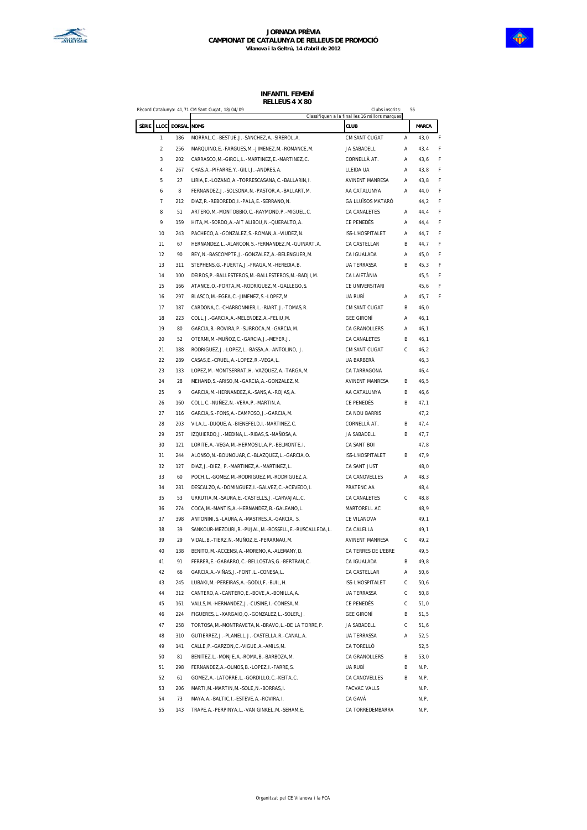

|       |                         |        | Record Catalunya: 41,71 CM Sant Cugat, 18/04/09                | Clubs inscrits:                                        |   | 55           |   |
|-------|-------------------------|--------|----------------------------------------------------------------|--------------------------------------------------------|---|--------------|---|
| SÈRIE | LLOC                    | DORSAL | <b>NOMS</b>                                                    | Classifiquen a la final les 16 millors marques<br>CLUB |   | <b>MARCA</b> |   |
|       | 1                       | 186    | MORRAL, C. - BESTUE, J. - SANCHEZ, A. - SIREROL, A.            | CM SANT CUGAT                                          | Α | 43,0         | F |
|       | $\overline{\mathbf{c}}$ | 256    | MARQUINO, E.-FARGUES, M.-JIMENEZ, M.-ROMANCE, M.               | JA SABADELL                                            | Α | 43,4         | F |
|       | 3                       | 202    | CARRASCO, M. - GIROL, L. - MARTINEZ, E. - MARTINEZ, C.         | CORNELLÀ AT.                                           | Α | 43,6         | F |
|       | 4                       | 267    | CHAS, A. - PIFARRE, Y. - GILI, J. - ANDRES, A.                 | LLEIDA UA                                              | Α | 43,8         | F |
|       | 5                       | 27     | LIRIA, E. - LOZANO, A. - TORRESCASANA, C. - BALLARIN, I.       | <b>AVINENT MANRESA</b>                                 | Α | 43,8         | F |
|       | 6                       | 8      | FERNANDEZ, J.-SOLSONA, N.-PASTOR, A.-BALLART, M.               | AA CATALUNYA                                           | Α | 44,0         | F |
|       | 7                       | 212    | DIAZ, R. - REBOREDO, I. - PALA, E. - SERRANO, N.               | GA LLUÏSOS MATARÓ                                      |   | 44,2         | F |
|       | 8                       | 51     | ARTERO, M.-MONTOBBIO, C.-RAYMOND, P.-MIGUEL, C.                | CA CANALETES                                           | Α | 44,4         | F |
|       | 9                       | 159    | HITA, M. - SORDO, A. - AIT ALIBOU, N. - QUERALTO, A.           | CE PENEDÈS                                             | Α | 44,4         | F |
|       | 10                      | 243    | PACHECO, A. - GONZALEZ, S. - ROMAN, A. - VIUDEZ, N.            | ISS-L'HOSPITALET                                       | Α | 44,7         | F |
|       | 11                      | 67     | HERNANDEZ, L.-ALARCON, S.-FERNANDEZ, M.-GUINART, A.            | CA CASTELLAR                                           | B | 44.7         | F |
|       | 12                      | 90     | REY, N. - BASCOMPTE, J. - GONZALEZ, A. - BELENGUER, M.         | CA IGUALADA                                            | Α | 45,0         | F |
|       | 13                      | 311    | STEPHENS, G.-PUERTA, J.-FRAGA, M.-HEREDIA, B.                  | <b>UA TERRASSA</b>                                     | B | 45,3         | F |
|       | 14                      | 100    | DEIROS, P. - BALLESTEROS, M. - BALLESTEROS, M. - BADJI, M.     | CA LAIETÀNIA                                           |   | 45,5         | F |
|       | 15                      | 166    | ATANCE, O. - PORTA, M. - RODRIGUEZ, M. - GALLEGO, S.           | CE UNIVERSITARI                                        |   | 45,6         | F |
|       | 16                      | 297    | BLASCO, M. - EGEA, C. - JIMENEZ, S. - LOPEZ, M.                | UA RUBÍ                                                | Α | 45,7         | F |
|       | 17                      | 187    | CARDONA, C. - CHARBONNIER, L. - RIART, J. - TOMAS, R.          | CM SANT CUGAT                                          | B | 46,0         |   |
|       | 18                      | 223    | COLL, J.-GARCIA, A.-MELENDEZ, A.-FELIU, M.                     | <b>GEE GIRONÍ</b>                                      | A | 46,1         |   |
|       | 19                      | 80     | GARCIA, B. - ROVIRA, P. - SURROCA, M. - GARCIA, M.             | CA GRANOLLERS                                          | Α | 46,1         |   |
|       | 20                      | 52     | OTERMI, M.-MUÑOZ, C.-GARCIA, J.-MEYER, J.                      | CA CANALETES                                           | В | 46,1         |   |
|       | 21                      | 188    | RODRIGUEZ, J.-LOPEZ, L.-BASSA, A.-ANTOLINO, J.                 | CM SANT CUGAT                                          | С | 46,2         |   |
|       | 22                      | 289    | CASAS, E. - CRUEL, A. - LOPEZ, R. - VEGA, L.                   | UA BARBERA                                             |   | 46,3         |   |
|       | 23                      | 133    | LOPEZ, M.-MONTSERRAT, H.-VAZQUEZ, A.-TARGA, M.                 | CA TARRAGONA                                           |   | 46,4         |   |
|       | 24                      | 28     | MEHAND, S. - ARISO, M. - GARCIA, A. - GONZALEZ, M.             | <b>AVINENT MANRESA</b>                                 | B | 46,5         |   |
|       | 25                      | 9      | GARCIA, M. - HERNANDEZ, A. - SANS, A. - ROJAS, A.              | AA CATALUNYA                                           | В | 46,6         |   |
|       | 26                      | 160    | COLL, C. - NUÑEZ, N. - VERA, P. - MARTIN, A.                   | CE PENEDÈS                                             | В | 47,1         |   |
|       | 27                      | 116    | GARCIA, S. - FONS, A. - CAMPOSO, J. - GARCIA, M.               | CA NOU BARRIS                                          |   | 47,2         |   |
|       | 28                      | 203    | VILA, L.-DUQUE, A.-BIENEFELD, I.-MARTINEZ, C.                  | CORNELLÀ AT.                                           | B | 47,4         |   |
|       | 29                      | 257    | IZQUIERDO, J. - MEDINA, L. - RIBAS, S. - MAÑOSA, A.            | JA SABADELL                                            | B | 47,7         |   |
|       | 30                      | 121    | LORITE, A. - VEGA, M. - HERMOSILLA, P. - BELMONTE, I.          | CA SANT BOI                                            |   | 47,8         |   |
|       | 31                      | 244    | ALONSO, N. - BOUNOUAR, C. - BLAZQUEZ, L. - GARCIA, O.          | ISS-L'HOSPITALET                                       | B | 47,9         |   |
|       | 32                      | 127    | DIAZ, J.-DIEZ, P.-MARTINEZ, A.-MARTINEZ, L.                    | CA SANT JUST                                           |   | 48,0         |   |
|       | 33                      | 60     | POCH, L.-GOMEZ, M.-RODRIGUEZ, M.-RODRIGUEZ, A.                 | CA CANOVELLES                                          | Α | 48,3         |   |
|       | 34                      | 281    | DESCALZO, A.-DOMINGUEZ, I.-GALVEZ, C.-ACEVEDO, I.              | PRATENC AA                                             |   | 48,4         |   |
|       | 35                      | 53     | URRUTIA, M. - SAURA, E. - CASTELLS, J. - CARVAJAL, C.          | CA CANALETES                                           | С | 48,8         |   |
|       | 36                      | 274    | COCA, M. - MANTIS, A. - HERNANDEZ, B. - GALEANO, L.            | MARTORELL AC                                           |   | 48,9         |   |
|       | 37                      | 398    | ANTONINI, S.-LAURA, A.-MASTRES, A.-GARCIA, S.                  | CE VILANOVA                                            |   | 49,1         |   |
|       | 38                      | 39     | SANKOUR-MEZOURI, R. - PUJAL, M. - ROSSELL, E. - RUSCALLEDA, L. | CA CALELLA                                             |   | 49,1         |   |
|       | 39                      | 29     | VIDAL, B. - TIERZ, N. - MUÑOZ, E. - PERARNAU, M.               | <b>AVINENT MANRESA</b>                                 | С | 49,2         |   |
|       | 40                      | 138    | BENITO, M. - ACCENSI, A. - MORENO, A. - ALEMANY, D.            | CA TERRES DE L'EBRE                                    |   | 49,5         |   |
|       | 41                      | 91     | FERRER, E. - GABARRO, C. - BELLOSTAS, G. - BERTRAN, C.         | CA IGUALADA                                            | B | 49,8         |   |
|       | 42                      | 66     | GARCIA, A. - VIÑAS, J. - FONT, L. - CONESA, L.                 | CA CASTELLAR                                           | Α | 50,6         |   |
|       | 43                      | 245    | LUBAKI, M. - PEREIRAS, A. - GODU, F. - BUIL, H.                | ISS-L'HOSPITALET                                       | С | 50,6         |   |
|       | 44                      | 312    | CANTERO, A. - CANTERO, E. - BOVE, A. - BONILLA, A.             | UA TERRASSA                                            | С | 50,8         |   |
|       | 45                      | 161    | VALLS, M. - HERNANDEZ, J. - CUSINE, I. - CONESA, M.            | CE PENEDÈS                                             | С | 51,0         |   |
|       | 46                      | 224    | FIGUERES, L. - XARGAIO, Q. - GONZALEZ, L. - SOLER, J.          | <b>GEE GIRONÍ</b>                                      | В | 51,5         |   |
|       | 47                      | 258    | TORTOSA, M. - MONTRAVETA, N. - BRAVO, L. - DE LA TORRE, P.     | JA SABADELL                                            | С | 51,6         |   |
|       | 48                      | 310    | GUTIERREZ, J.-PLANELL, J.-CASTELLA, R.-CANAL, A.               | <b>UA TERRASSA</b>                                     | Α | 52,5         |   |
|       | 49                      | 141    | CALLE, P. - GARZON, C. - VIGUE, A. - AMILS, M.                 | CA TORELLÓ                                             |   | 52,5         |   |
|       | 50                      | 81     | BENITEZ,L.-MONJE,A.-ROMA,B.-BARBOZA,M.                         | CA GRANOLLERS                                          | В | 53,0         |   |
|       | 51                      | 298    | FERNANDEZ, A. - OLMOS, B. - LOPEZ, I. - FARRE, S.              | UA RUBÍ                                                | В | N.P.         |   |
|       | 52                      | 61     | GOMEZ, A. - LATORRE, L. - GORDILLO, C. - KEITA, C.             | CA CANOVELLES                                          | В | N.P.         |   |
|       | 53                      | 206    | MARTI, M. -MARTIN, M. -SOLE, N. -BORRAS, I.                    | <b>FACVAC VALLS</b>                                    |   | N.P.         |   |
|       | 54                      | 73     | MAYA, A. - BALTIC, I. - ESTEVE, A. - ROVIRA, I.                | CA GAVÀ                                                |   | N.P.         |   |
|       | 55                      | 143    | TRAPE, A. - PERPINYA, L. - VAN GINKEL, M. - SEHAM, E.          | CA TORREDEMBARRA                                       |   | N.P.         |   |
|       |                         |        |                                                                |                                                        |   |              |   |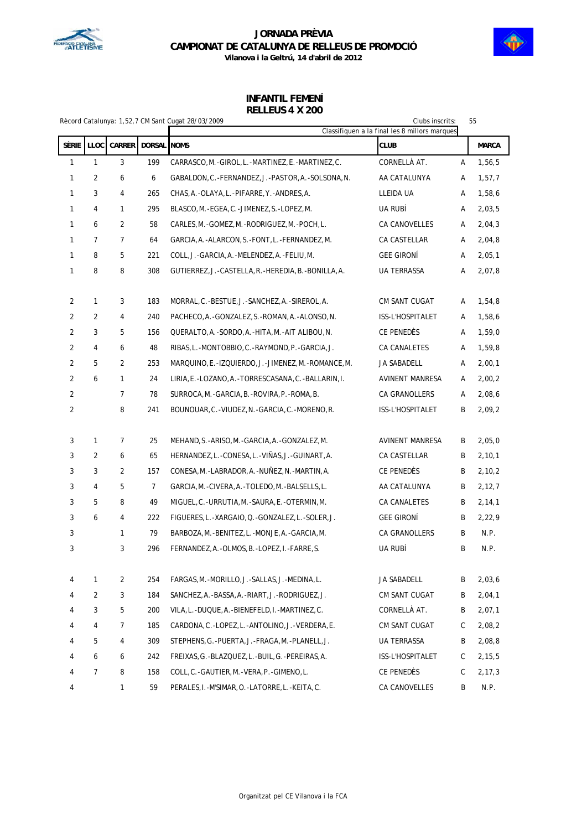



|        | Rècord Catalunya: 1,52,7 CM Sant Cugat 28/03/2009<br>Clubs inscrits:<br>55<br>Classifiquen a la final les 8 millors marques |                |                    |                                                          |                        |        |              |
|--------|-----------------------------------------------------------------------------------------------------------------------------|----------------|--------------------|----------------------------------------------------------|------------------------|--------|--------------|
| SÈRIE  | <b>LLOC</b>                                                                                                                 | <b>CARRER</b>  | <b>DORSAL NOMS</b> |                                                          | <b>CLUB</b>            |        | <b>MARCA</b> |
|        | 1                                                                                                                           | 3              | 199                |                                                          | CORNELLÀ AT.           |        | 1,56,5       |
| 1<br>1 | $\overline{2}$                                                                                                              | 6              | 6                  | CARRASCO, M.-GIROL, L.-MARTINEZ, E.-MARTINEZ, C.         |                        | Α<br>Α |              |
|        |                                                                                                                             |                |                    | GABALDON, C. - FERNANDEZ, J. - PASTOR, A. - SOLSONA, N.  | AA CATALUNYA           |        | 1,57,7       |
| 1      | 3                                                                                                                           | 4              | 265                | CHAS, A. -OLAYA, L. -PIFARRE, Y. -ANDRES, A.             | LLEIDA UA              | Α      | 1,58,6       |
| 1      | 4                                                                                                                           | 1              | 295                | BLASCO, M. - EGEA, C. - JIMENEZ, S. - LOPEZ, M.          | UA RUBÍ                | Α      | 2,03,5       |
| 1      | 6                                                                                                                           | 2              | 58                 | CARLES, M. - GOMEZ, M. - RODRIGUEZ, M. - POCH, L.        | CA CANOVELLES          | Α      | 2,04,3       |
| 1      | $\overline{7}$                                                                                                              | $\overline{7}$ | 64                 | GARCIA, A.-ALARCON, S.-FONT, L.-FERNANDEZ, M.            | CA CASTELLAR           | Α      | 2,04,8       |
| 1      | 8                                                                                                                           | 5              | 221                | COLL, J. - GARCIA, A. - MELENDEZ, A. - FELIU, M.         | <b>GEE GIRONI</b>      | Α      | 2,05,1       |
| 1      | 8                                                                                                                           | 8              | 308                | GUTIERREZ, J.-CASTELLA, R.-HEREDIA, B.-BONILLA, A.       | UA TERRASSA            | А      | 2,07,8       |
| 2      | 1                                                                                                                           | 3              | 183                | MORRAL, C.-BESTUE, J.-SANCHEZ, A.-SIREROL, A.            | CM SANT CUGAT          | Α      | 1,54,8       |
| 2      | $\overline{2}$                                                                                                              | 4              | 240                | PACHECO, A. - GONZALEZ, S. - ROMAN, A. - ALONSO, N.      | ISS-L'HOSPITALET       | Α      | 1,58,6       |
| 2      | 3                                                                                                                           | 5              | 156                | QUERALTO, A. - SORDO, A. - HITA, M. - AIT ALIBOU, N.     | CE PENEDÉS             | Α      | 1,59,0       |
| 2      | 4                                                                                                                           | 6              | 48                 | RIBAS, L.-MONTOBBIO, C.-RAYMOND, P.-GARCIA, J.           | CA CANALETES           | Α      | 1,59,8       |
| 2      | 5                                                                                                                           | 2              | 253                | MARQUINO, E.-IZQUIERDO, J.-JIMENEZ, M.-ROMANCE, M.       | <b>JA SABADELL</b>     | Α      | 2,00,1       |
| 2      | 6                                                                                                                           | 1              | 24                 | LIRIA, E. - LOZANO, A. - TORRESCASANA, C. - BALLARIN, I. | AVINENT MANRESA        | Α      | 2,00,2       |
| 2      |                                                                                                                             | $\overline{7}$ | 78                 | SURROCA, M. - GARCIA, B. - ROVIRA, P. - ROMA, B.         | CA GRANOLLERS          | Α      | 2,08,6       |
| 2      |                                                                                                                             | 8              | 241                | BOUNOUAR, C. - VIUDEZ, N. - GARCIA, C. - MORENO, R.      | ISS-L'HOSPITALET       | B      | 2,09,2       |
|        |                                                                                                                             |                |                    |                                                          |                        |        |              |
| 3      | 1                                                                                                                           | $\overline{7}$ | 25                 | MEHAND, S. - ARISO, M. - GARCIA, A. - GONZALEZ, M.       | <b>AVINENT MANRESA</b> | B      | 2,05,0       |
| 3      | 2                                                                                                                           | 6              | 65                 | HERNANDEZ, L.-CONESA, L.-VIÑAS, J.-GUINART, A.           | CA CASTELLAR           | B      | 2, 10, 1     |
| 3      | 3                                                                                                                           | $\overline{2}$ | 157                | CONESA, M. - LABRADOR, A. - NUÑEZ, N. - MARTIN, A.       | CE PENEDES             | B      | 2,10,2       |
| 3      | 4                                                                                                                           | 5              | $\overline{7}$     | GARCIA, M. - CIVERA, A. - TOLEDO, M. - BALSELLS, L.      | AA CATALUNYA           | B      | 2, 12, 7     |
| 3      | 5                                                                                                                           | 8              | 49                 | MIGUEL, C.-URRUTIA, M.-SAURA, E.-OTERMIN, M.             | CA CANALETES           | B      | 2, 14, 1     |
| 3      | 6                                                                                                                           | 4              | 222                | FIGUERES, L.-XARGAIO, Q.-GONZALEZ, L.-SOLER, J.          | <b>GEE GIRONI</b>      | B      | 2,22,9       |
| 3      |                                                                                                                             | 1              | 79                 | BARBOZA, M. - BENITEZ, L. - MONJE, A. - GARCIA, M.       | <b>CA GRANOLLERS</b>   | B      | N.P.         |
| 3      |                                                                                                                             | 3              | 296                | FERNANDEZ, A. -OLMOS, B. -LOPEZ, I. -FARRE, S.           | <b>UA RUBÍ</b>         | B      | N.P.         |
|        |                                                                                                                             |                |                    |                                                          |                        |        |              |
| 4      | 1                                                                                                                           | 2              | 254                | FARGAS.M.-MORILLO.J.-SALLAS.J.-MEDINA.L.                 | JA SABADELL            | B      | 2,03,6       |
| 4      | $\overline{2}$                                                                                                              | 3              | 184                | SANCHEZ, A. -BASSA, A. -RIART, J. -RODRIGUEZ, J.         | CM SANT CUGAT          | B      | 2,04,1       |
| 4      | 3                                                                                                                           | 5              | 200                | VILA, L. - DUQUE, A. - BIENEFELD, I. - MARTINEZ, C.      | CORNELLA AT.           | B      | 2,07,1       |
| 4      | 4                                                                                                                           | 7              | 185                | CARDONA, C.-LOPEZ, L.-ANTOLINO, J.-VERDERA, E.           | CM SANT CUGAT          | C      | 2,08,2       |
| 4      | 5                                                                                                                           | 4              | 309                | STEPHENS, G. - PUERTA, J. - FRAGA, M. - PLANELL, J.      | UA TERRASSA            | B      | 2,08,8       |
| 4      | 6                                                                                                                           | 6              | 242                | FREIXAS, G. -BLAZQUEZ, L. -BUIL, G. -PEREIRAS, A.        | ISS-L'HOSPITALET       | С      | 2, 15, 5     |
| 4      | $\overline{7}$                                                                                                              | 8              | 158                | COLL, C.-GAUTIER, M.-VERA, P.-GIMENO, L.                 | CE PENEDÉS             | С      | 2,17,3       |
| 4      |                                                                                                                             | 1              | 59                 | PERALES, I. - M'SIMAR, O. - LATORRE, L. - KEITA, C.      | CA CANOVELLES          | B      | N.P.         |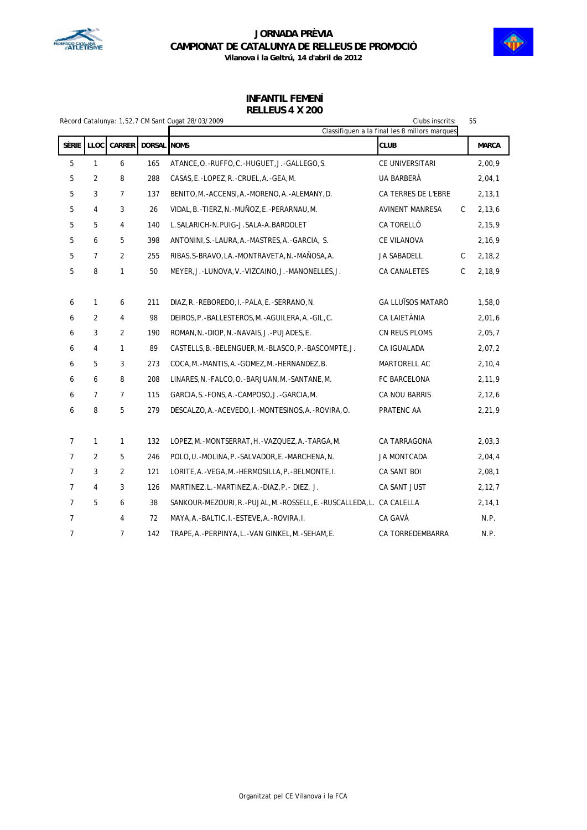



|                |                |                |                    | Rècord Catalunya: 1,52,7 CM Sant Cugat 28/03/2009                         | Clubs inscrits:                               |   | 55           |
|----------------|----------------|----------------|--------------------|---------------------------------------------------------------------------|-----------------------------------------------|---|--------------|
|                |                |                |                    |                                                                           | Classifiquen a la final les 8 millors marques |   |              |
| SÈRIE          | <b>LLOC</b>    | CARRER         | <b>DORSAL NOMS</b> |                                                                           | <b>CLUB</b>                                   |   | <b>MARCA</b> |
| 5              | 1              | 6              | 165                | ATANCE, O. - RUFFO, C. - HUGUET, J. - GALLEGO, S.                         | CE UNIVERSITARI                               |   | 2,00,9       |
| 5              | 2              | 8              | 288                | CASAS, E. -LOPEZ, R. -CRUEL, A. -GEA, M.                                  | UA BARBERÀ                                    |   | 2,04,1       |
| 5              | 3              | $\overline{7}$ | 137                | BENITO, M. - ACCENSI, A. - MORENO, A. - ALEMANY, D.                       | CA TERRES DE L'EBRE                           |   | 2,13,1       |
| 5              | 4              | 3              | 26                 | VIDAL, B. - TIERZ, N. - MUÑOZ, E. - PERARNAU, M.                          | <b>AVINENT MANRESA</b>                        | C | 2, 13, 6     |
| 5              | 5              | 4              | 140                | L. SALARICH-N. PUIG-J. SALA-A. BARDOLET                                   | CA TORELLÓ                                    |   | 2,15,9       |
| 5              | 6              | 5              | 398                | ANTONINI, S. - LAURA, A. - MASTRES, A. - GARCIA, S.                       | CE VILANOVA                                   |   | 2,16,9       |
| 5              | $\overline{7}$ | $\overline{2}$ | 255                | RIBAS, S-BRAVO, LA. -MONTRAVETA, N. -MAÑOSA, A.                           | JA SABADELL                                   | C | 2, 18, 2     |
| 5              | 8              | 1              | 50                 | MEYER, J.-LUNOVA, V.-VIZCAINO, J.-MANONELLES, J.                          | CA CANALETES                                  | C | 2,18,9       |
|                |                |                |                    |                                                                           |                                               |   |              |
| 6              | 1              | 6              | 211                | DIAZ, R. - REBOREDO, I. - PALA, E. - SERRANO, N.                          | <b>GA LLUÏSOS MATARÓ</b>                      |   | 1,58,0       |
| 6              | 2              | 4              | 98                 | DEIROS, P. - BALLESTEROS, M. - AGUILERA, A. - GIL, C.                     | CA LAIETÀNIA                                  |   | 2,01,6       |
| 6              | 3              | 2              | 190                | ROMAN, N. -DIOP, N. -NAVAIS, J. -PUJADES, E.                              | CN REUS PLOMS                                 |   | 2,05,7       |
| 6              | 4              | 1              | 89                 | CASTELLS, B.-BELENGUER, M.-BLASCO, P.-BASCOMPTE, J.                       | CA IGUALADA                                   |   | 2,07,2       |
| 6              | 5              | 3              | 273                | COCA, M.-MANTIS, A.-GOMEZ, M.-HERNANDEZ, B.                               | MARTORELL AC                                  |   | 2, 10, 4     |
| 6              | 6              | 8              | 208                | LINARES, N. - FALCO, O. - BARJUAN, M. - SANTANE, M.                       | FC BARCELONA                                  |   | 2,11,9       |
| 6              | 7              | $\overline{7}$ | 115                | GARCIA, S.-FONS, A.-CAMPOSO, J.-GARCIA, M.                                | CA NOU BARRIS                                 |   | 2,12,6       |
| 6              | 8              | 5              | 279                | DESCALZO, A. - ACEVEDO, I. - MONTESINOS, A. - ROVIRA, O.                  | PRATENC AA                                    |   | 2,21,9       |
|                |                |                |                    |                                                                           |                                               |   |              |
| 7              | 1              | 1              | 132                | LOPEZ, M. -MONTSERRAT, H. -VAZQUEZ, A. -TARGA, M.                         | CA TARRAGONA                                  |   | 2,03,3       |
| 7              | 2              | 5              | 246                | POLO, U. - MOLINA, P. - SALVADOR, E. - MARCHENA, N.                       | JA MONTCADA                                   |   | 2,04,4       |
| $\overline{7}$ | 3              | $\sqrt{2}$     | 121                | LORITE, A. - VEGA, M. - HERMOSILLA, P. - BELMONTE, I.                     | CA SANT BOI                                   |   | 2,08,1       |
| 7              | 4              | 3              | 126                | MARTINEZ,L.-MARTINEZ,A.-DIAZ,P.- DIEZ, J.                                 | CA SANT JUST                                  |   | 2,12,7       |
| $\overline{7}$ | 5              | 6              | 38                 | SANKOUR-MEZOURI, R. - PUJAL, M. - ROSSELL, E. - RUSCALLEDA, L. CA CALELLA |                                               |   | 2, 14, 1     |
| $\overline{7}$ |                | 4              | 72                 | MAYA, A. - BALTIC, I. - ESTEVE, A. - ROVIRA, I.                           | CA GAVÀ                                       |   | N.P.         |
| 7              |                | 7              | 142                | TRAPE, A. - PERPINYA, L. - VAN GINKEL, M. - SEHAM, E.                     | CA TORREDEMBARRA                              |   | N.P.         |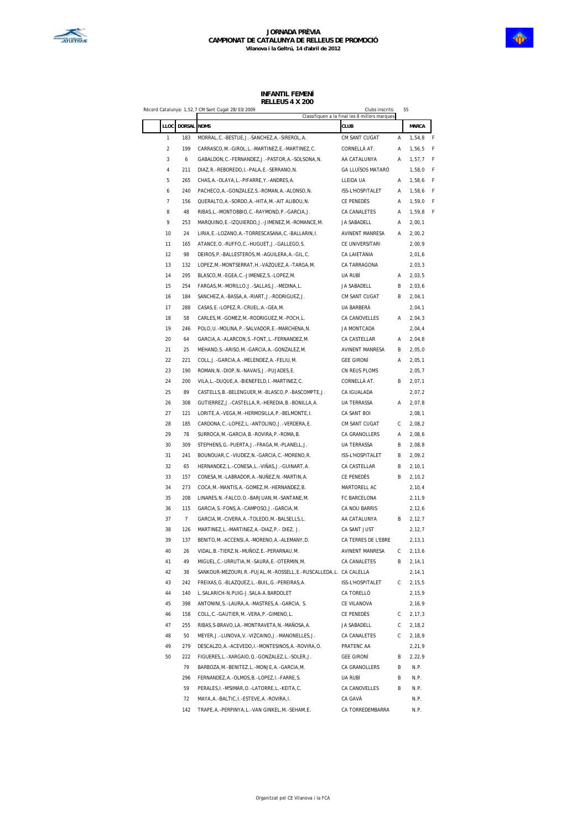

|             |                | Record Catalunya: 1,52,7 CM Sant Cugat 28/03/2009                   | Clubs inscrits:                                       | 55 |                    |
|-------------|----------------|---------------------------------------------------------------------|-------------------------------------------------------|----|--------------------|
| <b>LLOC</b> | DORSAL NOMS    |                                                                     | Classifiquen a la final les 8 millors marques<br>CLUB |    | MARCA              |
| 1           | 183            | MORRAL, C. - BESTUE, J. - SANCHEZ, A. - SIREROL, A.                 | CM SANT CUGAT                                         | Α  | 1,54,8             |
| 2           | 199            | CARRASCO, M. - GIROL, L. - MARTINEZ, E. - MARTINEZ, C.              | CORNELLÀ AT.                                          | Α  | 1,56,5             |
| 3           | 6              | GABALDON, C. - FERNANDEZ, J. - PASTOR, A. - SOLSONA, N.             | AA CATALUNYA                                          | Α  | 1,57,7             |
| 4           | 211            | DIAZ, R. - REBOREDO, I. - PALA, E. - SERRANO, N.                    | GA LLUÏSOS MATARÓ                                     |    | 1,58,0             |
| 5           | 265            | CHAS, A. - OLAYA, L. - PIFARRE, Y. - ANDRES, A.                     | LLEIDA UA                                             | Α  | 1,58,6             |
| 6           | 240            | PACHECO, A. - GONZALEZ, S. - ROMAN, A. - ALONSO, N.                 | ISS-L'HOSPITALET                                      | Α  | 1,58,6             |
| 7           | 156            | QUERALTO, A. - SORDO, A. - HITA, M. - AIT ALIBOU, N.                | CE PENEDÈS                                            | Α  | 1,59,0             |
| 8           | 48             | RIBAS, L.-MONTOBBIO, C.-RAYMOND, P.-GARCIA, J.                      | CA CANALETES                                          | Α  | 1,59,8             |
| 9           | 253            | MARQUINO, E. - IZQUIERDO, J. - JIMENEZ, M. - ROMANCE, M.            | JA SABADELL                                           | Α  | 2,00,1             |
| 10          | 24             | LIRIA, E. - LOZANO, A. - TORRESCASANA, C. - BALLARIN, I.            | <b>AVINENT MANRESA</b>                                | А  | 2,00,2             |
| 11          | 165            | ATANCE, O. - RUFFO, C. - HUGUET, J. - GALLEGO, S.                   | CE UNIVERSITARI                                       |    | 2,00,9             |
| 12          | 98             | DEIROS, P. - BALLESTEROS, M. - AGUILERA, A. - GIL, C.               | CA LAIETÀNIA                                          |    | 2,01,6             |
| 13          | 132            | LOPEZ, M. - MONTSERRAT, H. - VAZQUEZ, A. - TARGA, M.                | CA TARRAGONA                                          |    |                    |
|             |                |                                                                     |                                                       |    | 2,03,3             |
| 14          | 295            | BLASCO, M. - EGEA, C. - JIMENEZ, S. - LOPEZ, M.                     | UA RUBÍ                                               | Α  | 2,03,5             |
| 15          | 254            | FARGAS, M. -MORILLO, J. - SALLAS, J. -MEDINA, L.                    | JA SABADELL                                           | В  | 2,03,6             |
| 16          | 184            | SANCHEZ, A.-BASSA, A.-RIART, J.-RODRIGUEZ, J.                       | CM SANT CUGAT                                         | В  | 2,04,1             |
| 17          | 288            | CASAS, E. - LOPEZ, R. - CRUEL, A. - GEA, M.                         | <b>UA BARBERÀ</b>                                     |    | 2,04,1             |
| 18          | 58             | CARLES, M. - GOMEZ, M. - RODRIGUEZ, M. - POCH, L.                   | CA CANOVELLES                                         | А  | 2,04,3             |
| 19          | 246            | POLO, U. - MOLINA, P. - SALVADOR, E. - MARCHENA, N.                 | JA MONTCADA                                           |    | 2,04,4             |
| 20          | 64             | GARCIA, A.-ALARCON, S.-FONT, L.-FERNANDEZ, M.                       | CA CASTELLAR                                          | Α  | 2,04,8             |
| 21          | 25             | MEHAND, S. - ARISO, M. - GARCIA, A. - GONZALEZ, M.                  | <b>AVINENT MANRESA</b>                                | B  | 2,05,0             |
| 22          | 221            | COLL, J.-GARCIA, A.-MELENDEZ, A.-FELIU, M.                          | <b>GEE GIRONÍ</b>                                     | Α  | 2,05,1             |
| 23          | 190            | ROMAN, N. - DIOP, N. - NAVAIS, J. - PUJADES, E.                     | CN REUS PLOMS                                         |    | 2,05,7             |
| 24          | 200            | VILA, L. - DUQUE, A. - BIENEFELD, I. - MARTINEZ, C.                 | CORNELLÀ AT.                                          | В  | 2,07,1             |
| 25          | 89             | CASTELLS, B. - BELENGUER, M. - BLASCO, P. - BASCOMPTE, J.           | CA IGUALADA                                           |    | 2,07,2             |
| 26          | 308            | GUTIERREZ, J.-CASTELLA, R.-HEREDIA, B.-BONILLA, A.                  | UA TERRASSA                                           | Α  | 2,07,8             |
| 27          | 121            | LORITE, A. - VEGA, M. - HERMOSILLA, P. - BELMONTE, I.               | CA SANT BOI                                           |    | 2,08,1             |
| 28          | 185            | CARDONA, C. - LOPEZ, L. - ANTOLINO, J. - VERDERA, E.                | CM SANT CUGAT                                         | С  | 2,08,2             |
| 29          | 78             | SURROCA, M. - GARCIA, B. - ROVIRA, P. - ROMA, B.                    | CA GRANOLLERS                                         | А  | 2,08,6             |
| 30          | 309            | STEPHENS, G. - PUERTA, J. - FRAGA, M. - PLANELL, J.                 | UA TERRASSA                                           | B  | 2,08,8             |
| 31          | 241            | BOUNOUAR, C. - VIUDEZ, N. - GARCIA, C. - MORENO, R.                 | ISS-L'HOSPITALET                                      | В  | 2,09,2             |
| 32          | 65             | HERNANDEZ, L.-CONESA, L.-VIÑAS, J.-GUINART, A.                      | CA CASTELLAR                                          | В  | 2,10,1             |
| 33          | 157            | CONESA, M. -LABRADOR, A. - NUNEZ, N. - MARTIN, A.                   | CE PENEDÈS                                            | В  | 2,10,2             |
| 34          | 273            | COCA, M. - MANTIS, A. - GOMEZ, M. - HERNANDEZ, B.                   | MARTORELL AC                                          |    | 2,10,4             |
| 35          | 208            | LINARES, N. - FALCO, O. - BARJUAN, M. - SANTANE, M.                 | FC BARCELONA                                          |    | 2,11,9             |
| 36          | 115            | GARCIA, S. - FONS, A. - CAMPOSO, J. - GARCIA, M.                    |                                                       |    |                    |
|             | $\overline{7}$ |                                                                     | CA NOU BARRIS                                         |    | 2, 12, 6<br>2,12,7 |
| 37          |                | GARCIA, M.-CIVERA, A.-TOLEDO, M.-BALSELLS, L.                       | AA CATALUNYA                                          | В  |                    |
| 38          | 126            | MARTINEZ, L.-MARTINEZ, A.-DIAZ, P.- DIEZ, J.                        | CA SANT JUST                                          |    | 2,12,7             |
| 39          | 137            | BENITO, M. - ACCENSI, A. - MORENO, A. - ALEMANY, D.                 | CA TERRES DE L'EBRE                                   |    | 2,13,1             |
| 40          | 26             | VIDAL, B. - TIERZ, N. - MUÑOZ, E. - PERARNAU, M.                    | AVINENT MANRESA                                       | С  | 2,13,6             |
| 41          | 49             | MIGUEL, C.-URRUTIA, M.-SAURA, E.-OTERMIN, M.                        | CA CANALETES                                          | В  | 2,14,1             |
| 42          | 38             | SANKOUR-MEZOURI, R.-PUJAL, M.-ROSSELL, E.-RUSCALLEDA, L. CA CALELLA |                                                       |    | 2,14,1             |
| 43          | 242            | FREIXAS, G. - BLAZQUEZ, L. - BUIL, G. - PEREIRAS, A.                | ISS-L'HOSPITALET                                      | С  | 2, 15, 5           |
| 44          | 140            | L.SALARICH-N.PUIG-J.SALA-A.BARDOLET                                 | CA TORELLÓ                                            |    | 2,15,9             |
| 45          | 398            | ANTONINI, S. -LAURA, A. -MASTRES, A. -GARCIA, S.                    | CE VILANOVA                                           |    | 2,16,9             |
| 46          | 158            | COLL, C.-GAUTIER, M.-VERA, P.-GIMENO, L.                            | CE PENEDÈS                                            | C  | 2, 17, 3           |
| 47          | 255            | RIBAS, S-BRAVO, LA. - MONTRAVETA, N. - MAÑOSA, A.                   | JA SABADELL                                           | C  | 2, 18, 2           |
| 48          | 50             | MEYER, J.-LUNOVA, V.-VIZCAINO, J.-MANONELLES, J.                    | CA CANALETES                                          | C  | 2,18,9             |
| 49          | 279            | DESCALZO, A. - ACEVEDO, I. - MONTESINOS, A. - ROVIRA, O.            | PRATENC AA                                            |    | 2,21,9             |
| 50          | 222            | FIGUERES, L.-XARGAIO, Q.-GONZALEZ, L.-SOLER, J.                     | <b>GEE GIRONÍ</b>                                     | В  | 2,22,9             |
|             | 79             | BARBOZA, M. - BENITEZ, L. - MONJE, A. - GARCIA, M.                  | CA GRANOLLERS                                         | В  | N.P.               |
|             | 296            | FERNANDEZ, A. - OLMOS, B. - LOPEZ, I. - FARRE, S.                   | UA RUBÍ                                               | В  | N.P.               |
|             | 59             | PERALES, I. - M'SIMAR, O. - LATORRE, L. - KEITA, C.                 | CA CANOVELLES                                         | В  | N.P.               |
|             | 72             | MAYA, A. - BALTIC, I. - ESTEVE, A. - ROVIRA, I.                     | CA GAVÀ                                               |    | N.P.               |
|             | 142            | TRAPE, A. - PERPINYA, L. - VAN GINKEL, M. - SEHAM, E.               | CA TORREDEMBARRA                                      |    | N.P.               |
|             |                |                                                                     |                                                       |    |                    |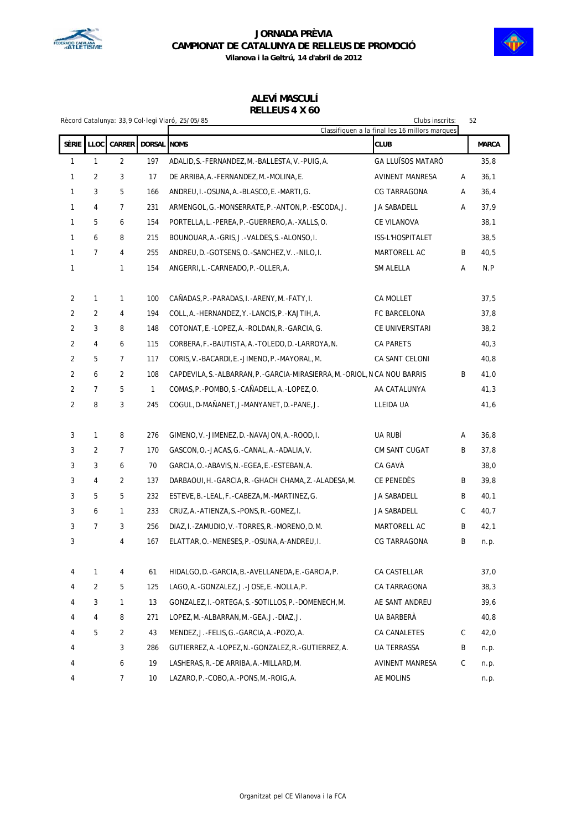



**Vilanova i la Geltrú, 14 d'abril de 2012**

# **ALEVÍ MASCULÍ**

### **RELLEUS 4 X 60**

|                |                |                |                    | Rècord Catalunya: 33,9 Col·legi Viaró, 25/05/85                               | Clubs inscrits:<br>Classifiquen a la final les 16 millors marques |   | 52           |
|----------------|----------------|----------------|--------------------|-------------------------------------------------------------------------------|-------------------------------------------------------------------|---|--------------|
| <b>SÈRIE</b>   | LLOC           | CARRER         | <b>DORSAL NOMS</b> |                                                                               | CLUB                                                              |   | <b>MARCA</b> |
| 1              | $\mathbf{1}$   | $\overline{2}$ | 197                | ADALID, S. -FERNANDEZ, M. -BALLESTA, V. -PUIG, A.                             | <b>GA LLUÏSOS MATARÓ</b>                                          |   | 35,8         |
| 1              | 2              | 3              | 17                 | DE ARRIBA, A. - FERNANDEZ, M. - MOLINA, E.                                    | AVINENT MANRESA                                                   | Α | 36,1         |
| 1              | 3              | 5              | 166                | ANDREU, I.-OSUNA, A.-BLASCO, E.-MARTI, G.                                     | CG TARRAGONA                                                      | Α | 36,4         |
| 1              | 4              | 7              | 231                | ARMENGOL, G.-MONSERRATE, P.-ANTON, P.-ESCODA, J.                              | JA SABADELL                                                       | Α | 37,9         |
| 1              | 5              | 6              | 154                | PORTELLA, L. - PEREA, P. - GUERRERO, A. - XALLS, O.                           | CE VILANOVA                                                       |   | 38,1         |
| 1              | 6              | 8              | 215                | BOUNOUAR, A. - GRIS, J. - VALDES, S. - ALONSO, I.                             | ISS-L'HOSPITALET                                                  |   | 38,5         |
| 1              | 7              | 4              | 255                | ANDREU, D. - GOTSENS, O. - SANCHEZ, V - NILO, I.                              | MARTORELL AC                                                      | B | 40,5         |
| 1              |                |                | 154                |                                                                               |                                                                   | Α | N.P          |
|                |                | 1              |                    | ANGERRI, L. -CARNEADO, P. -OLLER, A.                                          | SM ALELLA                                                         |   |              |
| 2              | 1              | $\mathbf{1}$   | 100                | CAÑADAS, P. -PARADAS, I. -ARENY, M. -FATY, I.                                 | CA MOLLET                                                         |   | 37,5         |
| $\overline{2}$ | 2              | 4              | 194                | COLL, A. - HERNANDEZ, Y. - LANCIS, P. - KAJTIH, A.                            | FC BARCELONA                                                      |   | 37,8         |
| $\overline{2}$ | 3              | 8              | 148                | COTONAT, E. - LOPEZ, A. - ROLDAN, R. - GARCIA, G.                             | CE UNIVERSITARI                                                   |   | 38,2         |
| $\overline{2}$ | 4              | 6              | 115                | CORBERA, F. - BAUTISTA, A. - TOLEDO, D. - LARROYA, N.                         | CA PARETS                                                         |   | 40,3         |
| $\overline{2}$ | 5              | $\overline{7}$ | 117                | CORIS, V. - BACARDI, E. - JIMENO, P. - MAYORAL, M.                            | CA SANT CELONI                                                    |   | 40,8         |
| 2              | 6              | 2              | 108                | CAPDEVILA, S. - ALBARRAN, P. - GARCIA-MIRASIERRA, M. - ORIOL, N CA NOU BARRIS |                                                                   | B | 41,0         |
| $\overline{2}$ | $\overline{7}$ | 5              | 1                  | COMAS, P. - POMBO, S. - CANADELL, A. - LOPEZ, O.                              | AA CATALUNYA                                                      |   | 41,3         |
| $\overline{2}$ | 8              | 3              | 245                | COGUL, D-MAÑANET, J-MANYANET, D. -PANE, J.                                    | LLEIDA UA                                                         |   | 41,6         |
|                |                |                |                    |                                                                               |                                                                   |   |              |
| 3              | 1              | 8              | 276                | GIMENO, V. - JIMENEZ, D. - NAVAJON, A. - ROOD, I.                             | ua Rubi                                                           | Α | 36,8         |
| 3              | 2              | $\overline{7}$ | 170                | GASCON, O. - JACAS, G. - CANAL, A. - ADALIA, V.                               | CM SANT CUGAT                                                     | B | 37,8         |
| 3              | 3              | 6              | 70                 | GARCIA, O. - ABAVIS, N. - EGEA, E. - ESTEBAN, A.                              | CA GAVA                                                           |   | 38,0         |
| 3              | 4              | 2              | 137                | DARBAOUI, H. - GARCIA, R. - GHACH CHAMA, Z. - ALADESA, M.                     | CE PENEDÉS                                                        | B | 39,8         |
| 3              | 5              | 5              | 232                | ESTEVE, B.-LEAL, F.-CABEZA, M.-MARTINEZ, G.                                   | JA SABADELL                                                       | B | 40,1         |
| 3              | 6              | 1              | 233                | CRUZ, A. - ATIENZA, S. - PONS, R. - GOMEZ, I.                                 | JA SABADELL                                                       | С | 40,7         |
| 3              | 7              | 3              | 256                | DIAZ, I.-ZAMUDIO, V.-TORRES, R.-MORENO, D.M.                                  | MARTORELL AC                                                      | B | 42,1         |
| 3              |                | 4              | 167                | ELATTAR, O. - MENESES, P. - OSUNA, A-ANDREU, I.                               | CG TARRAGONA                                                      | B | n.p.         |
|                |                |                |                    |                                                                               |                                                                   |   |              |
| 4              | 1              | 4              | 61                 | HIDALGO, D. - GARCIA, B. - AVELLANEDA, E. - GARCIA, P.                        | CA CASTELLAR                                                      |   | 37,0         |
| 4              | 2              | 5              | 125                | LAGO, A. - GONZALEZ, J. - JOSE, E. - NOLLA, P.                                | CA TARRAGONA                                                      |   | 38,3         |
| 4              | 3              | 1              | 13                 | GONZALEZ, I.-ORTEGA, S.-SOTILLOS, P.-DOMENECH, M.                             | AE SANT ANDREU                                                    |   | 39,6         |
| 4              | 4              | 8              | 271                | LOPEZ, M. -ALBARRAN, M. -GEA, J. -DIAZ, J.                                    | UA BARBERA                                                        |   | 40,8         |
| 4              | 5              | 2              | 43                 | MENDEZ, J.-FELIS, G.-GARCIA, A.-POZO, A.                                      | CA CANALETES                                                      | C | 42,0         |
| 4              |                | 3              | 286                | GUTIERREZ, A.-LOPEZ, N.-GONZALEZ, R.-GUTIERREZ, A.                            | UA TERRASSA                                                       | B | n.p.         |
| 4              |                | 6              | 19                 | LASHERAS, R.-DE ARRIBA, A.-MILLARD, M.                                        | AVINENT MANRESA                                                   | С | n.p.         |
| 4              |                | 7              | 10                 | LAZARO, P. - COBO, A. - PONS, M. - ROIG, A.                                   | AE MOLINS                                                         |   | n.p.         |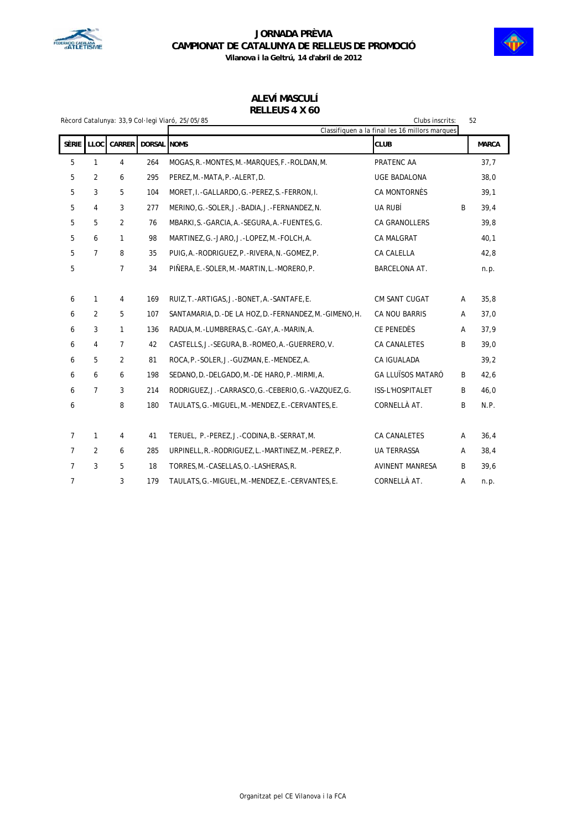



**ALEVÍ MASCULÍ**

| RELLEUS 4 X 60 |  |  |
|----------------|--|--|
|                |  |  |

|                |                |                |             | Rècord Catalunya: 33,9 Col·legi Viaró, 25/05/85             | Clubs inscrits:                                |   | 52           |
|----------------|----------------|----------------|-------------|-------------------------------------------------------------|------------------------------------------------|---|--------------|
|                |                |                |             |                                                             | Classifiquen a la final les 16 millors marques |   |              |
| Sèrie          | <b>LLOC</b>    | <b>CARRER</b>  | DORSAL NOMS |                                                             | <b>CLUB</b>                                    |   | <b>MARCA</b> |
| 5              | 1              | 4              | 264         | MOGAS, R. - MONTES, M. - MARQUES, F. - ROLDAN, M.           | PRATENC AA                                     |   | 37,7         |
| 5              | $\overline{2}$ | 6              | 295         | PEREZ, M. - MATA, P. - ALERT, D.                            | <b>UGE BADALONA</b>                            |   | 38,0         |
| 5              | 3              | 5              | 104         | MORET, I.-GALLARDO, G.-PEREZ, S.-FERRON, I.                 | CA MONTORNÈS                                   |   | 39,1         |
| 5              | 4              | 3              | 277         | MERINO, G.-SOLER, J.-BADIA, J.-FERNANDEZ, N.                | UA RUBÍ                                        | B | 39,4         |
| 5              | 5              | 2              | 76          | MBARKI, S. - GARCIA, A. - SEGURA, A. - FUENTES, G.          | CA GRANOLLERS                                  |   | 39,8         |
| 5              | 6              | $\mathbf{1}$   | 98          | MARTINEZ, G. - JARO, J. - LOPEZ, M. - FOLCH, A.             | CA MALGRAT                                     |   | 40,1         |
| 5              | $\overline{7}$ | 8              | 35          | PUIG, A. - RODRIGUEZ, P. - RIVERA, N. - GOMEZ, P.           | CA CALELLA                                     |   | 42,8         |
| 5              |                | $\overline{7}$ | 34          | PIÑERA, E. - SOLER, M. - MARTIN, L. - MORERO, P.            | BARCELONA AT.                                  |   | n.p.         |
|                |                |                |             |                                                             |                                                |   |              |
| 6              | 1              | $\overline{4}$ | 169         | RUIZ, T. - ARTIGAS, J. - BONET, A. - SANTAFE, E.            | <b>CM SANT CUGAT</b>                           | A | 35,8         |
| 6              | $\overline{2}$ | 5              | 107         | SANTAMARIA, D. - DE LA HOZ, D. - FERNANDEZ, M. - GIMENO, H. | CA NOU BARRIS                                  | Α | 37,0         |
| 6              | 3              | $\mathbf{1}$   | 136         | RADUA, M. - LUMBRERAS, C. - GAY, A. - MARIN, A.             | CE PENEDÈS                                     | Α | 37,9         |
| 6              | 4              | $\overline{7}$ | 42          | CASTELLS, J.-SEGURA, B.-ROMEO, A.-GUERRERO, V.              | CA CANALETES                                   | B | 39,0         |
| 6              | 5              | 2              | 81          | ROCA, P. - SOLER, J. - GUZMAN, E. - MENDEZ, A.              | CA IGUALADA                                    |   | 39,2         |
| 6              | 6              | 6              | 198         | SEDANO, D. - DELGADO, M. - DE HARO, P. - MIRMI, A.          | <b>GA LLUÏSOS MATARÓ</b>                       | B | 42,6         |
| 6              | $\overline{7}$ | 3              | 214         | RODRIGUEZ, J.-CARRASCO, G.-CEBERIO, G.-VAZQUEZ, G.          | ISS-L'HOSPITALET                               | B | 46,0         |
| 6              |                | 8              | 180         | TAULATS, G. - MIGUEL, M. - MENDEZ, E. - CERVANTES, E.       | CORNELLÀ AT.                                   | B | N.P.         |
|                |                |                |             |                                                             |                                                |   |              |
| $\overline{7}$ | 1              | $\overline{4}$ | 41          | TERUEL, P.-PEREZ, J.-CODINA, B.-SERRAT, M.                  | <b>CA CANALETES</b>                            | A | 36,4         |
| $\overline{7}$ | 2              | 6              | 285         | URPINELL, R. - RODRIGUEZ, L. - MARTINEZ, M. - PEREZ, P.     | <b>UA TERRASSA</b>                             | Α | 38,4         |
| $\overline{7}$ | 3              | 5              | 18          | TORRES, M. - CASELLAS, O. - LASHERAS, R.                    | <b>AVINENT MANRESA</b>                         | B | 39,6         |
| 7              |                | 3              | 179         | TAULATS, G. - MIGUEL, M. - MENDEZ, E. - CERVANTES, E.       | CORNELLÀ AT.                                   | Α | n.p.         |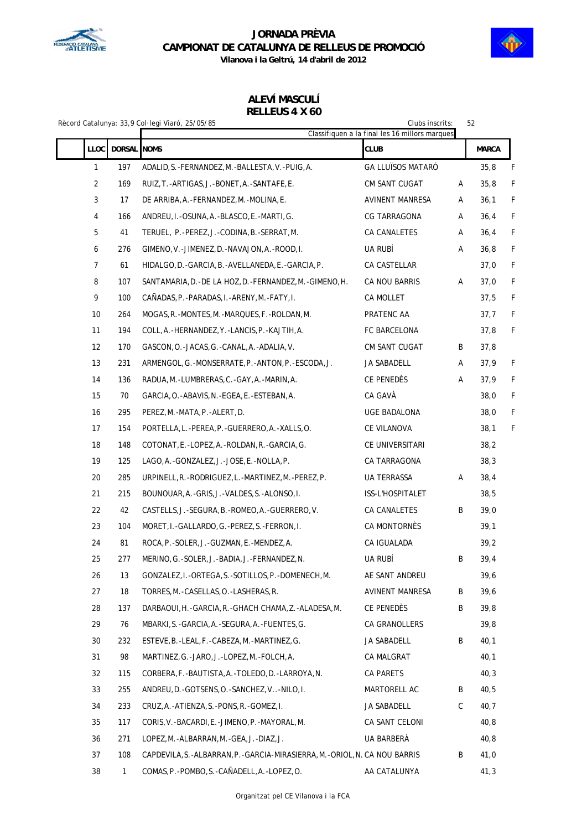



**Vilanova i la Geltrú, 14 d'abril de 2012**

### **ALEVÍ MASCULÍ RELLEUS 4 X 60**

|                  |              | Clubs inscrits:<br>52<br>Rècord Catalunya: 33,9 Col·legi Viaró, 25/05/85<br>Classifiquen a la final les 16 millors marques |                          |   |              |   |  |  |
|------------------|--------------|----------------------------------------------------------------------------------------------------------------------------|--------------------------|---|--------------|---|--|--|
| <b>LLOC</b>      | DORSAL NOMS  |                                                                                                                            | <b>CLUB</b>              |   | <b>MARCA</b> |   |  |  |
|                  |              |                                                                                                                            |                          |   |              |   |  |  |
| $\mathbf{1}$     | 197          | ADALID, S. - FERNANDEZ, M. - BALLESTA, V. - PUIG, A.                                                                       | <b>GA LLUÏSOS MATARÓ</b> |   | 35,8         | F |  |  |
| $\overline{2}$   | 169          | RUIZ, T. - ARTIGAS, J. - BONET, A. - SANTAFE, E.                                                                           | CM SANT CUGAT            | Α | 35,8         | F |  |  |
| 3                | 17           | DE ARRIBA, A. - FERNANDEZ, M. - MOLINA, E.                                                                                 | AVINENT MANRESA          | Α | 36,1         | F |  |  |
| 4                | 166          | ANDREU, I.-OSUNA, A.-BLASCO, E.-MARTI, G.                                                                                  | CG TARRAGONA             | Α | 36,4         | F |  |  |
| 5                | 41           | TERUEL, P.-PEREZ, J.-CODINA, B.-SERRAT, M.                                                                                 | CA CANALETES             | A | 36,4         | F |  |  |
| $\boldsymbol{6}$ | 276          | GIMENO, V. - JIMENEZ, D. - NAVAJON, A. - ROOD, I.                                                                          | UA RUBÍ                  | Α | 36,8         | F |  |  |
| $\overline{7}$   | 61           | HIDALGO, D. - GARCIA, B. - AVELLANEDA, E. - GARCIA, P.                                                                     | CA CASTELLAR             |   | 37,0         | F |  |  |
| 8                | 107          | SANTAMARIA, D. - DE LA HOZ, D. - FERNANDEZ, M. - GIMENO, H.                                                                | CA NOU BARRIS            | Α | 37,0         | F |  |  |
| 9                | 100          | CAÑADAS, P. - PARADAS, I. - ARENY, M. - FATY, I.                                                                           | CA MOLLET                |   | 37,5         | F |  |  |
| 10               | 264          | MOGAS, R. -MONTES, M. -MARQUES, F. - ROLDAN, M.                                                                            | PRATENC AA               |   | 37,7         | F |  |  |
| 11               | 194          | COLL, A. - HERNANDEZ, Y. - LANCIS, P. - KAJTIH, A.                                                                         | FC BARCELONA             |   | 37,8         | F |  |  |
| 12               | 170          | GASCON, O. -JACAS, G. -CANAL, A. -ADALIA, V.                                                                               | CM SANT CUGAT            | B | 37,8         |   |  |  |
| 13               | 231          | ARMENGOL, G. -MONSERRATE, P. - ANTON, P. - ESCODA, J.                                                                      | JA SABADELL              | Α | 37,9         | F |  |  |
| 14               | 136          | RADUA, M.-LUMBRERAS, C.-GAY, A.-MARIN, A.                                                                                  | CE PENEDÈS               | Α | 37,9         | F |  |  |
| 15               | 70           | GARCIA, O. - ABAVIS, N. - EGEA, E. - ESTEBAN, A.                                                                           | CA GAVÀ                  |   | 38,0         | F |  |  |
| 16               | 295          | PEREZ, M. -MATA, P. -ALERT, D.                                                                                             | UGE BADALONA             |   | 38,0         | F |  |  |
| 17               | 154          | PORTELLA, L.-PEREA, P.-GUERRERO, A.-XALLS, O.                                                                              | CE VILANOVA              |   | 38,1         | F |  |  |
| 18               | 148          | COTONAT, E.-LOPEZ, A.-ROLDAN, R.-GARCIA, G.                                                                                | CE UNIVERSITARI          |   | 38,2         |   |  |  |
| 19               | 125          | LAGO, A. - GONZALEZ, J. - JOSE, E. - NOLLA, P.                                                                             | CA TARRAGONA             |   | 38,3         |   |  |  |
| 20               | 285          | URPINELL, R. - RODRIGUEZ, L. - MARTINEZ, M. - PEREZ, P.                                                                    | UA TERRASSA              | Α | 38,4         |   |  |  |
| 21               | 215          | BOUNOUAR, A. - GRIS, J. - VALDES, S. - ALONSO, I.                                                                          | ISS-L'HOSPITALET         |   | 38,5         |   |  |  |
| 22               | 42           | CASTELLS, J.-SEGURA, B.-ROMEO, A.-GUERRERO, V.                                                                             | CA CANALETES             | B | 39,0         |   |  |  |
| 23               | 104          | MORET, I.-GALLARDO, G.-PEREZ, S.-FERRON, I.                                                                                | CA MONTORNÉS             |   | 39,1         |   |  |  |
| 24               | 81           | ROCA, P.-SOLER, J.-GUZMAN, E.-MENDEZ, A.                                                                                   | CA IGUALADA              |   | 39,2         |   |  |  |
| 25               | 277          | MERINO, G.-SOLER, J.-BADIA, J.-FERNANDEZ, N.                                                                               | UA RUBÍ                  | B | 39,4         |   |  |  |
| 26               | 13           | GONZALEZ, I.-ORTEGA, S.-SOTILLOS, P.-DOMENECH, M.                                                                          | AE SANT ANDREU           |   | 39,6         |   |  |  |
| 27               | 18           | TORRES, M. - CASELLAS, O. - LASHERAS, R.                                                                                   | <b>AVINENT MANRESA</b>   | B | 39,6         |   |  |  |
| 28               | 137          | DARBAOUI, H. - GARCIA, R. - GHACH CHAMA, Z. - ALADESA, M.                                                                  | CE PENEDÈS               | В | 39,8         |   |  |  |
| 29               | 76           | MBARKI, S.-GARCIA, A.-SEGURA, A.-FUENTES, G.                                                                               | CA GRANOLLERS            |   | 39,8         |   |  |  |
| 30               | 232          | ESTEVE, B. - LEAL, F. - CABEZA, M. - MARTINEZ, G.                                                                          | JA SABADELL              | В | 40,1         |   |  |  |
| 31               | 98           | MARTINEZ, G.-JARO, J.-LOPEZ, M.-FOLCH, A.                                                                                  | CA MALGRAT               |   | 40,1         |   |  |  |
| 32               | 115          | CORBERA, F. - BAUTISTA, A. - TOLEDO, D. - LARROYA, N.                                                                      | CA PARETS                |   | 40,3         |   |  |  |
| 33               | 255          | ANDREU, D. - GOTSENS, O. - SANCHEZ, V. . - NILO, I.                                                                        | MARTORELL AC             | B | 40,5         |   |  |  |
| 34               | 233          | CRUZ, A.-ATIENZA, S.-PONS, R.-GOMEZ, I.                                                                                    | JA SABADELL              | C | 40,7         |   |  |  |
| 35               | 117          | CORIS, V. -BACARDI, E. -JIMENO, P. -MAYORAL, M.                                                                            | CA SANT CELONI           |   | 40, 8        |   |  |  |
| 36               | 271          | LOPEZ, M.-ALBARRAN, M.-GEA, J.-DIAZ, J.                                                                                    | UA BARBERÀ               |   | 40,8         |   |  |  |
| 37               | 108          | CAPDEVILA, S.-ALBARRAN, P.-GARCIA-MIRASIERRA, M.-ORIOL, N. CA NOU BARRIS                                                   |                          | B | 41,0         |   |  |  |
| 38               | $\mathbf{1}$ | COMAS, P. - POMBO, S. - CAÑADELL, A. - LOPEZ, O.                                                                           | AA CATALUNYA             |   | 41,3         |   |  |  |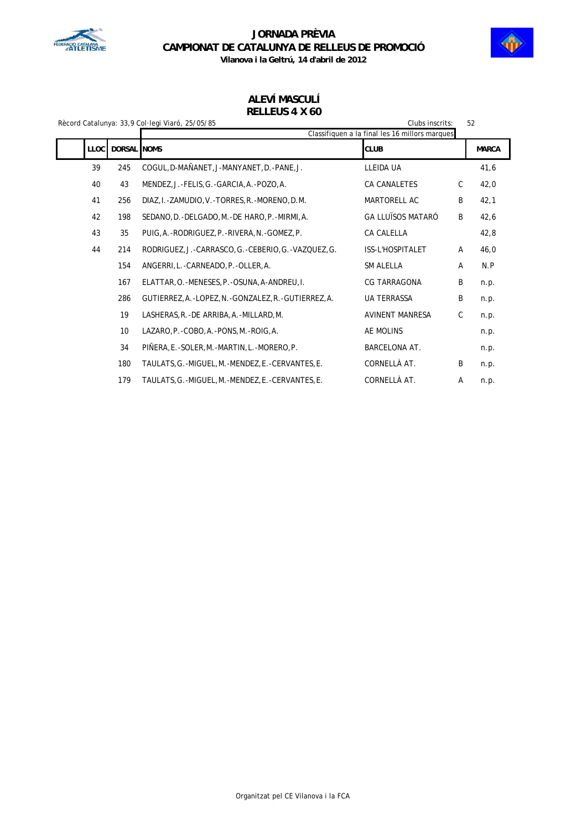



**Vilanova i la Geltrú, 14 d'abril de 2012**

### **ALEVÍ MASCULÍ RELLEUS 4 X 60**

|  |                     |                 | Rècord Catalunya: 33,9 Col·legi Viaró, 25/05/85<br>Clubs inscrits: |                                                               | 52           |              |
|--|---------------------|-----------------|--------------------------------------------------------------------|---------------------------------------------------------------|--------------|--------------|
|  | DORSAL NOMS<br>LLOC |                 |                                                                    | Classifiquen a la final les 16 millors marques<br><b>CLUB</b> |              | <b>MARCA</b> |
|  | 39                  | 245             | COGUL, D-MAÑANET, J-MANYANET, D. -PANE, J.                         | LLEIDA UA                                                     |              | 41,6         |
|  | 40                  | 43              | MENDEZ, J.-FELIS, G.-GARCIA, A.-POZO, A.                           | CA CANALETES                                                  | $\mathsf{C}$ | 42,0         |
|  | 41                  | 256             | DIAZ, I. - ZAMUDIO, V. - TORRES, R. - MORENO, D.M.                 | MARTORELL AC                                                  | B            | 42,1         |
|  | 42                  | 198             | SEDANO, D. - DELGADO, M. - DE HARO, P. - MIRMI, A.                 | <b>GA LLUÏSOS MATARÓ</b>                                      | B            | 42,6         |
|  | 43                  | 35              | PUIG, A. - RODRIGUEZ, P. - RIVERA, N. - GOMEZ, P.                  | CA CALELLA                                                    |              | 42,8         |
|  | 44                  | 214             | RODRIGUEZ, J.-CARRASCO, G.-CEBERIO, G.-VAZQUEZ, G.                 | ISS-L'HOSPITALET                                              | A            | 46,0         |
|  |                     | 154             | ANGERRI, L. - CARNEADO, P. - OLLER, A.                             | SM ALELLA                                                     | A            | N.P          |
|  |                     | 167             | ELATTAR, O. - MENESES, P. - OSUNA, A-ANDREU, I.                    | <b>CG TARRAGONA</b>                                           | B            | n.p.         |
|  |                     | 286             | GUTIERREZ, A. - LOPEZ, N. - GONZALEZ, R. - GUTIERREZ, A.           | <b>UA TERRASSA</b>                                            | B            | n.p.         |
|  |                     | 19              | LASHERAS, R. - DE ARRIBA, A. - MILLARD, M.                         | <b>AVINENT MANRESA</b>                                        | C            | n.p.         |
|  |                     | 10 <sup>°</sup> | LAZARO, P. - COBO, A. - PONS, M. - ROIG, A.                        | AE MOLINS                                                     |              | n.p.         |
|  |                     | 34              | PIÑERA, E.-SOLER, M.-MARTIN, L.-MORERO, P.                         | <b>BARCELONA AT.</b>                                          |              | n.p.         |
|  |                     | 180             | TAULATS, G.-MIGUEL, M.-MENDEZ, E.-CERVANTES, E.                    | CORNELLÀ AT.                                                  | B            | n.p.         |
|  |                     | 179             | TAULATS, G.-MIGUEL, M.-MENDEZ, E.-CERVANTES, E.                    | CORNELLÀ AT.                                                  | A            | n.p.         |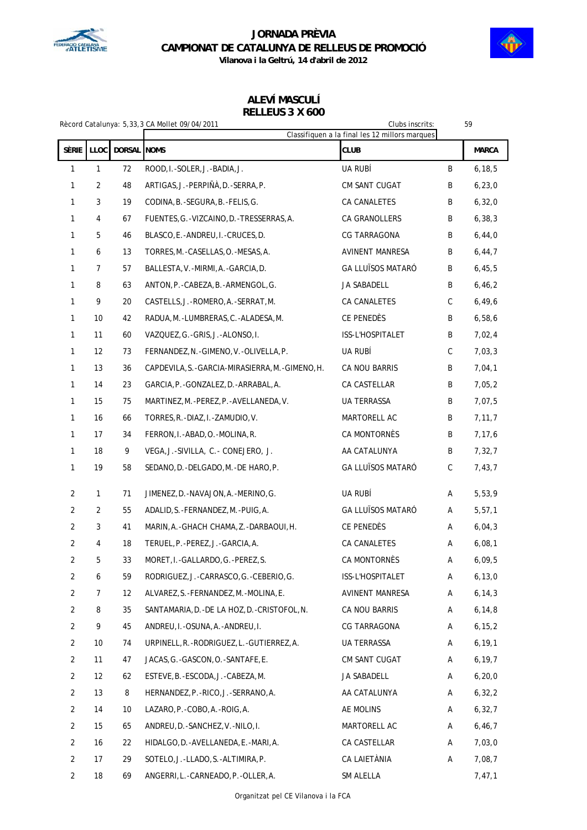



**ALEVÍ MASCULÍ RELLEUS 3 X 600**

| Rècord Catalunya: 5,33,3 CA Mollet 09/04/2011 |              |             |                                                    | Clubs inscrits:          | Classifiquen a la final les 12 millors marques |              |
|-----------------------------------------------|--------------|-------------|----------------------------------------------------|--------------------------|------------------------------------------------|--------------|
| <b>SÈRIE</b>                                  | <b>LLOC</b>  | DORSAL NOMS |                                                    | <b>CLUB</b>              |                                                | <b>MARCA</b> |
| $\mathbf{1}$                                  | $\mathbf{1}$ | 72          | ROOD, I.-SOLER, J.-BADIA, J.                       | UA RUBÍ                  | B                                              | 6, 18, 5     |
| $\mathbf{1}$                                  | 2            | 48          | ARTIGAS, J.-PERPIÑÀ, D.-SERRA, P.                  | CM SANT CUGAT            | B                                              | 6, 23, 0     |
| 1                                             | 3            | 19          | CODINA, B. - SEGURA, B. - FELIS, G.                | CA CANALETES             | B                                              | 6, 32, 0     |
| 1                                             | 4            | 67          | FUENTES, G. - VIZCAINO, D. - TRESSERRAS, A.        | CA GRANOLLERS            | B                                              | 6, 38, 3     |
| 1                                             | 5            | 46          | BLASCO, E.-ANDREU, I.-CRUCES, D.                   | <b>CG TARRAGONA</b>      | B                                              | 6,44,0       |
| 1                                             | 6            | 13          | TORRES, M. - CASELLAS, O. - MESAS, A.              | AVINENT MANRESA          | B                                              | 6, 44, 7     |
| 1                                             | 7            | 57          | BALLESTA, V. - MIRMI, A. - GARCIA, D.              | <b>GA LLUÏSOS MATARÓ</b> | B                                              | 6,45,5       |
| 1                                             | 8            | 63          | ANTON, P. - CABEZA, B. - ARMENGOL, G.              | JA SABADELL              | B                                              | 6, 46, 2     |
| 1                                             | 9            | 20          | CASTELLS, J.-ROMERO, A.-SERRAT, M.                 | CA CANALETES             | C                                              | 6,49,6       |
| 1                                             | 10           | 42          | RADUA, M. - LUMBRERAS, C. - ALADESA, M.            | CE PENEDÈS               | B                                              | 6,58,6       |
| 1                                             | 11           | 60          | VAZQUEZ, G.-GRIS, J.-ALONSO, I.                    | ISS-L'HOSPITALET         | B                                              | 7,02,4       |
| $\mathbf{1}$                                  | 12           | 73          | FERNANDEZ, N. - GIMENO, V. - OLIVELLA, P.          | UA RUBÍ                  | C                                              | 7,03,3       |
| 1                                             | 13           | 36          | CAPDEVILA, S. - GARCIA-MIRASIERRA, M. - GIMENO, H. | CA NOU BARRIS            | B                                              | 7,04,1       |
| 1                                             | 14           | 23          | GARCIA, P. - GONZALEZ, D. - ARRABAL, A.            | CA CASTELLAR             | B                                              | 7,05,2       |
| 1                                             | 15           | 75          | MARTINEZ, M. - PEREZ, P. - AVELLANEDA, V.          | UA TERRASSA              | B                                              | 7,07,5       |
| 1                                             | 16           | 66          | TORRES, R. - DIAZ, I. - ZAMUDIO, V.                | MARTORELL AC             | В                                              | 7, 11, 7     |
| 1                                             | 17           | 34          | FERRON, I.-ABAD, O.-MOLINA, R.                     | CA MONTORNÈS             | B                                              | 7,17,6       |
| $\mathbf{1}$                                  | 18           | 9           | VEGA, J.-SIVILLA, C.- CONEJERO, J.                 | AA CATALUNYA             | B                                              | 7,32,7       |
| 1                                             | 19           | 58          | SEDANO, D. - DELGADO, M. - DE HARO, P.             | <b>GA LLUÏSOS MATARÓ</b> | C                                              | 7,43,7       |
| $\overline{2}$                                | $\mathbf{1}$ | 71          | JIMENEZ, D. - NAVAJON, A. - MERINO, G.             | UA RUBÍ                  | Α                                              | 5,53,9       |
| $\overline{2}$                                | 2            | 55          | ADALID, S. - FERNANDEZ, M. - PUIG, A.              | <b>GA LLUÏSOS MATARÓ</b> | Α                                              | 5, 57, 1     |
| $\overline{2}$                                | 3            | 41          | MARIN, A.-GHACH CHAMA, Z.-DARBAOUI, H.             | CE PENEDÈS               | Α                                              | 6,04,3       |
| $\overline{2}$                                | 4            | 18          | TERUEL, P. - PEREZ, J. - GARCIA, A.                | CA CANALETES             | Α                                              | 6,08,1       |
| 2                                             | 5            | 33          | MORET, I.-GALLARDO, G.-PEREZ, S.                   | <b>CA MONTORNÈS</b>      | Α                                              | 6,09,5       |
| $\overline{2}$                                | 6            | 59          | RODRIGUEZ, J.-CARRASCO, G.-CEBERIO, G.             | ISS-L'HOSPITALET         | А                                              | 6, 13, 0     |
| $\overline{2}$                                | 7            | 12          | ALVAREZ, S. - FERNANDEZ, M. - MOLINA, E.           | AVINENT MANRESA          | Α                                              | 6, 14, 3     |
| $\overline{2}$                                | 8            | 35          | SANTAMARIA, D. - DE LA HOZ, D. - CRISTOFOL, N.     | CA NOU BARRIS            | Α                                              | 6, 14, 8     |
| $\overline{2}$                                | 9            | 45          | ANDREU, I.-OSUNA, A.-ANDREU, I.                    | CG TARRAGONA             | A                                              | 6, 15, 2     |
| $\overline{2}$                                | 10           | 74          | URPINELL, R. - RODRIGUEZ, L. - GUTIERREZ, A.       | <b>UA TERRASSA</b>       | A                                              | 6, 19, 1     |
| $\overline{2}$                                | 11           | 47          | JACAS, G. - GASCON, O. - SANTAFE, E.               | CM SANT CUGAT            | Α                                              | 6, 19, 7     |
| $\overline{c}$                                | 12           | 62          | ESTEVE, B. - ESCODA, J. - CABEZA, M.               | JA SABADELL              | A                                              | 6, 20, 0     |
| $\overline{2}$                                | 13           | 8           | HERNANDEZ, P. - RICO, J. - SERRANO, A.             | AA CATALUNYA             | Α                                              | 6, 32, 2     |
| $\overline{2}$                                | 14           | 10          | LAZARO, P. - COBO, A. - ROIG, A.                   | AE MOLINS                | A                                              | 6, 32, 7     |
| $\overline{2}$                                | 15           | 65          | ANDREU, D. - SANCHEZ, V. - NILO, I.                | MARTORELL AC             | Α                                              | 6, 46, 7     |
| $\overline{2}$                                | 16           | 22          | HIDALGO, D. - AVELLANEDA, E. - MARI, A.            | CA CASTELLAR             | A                                              | 7,03,0       |
| $\overline{2}$                                | 17           | 29          | SOTELO, J.-LLADO, S.-ALTIMIRA, P.                  | CA LAIETÀNIA             | Α                                              | 7,08,7       |
| $\overline{2}$                                | 18           | 69          | ANGERRI, L. - CARNEADO, P. - OLLER, A.             | SM ALELLA                |                                                | 7,47,1       |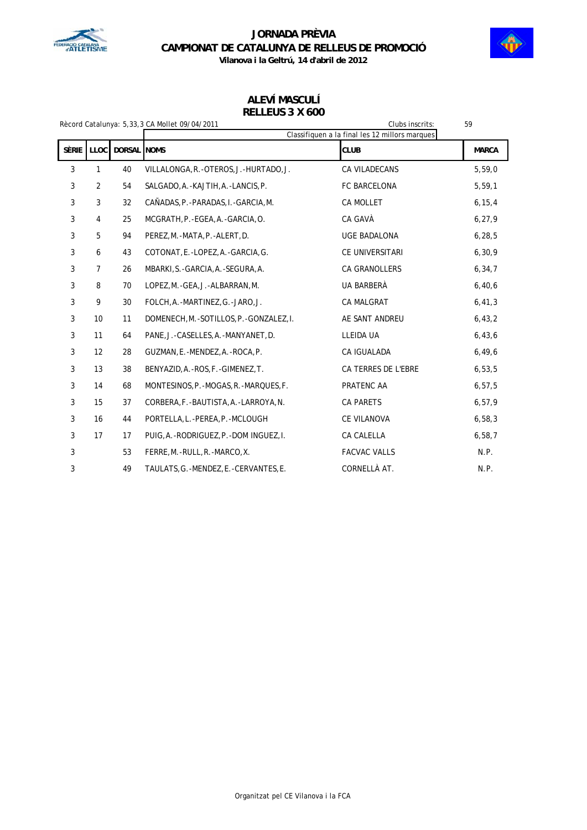



### **ALEVÍ MASCULÍ RELLEUS 3 X 600**

| Clubs inscrits:<br>Rècord Catalunya: 5,33,3 CA Mollet 09/04/2011 |                |             |                                                | 59                  |              |
|------------------------------------------------------------------|----------------|-------------|------------------------------------------------|---------------------|--------------|
|                                                                  |                |             | Classifiquen a la final les 12 millors marques |                     |              |
| <b>SÈRIE</b>                                                     | <b>LLOC</b>    | DORSAL NOMS |                                                | <b>CLUB</b>         | <b>MARCA</b> |
| $\mathbf{3}$                                                     | 1              | 40          | VILLALONGA, R. - OTEROS, J. - HURTADO, J.      | CA VILADECANS       | 5,59,0       |
| $\mathfrak{Z}$                                                   | 2              | 54          | SALGADO, A. - KAJTIH, A. - LANCIS, P.          | FC BARCELONA        | 5, 59, 1     |
| 3                                                                | 3              | 32          | CAÑADAS, P. - PARADAS, I. - GARCIA, M.         | <b>CA MOLLET</b>    | 6, 15, 4     |
| 3                                                                | 4              | 25          | MCGRATH, P. - EGEA, A. - GARCIA, O.            | CA GAVÀ             | 6, 27, 9     |
| 3                                                                | 5              | 94          | PEREZ, M.-MATA, P.-ALERT, D.                   | UGE BADALONA        | 6, 28, 5     |
| 3                                                                | 6              | 43          | COTONAT, E.-LOPEZ, A.-GARCIA, G.               | CE UNIVERSITARI     | 6, 30, 9     |
| 3                                                                | $\overline{7}$ | 26          | MBARKI, S. - GARCIA, A. - SEGURA, A.           | CA GRANOLLERS       | 6, 34, 7     |
| 3                                                                | 8              | 70          | LOPEZ, M.-GEA, J.-ALBARRAN, M.                 | UA BARBERÀ          | 6,40,6       |
| 3                                                                | 9              | 30          | FOLCH, A.-MARTINEZ, G.-JARO, J.                | <b>CA MALGRAT</b>   | 6, 41, 3     |
| 3                                                                | 10             | 11          | DOMENECH, M. - SOTILLOS, P. - GONZALEZ, I.     | AE SANT ANDREU      | 6, 43, 2     |
| 3                                                                | 11             | 64          | PANE, J.-CASELLES, A.-MANYANET, D.             | LLEIDA UA           | 6,43,6       |
| 3                                                                | 12             | 28          | GUZMAN, E.-MENDEZ, A.-ROCA, P.                 | CA IGUALADA         | 6,49,6       |
| $\mathbf{3}$                                                     | 13             | 38          | BENYAZID, A. - ROS, F. - GIMENEZ, T.           | CA TERRES DE L'EBRE | 6, 53, 5     |
| $\mathbf{3}$                                                     | 14             | 68          | MONTESINOS, P. - MOGAS, R. - MARQUES, F.       | PRATENC AA          | 6, 57, 5     |
| $\mathbf{3}$                                                     | 15             | 37          | CORBERA, F. - BAUTISTA, A. - LARROYA, N.       | <b>CA PARETS</b>    | 6, 57, 9     |
| 3                                                                | 16             | 44          | PORTELLA, L.-PEREA, P.-MCLOUGH                 | CE VILANOVA         | 6, 58, 3     |
| $\mathbf{3}$                                                     | 17             | 17          | PUIG, A.-RODRIGUEZ, P.-DOM INGUEZ, I.          | <b>CA CALELLA</b>   | 6,58,7       |
| 3                                                                |                | 53          | FERRE, M.-RULL, R.-MARCO, X.                   | <b>FACVAC VALLS</b> | N.P.         |
| 3                                                                |                | 49          | TAULATS, G.-MENDEZ, E.-CERVANTES, E.           | CORNELLÀ AT.        | N.P.         |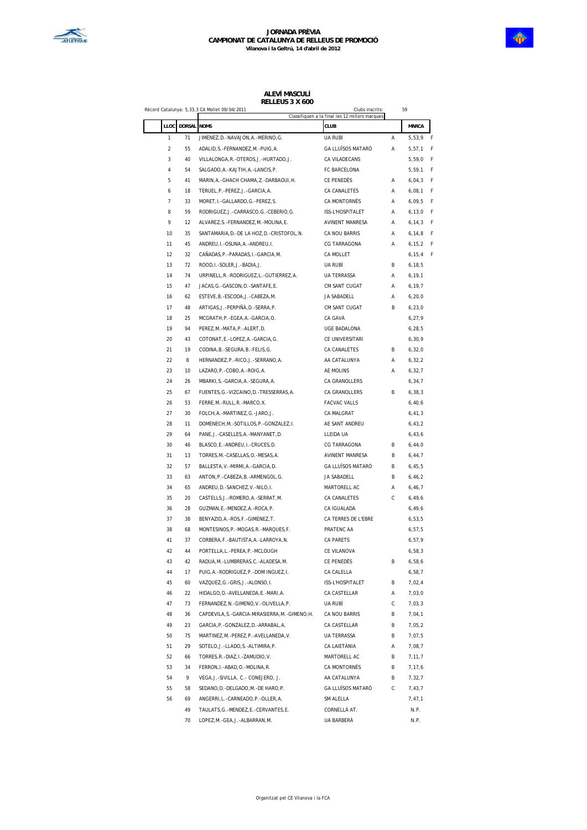

#### **ALEVÍ MASCULÍ RELLEUS 3 X 600**

|                  |          | Record Catalunya: 5,33,3 CA Mollet 09/04/2011      | Clubs inscrits:<br>Classifiquen a la final les 12 millors marques |   | 59           |   |
|------------------|----------|----------------------------------------------------|-------------------------------------------------------------------|---|--------------|---|
| LLOC             | DORSAL   | <b>NOMS</b>                                        | <b>CLUB</b>                                                       |   | <b>MARCA</b> |   |
| $\mathbf{1}$     | 71       | JIMENEZ, D. - NAVAJON, A. - MERINO, G.             | UA RUBÍ                                                           | Α | 5,53,9       | F |
| $\boldsymbol{2}$ | 55       | ADALID, S. - FERNANDEZ, M. - PUIG, A.              | GA LLUÏSOS MATARÓ                                                 | Α | 5, 57, 1     | F |
| 3                | 40       | VILLALONGA, R. - OTEROS, J. - HURTADO, J.          | CA VILADECANS                                                     |   | 5,59,0       | F |
| 4                | 54       | SALGADO, A. - KAJTIH, A. - LANCIS, P.              | FC BARCELONA                                                      |   | 5,59,1       | F |
| 5                | 41       | MARIN, A. - GHACH CHAMA, Z. - DARBAOUI, H.         | CE PENEDÈS                                                        | Α | 6,04,3       | F |
| 6                | 18       | TERUEL, P. - PEREZ, J. - GARCIA, A.                | CA CANALETES                                                      | Α | 6,08,1       | F |
| 7                | 33       | MORET, I. - GALLARDO, G. - PEREZ, S.               | <b>CA MONTORNÈS</b>                                               | Α | 6,09,5       | F |
| 8                | 59       | RODRIGUEZ, J. -CARRASCO, G. -CEBERIO, G.           | ISS-L'HOSPITALET                                                  | Α | 6, 13, 0     | F |
| 9                | 12       | ALVAREZ, S. - FERNANDEZ, M. - MOLINA, E.           | AVINENT MANRESA                                                   | Α | 6, 14, 3     | F |
| 10               | 35       | SANTAMARIA, D. - DE LA HOZ, D. - CRISTOFOL, N.     | CA NOU BARRIS                                                     | Α | 6, 14, 8     | F |
| 11               | 45       | ANDREU, I. - OSUNA, A. - ANDREU, I.                | <b>CG TARRAGONA</b>                                               | Α | 6, 15, 2     | F |
| 12               | 32       | CAÑADAS, P. - PARADAS, I. - GARCIA, M.             | <b>CA MOLLET</b>                                                  |   | 6, 15, 4     | F |
| 13               | 72       | ROOD, I.-SOLER, J.-BADIA, J.                       | UA RUBÍ                                                           | В | 6, 18, 5     |   |
| 14               | 74       | URPINELL, R.-RODRIGUEZ, L.-GUTIERREZ, A.           | UA TERRASSA                                                       | Α | 6,19,1       |   |
| 15               | 47       | JACAS, G. - GASCON, O. - SANTAFE, E.               | CM SANT CUGAT                                                     | Α | 6,19,7       |   |
| 16               | 62       | ESTEVE, B. - ESCODA, J. - CABEZA, M.               | JA SABADELL                                                       | Α | 6, 20, 0     |   |
| 17               | 48       | ARTIGAS, J.-PERPIÑÀ, D.-SERRA, P.                  | <b>CM SANT CUGAT</b>                                              | В | 6, 23, 0     |   |
| 18               | 25       | MCGRATH, P. - EGEA, A. - GARCIA, O.                | CA GAVÀ                                                           |   | 6, 27, 9     |   |
| 19               | 94       | PEREZ, M. - MATA, P. - ALERT, D.                   | <b>UGE BADALONA</b>                                               |   | 6, 28, 5     |   |
| 20               | 43       | COTONAT, E. - LOPEZ, A. - GARCIA, G.               | CE UNIVERSITARI                                                   |   | 6, 30, 9     |   |
| 21               | 19       | CODINA, B. - SEGURA, B. - FELIS, G.                | CA CANALETES                                                      | В | 6, 32, 0     |   |
| 22               | 8        | HERNANDEZ, P. - RICO, J. - SERRANO, A.             | AA CATALUNYA                                                      | Α | 6, 32, 2     |   |
| 23               | 10       | LAZARO, P. - COBO, A. - ROIG, A.                   | AE MOLINS                                                         | Α | 6, 32, 7     |   |
| 24               | 26       | MBARKI, S. - GARCIA, A. - SEGURA, A.               | CA GRANOLLERS                                                     |   | 6, 34, 7     |   |
| 25               | 67       | FUENTES, G. - VIZCAINO, D. - TRESSERRAS, A.        | CA GRANOLLERS                                                     | В | 6, 38, 3     |   |
| 26               | 53       | FERRE, M. - RULL, R. - MARCO, X.                   | <b>FACVAC VALLS</b>                                               |   | 6,40,6       |   |
| 27               | 30       | FOLCH, A. - MARTINEZ, G. - JARO, J.                | CA MALGRAT                                                        |   | 6, 41, 3     |   |
| 28               | 11       | DOMENECH, M. - SOTILLOS, P. - GONZALEZ, I.         | AE SANT ANDREU                                                    |   | 6, 43, 2     |   |
| 29               | 64       | PANE, J. - CASELLES, A. - MANYANET, D.             | LLEIDA UA                                                         |   | 6,43,6       |   |
| 30               | 46       | BLASCO, E.-ANDREU, I.-CRUCES, D.                   | <b>CG TARRAGONA</b>                                               | В | 6, 44, 0     |   |
| 31               | 13       | TORRES, M. - CASELLAS, O. - MESAS, A.              | <b>AVINENT MANRESA</b>                                            | В | 6, 44, 7     |   |
| 32               | 57       | BALLESTA, V. - MIRMI, A. - GARCIA, D.              | <b>GA LLUÏSOS MATARÓ</b>                                          | В | 6,45,5       |   |
| 33               | 63       | ANTON, P. - CABEZA, B. - ARMENGOL, G.              | JA SABADELL                                                       | В | 6, 46, 2     |   |
| 34               | 65       | ANDREU, D. - SANCHEZ, V. - NILO, I.                | MARTORELL AC                                                      | Α | 6, 46, 7     |   |
| 35               | 20       | CASTELLS, J.-ROMERO, A.-SERRAT, M.                 | CA CANALETES                                                      | С | 6, 49, 6     |   |
| 36               | 28       | GUZMAN, E.-MENDEZ, A.-ROCA, P.                     | CA IGUALADA                                                       |   | 6, 49, 6     |   |
| 37               | 38       | BENYAZID, A. - ROS, F. - GIMENEZ, T.               | CA TERRES DE L'EBRE                                               |   | 6,53,5       |   |
| 38               | 68       | MONTESINOS, P. - MOGAS, R. - MARQUES, F.           | PRATENC AA                                                        |   | 6, 57, 5     |   |
| 41               | 37       | CORBERA, F. - BAUTISTA, A. - LARROYA, N.           | CA PARETS                                                         |   | 6, 57, 9     |   |
| 42               | 44       | PORTELLA, L.-PEREA, P.-MCLOUGH                     | CE VILANOVA                                                       |   | 6,58,3       |   |
| 43               | 42       | RADUA, M. - LUMBRERAS, C. - ALADESA, M.            | CE PENEDÈS                                                        | В | 6,58,6       |   |
| 44               | 17       | PUIG, A. - RODRIGUEZ, P. - DOM INGUEZ, I.          | CA CALELLA                                                        |   | 6,58,7       |   |
| 45               | 60       | VAZQUEZ, G. - GRIS, J. - ALONSO, I.                | ISS-L'HOSPITALET                                                  | В | 7,02,4       |   |
| 46               | 22       | HIDALGO, D. - AVELLANEDA, E. - MARI, A.            | CA CASTELLAR                                                      | Α | 7,03,0       |   |
| 47               | 73       | FERNANDEZ, N. - GIMENO, V. - OLIVELLA, P.          | UA RUBÍ                                                           | С | 7,03,3       |   |
| 48               | 36       | CAPDEVILA, S. - GARCIA-MIRASIERRA, M. - GIMENO, H. | CA NOU BARRIS                                                     | В | 7,04,1       |   |
| 49               | 23       | GARCIA, P. - GONZALEZ, D. - ARRABAL, A.            | CA CASTELLAR                                                      | В | 7,05,2       |   |
| 50               | 75       | MARTINEZ, M. - PEREZ, P. - AVELLANEDA, V.          | UA TERRASSA                                                       | В | 7,07,5       |   |
| 51               | 29       | SOTELO, J.-LLADO, S.-ALTIMIRA, P.                  | CA LAIETÀNIA                                                      | Α | 7,08,7       |   |
| 52               | 66       | TORRES, R. - DIAZ, I. - ZAMUDIO, V.                | MARTORELL AC                                                      | В | 7,11,7       |   |
| 53               | 34       | FERRON, I. - ABAD, O. - MOLINA, R.                 | CA MONTORNÈS                                                      | В | 7,17,6       |   |
| 54               | 9        | VEGA, J.-SIVILLA, C.- CONEJERO, J.                 | AA CATALUNYA                                                      | В | 7,32,7       |   |
| 55               | 58       | SEDANO, D. - DELGADO, M. - DE HARO, P.             | GA LLUÏSOS MATARÓ                                                 | С | 7,43,7       |   |
| 56               | 69       | ANGERRI, L. - CARNEADO, P. - OLLER, A.             | SM ALELLA                                                         |   | 7,47,1       |   |
|                  | 49<br>70 | TAULATS, G. - MENDEZ, E. - CERVANTES, E.           | CORNELLÀ AT.                                                      |   | N.P.<br>N.P. |   |
|                  |          | LOPEZ, M. - GEA, J. - ALBARRAN, M.                 | UA BARBERÀ                                                        |   |              |   |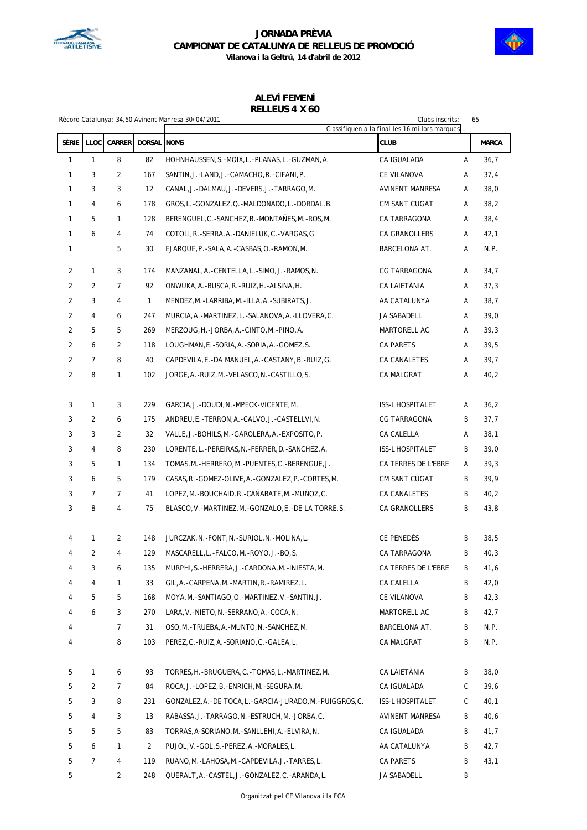



**Vilanova i la Geltrú, 14 d'abril de 2012**

# **ALEVÍ FEMENÍ**

| RELLEUS 4 X 60 |  |  |  |
|----------------|--|--|--|
|                |  |  |  |

| Clubs inscrits:<br>Rècord Catalunya: 34,50 Avinent Manresa 30/04/2011<br>65<br>Classifiquen a la final les 16 millors marques |                |                |                    |                                                           |                     |   |              |
|-------------------------------------------------------------------------------------------------------------------------------|----------------|----------------|--------------------|-----------------------------------------------------------|---------------------|---|--------------|
| SÈRIE                                                                                                                         | LLOC           | CARRER         | <b>DORSAL NOMS</b> |                                                           | <b>CLUB</b>         |   | <b>MARCA</b> |
| 1                                                                                                                             | 1              | 8              | 82                 | HOHNHAUSSEN, S. - MOIX, L. - PLANAS, L. - GUZMAN, A.      | CA IGUALADA         | А | 36,7         |
| 1                                                                                                                             | 3              | 2              | 167                | SANTIN, J.-LAND, J.-CAMACHO, R.-CIFANI, P.                | CE VILANOVA         | Α | 37,4         |
| $\mathbf{1}$                                                                                                                  | 3              | 3              | 12                 | CANAL, J.-DALMAU, J.-DEVERS, J.-TARRAGO, M.               | AVINENT MANRESA     | Α | 38,0         |
| 1                                                                                                                             | 4              | 6              | 178                | GROS, L.-GONZALEZ, Q.-MALDONADO, L.-DORDAL, B.            | CM SANT CUGAT       | Α | 38,2         |
| 1                                                                                                                             | 5              | 1              | 128                | BERENGUEL, C. - SANCHEZ, B. - MONTAÑES, M. - ROS, M.      | CA TARRAGONA        | Α | 38,4         |
| $\mathbf{1}$                                                                                                                  | 6              | 4              | 74                 | COTOLI, R. - SERRA, A. - DANIELUK, C. - VARGAS, G.        | CA GRANOLLERS       | Α | 42,1         |
| 1                                                                                                                             |                | 5              | 30                 | EJARQUE, P. - SALA, A. - CASBAS, O. - RAMON, M.           | BARCELONA AT.       | Α | N.P.         |
| $\overline{2}$                                                                                                                | $\mathbf{1}$   | 3              | 174                | MANZANAL, A. - CENTELLA, L. - SIMO, J. - RAMOS, N.        | CG TARRAGONA        | Α | 34,7         |
| $\overline{a}$                                                                                                                | 2              | $\overline{7}$ | 92                 | ONWUKA, A. - BUSCA, R. - RUIZ, H. - ALSINA, H.            | CA LAIETÀNIA        | Α | 37,3         |
| $\overline{a}$                                                                                                                | 3              | 4              | 1                  | MENDEZ, M. -LARRIBA, M. -ILLA, A. -SUBIRATS, J.           | AA CATALUNYA        | Α | 38,7         |
| 2                                                                                                                             | 4              | 6              | 247                | MURCIA, A. - MARTINEZ, L. - SALANOVA, A. - LLOVERA, C.    | JA SABADELL         | Α | 39,0         |
| 2                                                                                                                             | 5              | 5              | 269                | MERZOUG, H. - JORBA, A. - CINTO, M. - PINO, A.            | MARTORELL AC        | Α | 39,3         |
| $\overline{a}$                                                                                                                | 6              | 2              | 118                | LOUGHMAN, E.-SORIA, A.-SORIA, A.-GOMEZ, S.                | <b>CA PARETS</b>    | Α | 39,5         |
| $\overline{a}$                                                                                                                | $\overline{7}$ | 8              | 40                 | CAPDEVILA, E.-DA MANUEL, A.-CASTANY, B.-RUIZ, G.          | CA CANALETES        | Α | 39,7         |
| 2                                                                                                                             | 8              | 1              | 102                | JORGE, A.-RUIZ, M.-VELASCO, N.-CASTILLO, S.               | CA MALGRAT          | А | 40,2         |
| 3                                                                                                                             | 1              | 3              | 229                | GARCIA, J.-DOUDI, N.-MPECK-VICENTE, M.                    | ISS-L'HOSPITALET    | Α | 36,2         |
| 3                                                                                                                             | 2              | 6              | 175                | ANDREU, E.-TERRON, A.-CALVO, J.-CASTELLVI, N.             | CG TARRAGONA        | В | 37,7         |
| 3                                                                                                                             | 3              | 2              | 32                 | VALLE, J.-BOHILS, M.-GAROLERA, A.-EXPOSITO, P.            | CA CALELLA          | Α | 38,1         |
| 3                                                                                                                             | 4              | 8              | 230                | LORENTE, L.-PEREIRAS, N.-FERRER, D.-SANCHEZ, A.           | ISS-L'HOSPITALET    | B | 39,0         |
| 3                                                                                                                             | 5              | 1              | 134                | TOMAS, M. -HERRERO, M. -PUENTES, C. -BERENGUE, J.         | CA TERRES DE L'EBRE | Α | 39,3         |
| 3                                                                                                                             | 6              | 5              | 179                | CASAS, R. - GOMEZ-OLIVE, A. - GONZALEZ, P. - CORTES, M.   | CM SANT CUGAT       | В | 39,9         |
| 3                                                                                                                             | $\overline{7}$ | $\overline{7}$ | 41                 | LOPEZ, M. - BOUCHAID, R. - CAÑABATE, M. - MUÑOZ, C.       | CA CANALETES        | В | 40,2         |
| 3                                                                                                                             | 8              | 4              | 75                 | BLASCO, V. - MARTINEZ, M. - GONZALO, E. - DE LA TORRE, S. | CA GRANOLLERS       | B | 43,8         |
|                                                                                                                               |                |                |                    |                                                           |                     |   |              |
| 4                                                                                                                             | 1              | 2              | 148                | JURCZAK, N. - FONT, N. - SURIOL, N. - MOLINA, L.          | CE PENEDÈS          | В | 38,5         |
| 4                                                                                                                             | 2              | 4              | 129                | MASCARELL, L.-FALCO, M.-ROYO, J.-BO, S.                   | CA TARRAGONA        | В | 40,3         |
| 4                                                                                                                             | 3              | 6              | 135                | MURPHI, S.-HERRERA, J.-CARDONA, M.-INIESTA, M.            | CA TERRES DE L'EBRE | B | 41,6         |
| 4                                                                                                                             | 4              | $\mathbf{1}$   | 33                 | GIL, A.-CARPENA, M.-MARTIN, R.-RAMIREZ, L.                | CA CALELLA          | В | 42,0         |
| 4                                                                                                                             | 5              | 5              | 168                | MOYA, M.-SANTIAGO, O.-MARTINEZ, V.-SANTIN, J.             | CE VILANOVA         | B | 42,3         |
| 4                                                                                                                             | 6              | 3              | 270                | LARA, V. - NIETO, N. - SERRANO, A. - COCA, N.             | MARTORELL AC        | B | 42,7         |
| 4                                                                                                                             |                | 7              | 31                 | OSO, M. - TRUEBA, A. - MUNTO, N. - SANCHEZ, M.            | BARCELONA AT.       | B | N.P.         |
| 4                                                                                                                             |                | 8              | 103                | PEREZ, C.-RUIZ, A.-SORIANO, C.-GALEA, L.                  | CA MALGRAT          | В | N.P.         |
| 5                                                                                                                             | 1              | 6              | 93                 | TORRES, H. - BRUGUERA, C. - TOMAS, L. - MARTINEZ, M.      | CA LAIETÀNIA        | B | 38,0         |
| 5                                                                                                                             | $\overline{a}$ | 7              | 84                 | ROCA, J.-LOPEZ, B.-ENRICH, M.-SEGURA, M.                  | CA IGUALADA         | С | 39,6         |
| 5                                                                                                                             | 3              | 8              | 231                | GONZALEZ, A.-DE TOCA, L.-GARCIA-JURADO, M.-PUIGGROS, C.   | ISS-L'HOSPITALET    | С | 40,1         |
| 5                                                                                                                             | 4              | 3              | 13                 | RABASSA, J.-TARRAGO, N.-ESTRUCH, M.-JORBA, C.             | AVINENT MANRESA     | B | 40,6         |
| 5                                                                                                                             | 5              | 5              | 83                 | TORRAS, A-SORIANO, M. - SANLLEHI, A. - ELVIRA, N.         | CA IGUALADA         | B | 41,7         |
| 5                                                                                                                             | 6              | $\mathbf{1}$   | $\overline{2}$     | PUJOL, V. - GOL, S. - PEREZ, A. - MORALES, L.             | AA CATALUNYA        | B | 42,7         |
| 5                                                                                                                             | 7              | 4              | 119                | RUANO, M. - LAHOSA, M. - CAPDEVILA, J. - TARRES, L.       | CA PARETS           | В | 43,1         |
| 5                                                                                                                             |                | $\overline{2}$ | 248                | QUERALT, A.-CASTEL, J.-GONZALEZ, C.-ARANDA, L.            | JA SABADELL         | B |              |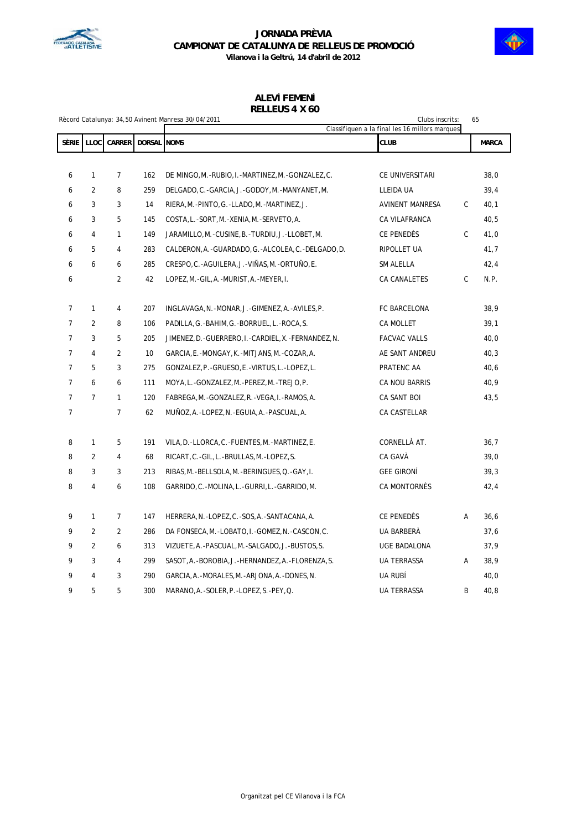



# **ALEVÍ FEMENÍ**

| RELLEUS 4 X 60 |  |  |  |
|----------------|--|--|--|
|                |  |  |  |

| Rècord Catalunya: 34,50 Avinent Manresa 30/04/2011<br>Clubs inscrits:<br>65<br>Classifiquen a la final les 16 millors marques |                |                |                    |                                                          |                     |              |              |
|-------------------------------------------------------------------------------------------------------------------------------|----------------|----------------|--------------------|----------------------------------------------------------|---------------------|--------------|--------------|
| <b>SÈRIE</b>                                                                                                                  | LLOC           | CARRER         | <b>DORSAL NOMS</b> |                                                          | <b>CLUB</b>         |              | <b>MARCA</b> |
|                                                                                                                               |                |                |                    |                                                          |                     |              |              |
| 6                                                                                                                             | $\mathbf{1}$   | $\overline{7}$ | 162                | DE MINGO, M.-RUBIO, I.-MARTINEZ, M.-GONZALEZ, C.         | CE UNIVERSITARI     |              | 38,0         |
| 6                                                                                                                             | $\overline{2}$ | 8              | 259                | DELGADO, C. - GARCIA, J. - GODOY, M. - MANYANET, M.      | LLEIDA UA           |              | 39,4         |
| 6                                                                                                                             | 3              | 3              | 14                 | RIERA, M.-PINTO, G.-LLADO, M.-MARTINEZ, J.               | AVINENT MANRESA     | $\mathsf{C}$ | 40,1         |
| 6                                                                                                                             | 3              | 5              | 145                | COSTA, L.-SORT, M.-XENIA, M.-SERVETO, A.                 | CA VILAFRANCA       |              | 40,5         |
| 6                                                                                                                             | 4              | $\mathbf{1}$   | 149                | JARAMILLO, M. - CUSINE, B. - TURDIU, J. - LLOBET, M.     | CE PENEDÈS          | C            | 41,0         |
| 6                                                                                                                             | 5              | $\overline{4}$ | 283                | CALDERON, A. - GUARDADO, G. - ALCOLEA, C. - DELGADO, D.  | RIPOLLET UA         |              | 41,7         |
| 6                                                                                                                             | 6              | 6              | 285                | CRESPO, C.-AGUILERA, J.-VIÑAS, M.-ORTUÑO, E.             | SM ALELLA           |              | 42,4         |
| 6                                                                                                                             |                | $\overline{2}$ | 42                 | LOPEZ, M.-GIL, A.-MURIST, A.-MEYER, I.                   | CA CANALETES        | C            | N.P.         |
|                                                                                                                               |                |                |                    |                                                          |                     |              |              |
| 7                                                                                                                             | $\mathbf{1}$   | 4              | 207                | INGLAVAGA, N. -MONAR, J. - GIMENEZ, A. - AVILES, P.      | FC BARCELONA        |              | 38,9         |
| $\overline{7}$                                                                                                                | $\overline{2}$ | 8              | 106                | PADILLA, G.-BAHIM, G.-BORRUEL, L.-ROCA, S.               | CA MOLLET           |              | 39,1         |
| $\overline{7}$                                                                                                                | 3              | 5              | 205                | JIMENEZ, D. - GUERRERO, I. - CARDIEL, X. - FERNANDEZ, N. | <b>FACVAC VALLS</b> |              | 40,0         |
| $\overline{7}$                                                                                                                | 4              | 2              | 10                 | GARCIA, E.-MONGAY, K.-MITJANS, M.-COZAR, A.              | AE SANT ANDREU      |              | 40,3         |
| $\overline{7}$                                                                                                                | 5              | 3              | 275                | GONZALEZ, P.-GRUESO, E.-VIRTUS, L.-LOPEZ, L.             | PRATENC AA          |              | 40,6         |
| $\overline{7}$                                                                                                                | 6              | 6              | 111                | MOYA, L.-GONZALEZ, M.-PEREZ, M.-TREJO, P.                | CA NOU BARRIS       |              | 40,9         |
| $\overline{7}$                                                                                                                | $\overline{7}$ | $\mathbf{1}$   | 120                | FABREGA, M. - GONZALEZ, R. - VEGA, I. - RAMOS, A.        | CA SANT BOI         |              | 43,5         |
| $\overline{7}$                                                                                                                |                | $\overline{7}$ | 62                 | MUÑOZ, A. - LOPEZ, N. - EGUIA, A. - PASCUAL, A.          | CA CASTELLAR        |              |              |
| 8                                                                                                                             | $\mathbf{1}$   | 5              | 191                | VILA, D. -LLORCA, C. - FUENTES, M. - MARTINEZ, E.        | CORNELLÀ AT.        |              | 36,7         |
| 8                                                                                                                             | $\overline{2}$ | 4              | 68                 | RICART, C.-GIL, L.-BRULLAS, M.-LOPEZ, S.                 | CA GAVÀ             |              | 39,0         |
| 8                                                                                                                             | 3              | 3              | 213                | RIBAS, M. -BELLSOLA, M. -BERINGUES, Q. -GAY, I.          | <b>GEE GIRONI</b>   |              | 39,3         |
| 8                                                                                                                             | $\overline{4}$ | 6              | 108                | GARRIDO, C.-MOLINA, L.-GURRI, L.-GARRIDO, M.             | CA MONTORNÈS        |              | 42,4         |
|                                                                                                                               |                |                |                    |                                                          |                     |              |              |
| 9                                                                                                                             | $\mathbf{1}$   | $\overline{7}$ | 147                | HERRERA, N. - LOPEZ, C. - SOS, A. - SANTACANA, A.        | CE PENEDÈS          | Α            | 36, 6        |
| 9                                                                                                                             | $\overline{2}$ | $\overline{2}$ | 286                | DA FONSECA, M. - LOBATO, I. - GOMEZ, N. - CASCON, C.     | UA BARBERÀ          |              | 37,6         |
| 9                                                                                                                             | $\overline{2}$ | 6              | 313                | VIZUETE, A. - PASCUAL, M. - SALGADO, J. - BUSTOS, S.     | UGE BADALONA        |              | 37,9         |
| 9                                                                                                                             | 3              | 4              | 299                | SASOT, A. - BOROBIA, J. - HERNANDEZ, A. - FLORENZA, S.   | UA TERRASSA         | Α            | 38,9         |
| 9                                                                                                                             | 4              | 3              | 290                | GARCIA, A. - MORALES, M. - ARJONA, A. - DONES, N.        | UA RUBÍ             |              | 40,0         |
| 9                                                                                                                             | 5              | 5              | 300                | MARANO, A. - SOLER, P. - LOPEZ, S. - PEY, Q.             | <b>UA TERRASSA</b>  | B            | 40.8         |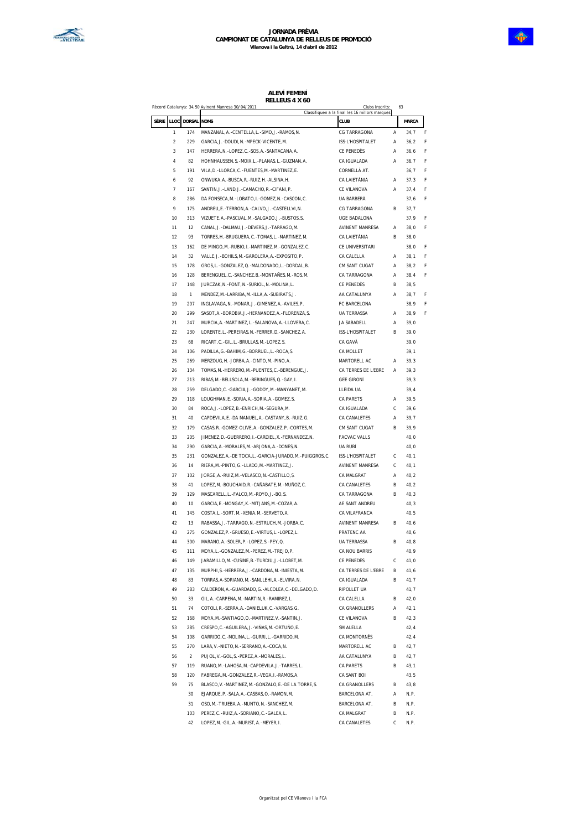

### **ALEVÍ FEMENÍ RELLEUS 4 X 60**

|       |                         |                | Record Catalunya: 34,50 Avinent Manresa 30/04/2011                                                      | Clubs inscrits:<br>Classifiquen a la final les 16 millors marques |   | 63           |   |
|-------|-------------------------|----------------|---------------------------------------------------------------------------------------------------------|-------------------------------------------------------------------|---|--------------|---|
| SÈRIE | LLOC                    | DORSAL         | <b>NOMS</b>                                                                                             | CLUB                                                              |   | MARCA        |   |
|       | 1                       | 174            | MANZANAL, A. - CENTELLA, L. - SIMO, J. - RAMOS, N.                                                      | CG TARRAGONA                                                      | Α | 34,7         | F |
|       | $\overline{\mathbf{c}}$ | 229            | GARCIA, J. - DOUDI, N. - MPECK - VICENTE, M.                                                            | ISS-L'HOSPITALET                                                  | A | 36,2         | F |
|       | 3                       | 147            | HERRERA, N. - LOPEZ, C. - SOS, A. - SANTACANA, A.                                                       | CE PENEDÈS                                                        | Α | 36, 6        | F |
|       | 4                       | 82             | HOHNHAUSSEN, S.-MOIX, L.-PLANAS, L.-GUZMAN, A.                                                          | CA IGUALADA                                                       | Α | 36,7         | F |
|       | 5                       | 191            | VILA, D. - LLORCA, C. - FUENTES, M. - MARTINEZ, E.                                                      | CORNELLÀ AT.                                                      |   | 36,7         | F |
|       | 6                       | 92             | ONWUKA, A. - BUSCA, R. - RUIZ, H. - ALSINA, H.                                                          | CA LAIETÀNIA                                                      | Α | 37,3         | F |
|       | 7                       | 167            | SANTIN, J.-LAND, J.-CAMACHO, R.-CIFANI, P.                                                              | CE VILANOVA                                                       | Α | 37,4         | F |
|       | 8                       | 286            | DA FONSECA, M.-LOBATO, I.-GOMEZ, N.-CASCON, C.                                                          | UA BARBERÀ                                                        |   | 37,6         | F |
|       | 9                       | 175            | ANDREU, E. - TERRON, A. - CALVO, J. - CASTELLVI, N.                                                     | CG TARRAGONA                                                      | B | 37,7         |   |
|       | 10                      | 313            | VIZUETE, A. - PASCUAL, M. - SALGADO, J. - BUSTOS, S.                                                    | <b>UGE BADALONA</b>                                               |   | 37,9         | F |
|       | 11                      | 12             | CANAL, J.-DALMAU, J.-DEVERS, J.-TARRAGO, M.                                                             | AVINENT MANRESA                                                   | Α | 38,0         | F |
|       | 12                      | 93             | TORRES, H. - BRUGUERA, C. - TOMAS, L. - MARTINEZ, M.                                                    | CA LAIETÀNIA                                                      | В | 38,0         |   |
|       | 13                      | 162            | DE MINGO, M.-RUBIO, I.-MARTINEZ, M.-GONZALEZ, C.                                                        | CE UNIVERSITARI                                                   |   | 38,0         | F |
|       | 14                      | 32             | VALLE, J.-BOHILS, M.-GAROLERA, A.-EXPOSITO, P.                                                          | CA CALELLA                                                        | Α | 38,1         | F |
|       | 15                      | 178            | GROS, L.-GONZALEZ, Q.-MALDONADO, L.-DORDAL, B.                                                          | CM SANT CUGAT                                                     | Α | 38,2         | F |
|       | 16                      | 128            | BERENGUEL, C.-SANCHEZ, B.-MONTAÑES, M.-ROS, M.                                                          | CA TARRAGONA                                                      | Α | 38,4         | F |
|       | 17                      | 148            | JURCZAK, N.-FONT, N.-SURIOL, N.-MOLINA, L.                                                              | CE PENEDÈS                                                        | В | 38,5         |   |
|       | 18                      | $\mathbf{1}$   | MENDEZ, M. -LARRIBA, M. -ILLA, A. -SUBIRATS, J.                                                         | AA CATALUNYA                                                      | A | 38,7         | F |
|       | 19                      | 207            | INGLAVAGA, N. - MONAR, J. - GIMENEZ, A. - AVILES, P.                                                    | FC BARCELONA                                                      |   | 38,9         | F |
|       | 20                      | 299            | SASOT, A. - BOROBIA, J. - HERNANDEZ, A. - FLORENZA, S.                                                  | <b>UA TERRASSA</b>                                                | А | 38,9         | F |
|       | 21                      | 247            | MURCIA, A. - MARTINEZ, L. - SALANOVA, A. - LLOVERA, C.                                                  | JA SABADELL                                                       | Α | 39,0         |   |
|       | 22                      | 230            | LORENTE, L.-PEREIRAS, N.-FERRER, D.-SANCHEZ, A.                                                         | ISS-L'HOSPITALET                                                  | B | 39,0         |   |
|       | 23                      | 68             | RICART, C.-GIL, L.-BRULLAS, M.-LOPEZ, S.                                                                | CA GAVÀ                                                           |   | 39,0         |   |
|       | 24                      | 106            | PADILLA, G. - BAHIM, G. - BORRUEL, L. - ROCA, S.                                                        | CA MOLLET                                                         |   | 39,1         |   |
|       | 25                      | 269            | MERZOUG, H. - JORBA, A. - CINTO, M. - PINO, A.<br>TOMAS, M.-HERRERO, M.-PUENTES, C.-BERENGUE, J.        | MARTORELL AC<br>CA TERRES DE L'EBRE                               | Α | 39,3         |   |
|       | 26<br>27                | 134<br>213     | RIBAS, M. - BELLSOLA, M. - BERINGUES, Q. - GAY, I.                                                      | <b>GEE GIRONÍ</b>                                                 | Α | 39,3         |   |
|       |                         | 259            |                                                                                                         |                                                                   |   | 39,3         |   |
|       | 28<br>29                | 118            | DELGADO, C. - GARCIA, J. - GODOY, M. - MANYANET, M.<br>LOUGHMAN, E. - SORIA, A. - SORIA, A. - GOMEZ, S. | LLEIDA UA<br><b>CA PARETS</b>                                     | A | 39,4<br>39,5 |   |
|       | 30                      | 84             | ROCA, J.-LOPEZ, B.-ENRICH, M.-SEGURA, M.                                                                | CA IGUALADA                                                       | C | 39,6         |   |
|       | 31                      | 40             | CAPDEVILA, E. - DA MANUEL, A. - CASTANY, B. - RUIZ, G.                                                  | CA CANALETES                                                      | Α | 39,7         |   |
|       | 32                      | 179            | CASAS, R. - GOMEZ-OLIVE, A. - GONZALEZ, P. - CORTES, M.                                                 | CM SANT CUGAT                                                     | B | 39,9         |   |
|       | 33                      | 205            | JIMENEZ, D. - GUERRERO, I. - CARDIEL, X. - FERNANDEZ, N.                                                | <b>FACVAC VALLS</b>                                               |   | 40,0         |   |
|       | 34                      | 290            | GARCIA, A. - MORALES, M. - ARJONA, A. - DONES, N.                                                       | UA RUBÍ                                                           |   | 40,0         |   |
|       | 35                      | 231            | GONZALEZ, A. - DE TOCA, L. - GARCIA-JURADO, M. - PUIGGROS, C.                                           | ISS-L'HOSPITALET                                                  | С | 40,1         |   |
|       | 36                      | 14             | RIERA, M.-PINTO, G.-LLADO, M.-MARTINEZ, J.                                                              | AVINENT MANRESA                                                   | C | 40,1         |   |
|       | 37                      | 102            | JORGE, A.-RUIZ, M.-VELASCO, N.-CASTILLO, S.                                                             | CA MALGRAT                                                        | Α | 40,2         |   |
|       | 38                      | 41             | LOPEZ, M.-BOUCHAID, R.-CAÑABATE, M.-MUÑOZ, C.                                                           | CA CANALETES                                                      | B | 40,2         |   |
|       | 39                      | 129            | MASCARELL, L. -FALCO, M. -ROYO, J. -BO, S.                                                              | CA TARRAGONA                                                      | B | 40,3         |   |
|       | 40                      | 10             | GARCIA, E.-MONGAY, K.-MITJANS, M.-COZAR, A.                                                             | AE SANT ANDREU                                                    |   | 40,3         |   |
|       | 41                      | 145            | COSTA, L.-SORT, M.-XENIA, M.-SERVETO, A.                                                                | CA VILAFRANCA                                                     |   | 40,5         |   |
|       | 42                      | 13             | RABASSA, J.-TARRAGO, N.-ESTRUCH, M.-JORBA, C.                                                           | <b>AVINENT MANRESA</b>                                            | B | 40,6         |   |
|       | 43                      | 275            | GONZALEZ, P. - GRUESO, E. - VIRTUS, L. - LOPEZ, L.                                                      | PRATENC AA                                                        |   | 40,6         |   |
|       | 44                      | 300            | MARANO, A. - SOLER, P. - LOPEZ, S. - PEY, Q.                                                            | <b>UA TERRASSA</b>                                                | B | 40,8         |   |
|       | 45                      | 111            | MOYA, L.-GONZALEZ, M.-PEREZ, M.-TREJO, P.                                                               | CA NOU BARRIS                                                     |   | 40,9         |   |
|       | 46                      | 149            | JARAMILLO, M. - CUSINE, B. - TURDIU, J. - LLOBET, M.                                                    | CE PENEDÈS                                                        | С | 41,0         |   |
|       | 47                      | 135            | MURPHI, S.-HERRERA, J.-CARDONA, M.-INIESTA, M.                                                          | CA TERRES DE L'EBRE                                               | B | 41,6         |   |
|       | 48                      | 83             | TORRAS, A-SORIANO, M. - SANLLEHI, A. - ELVIRA, N.                                                       | CA IGUALADA                                                       | В | 41,7         |   |
|       | 49                      | 283            | CALDERON, A. - GUARDADO, G. - ALCOLEA, C. - DELGADO, D.                                                 | RIPOLLET UA                                                       |   | 41,7         |   |
|       | 50                      | 33             | GIL, A.-CARPENA, M.-MARTIN, R.-RAMIREZ, L.                                                              | CA CALELLA                                                        | B | 42,0         |   |
|       | 51                      | 74             | COTOLI, R.-SERRA, A.-DANIELUK, C.-VARGAS, G.                                                            | CA GRANOLLERS                                                     | А | 42,1         |   |
|       | 52                      | 168            | MOYA, M.-SANTIAGO, O.-MARTINEZ, V.-SANTIN, J.                                                           | CE VILANOVA                                                       | B | 42,3         |   |
|       | 53                      | 285            | CRESPO, C.-AGUILERA, J.-VIÑAS, M.-ORTUÑO, E.                                                            | SM ALELLA                                                         |   | 42,4         |   |
|       | 54                      | 108            | GARRIDO, C.-MOLINA, L.-GURRI, L.-GARRIDO, M.                                                            | CA MONTORNÈS                                                      |   | 42,4         |   |
|       | 55                      | 270            | LARA, V. - NIETO, N. - SERRANO, A. - COCA, N.                                                           | MARTORELL AC                                                      | B | 42,7         |   |
|       | 56                      | $\overline{a}$ | PUJOL, V.-GOL, S.-PEREZ, A.-MORALES, L.                                                                 | AA CATALUNYA                                                      | В | 42,7         |   |
|       | 57                      | 119            | RUANO, M. - LAHOSA, M. - CAPDEVILA, J. - TARRES, L.                                                     | CA PARETS                                                         | В | 43,1         |   |
|       | 58                      | 120            | FABREGA, M. - GONZALEZ, R. - VEGA, I. - RAMOS, A.                                                       | CA SANT BOI                                                       |   | 43,5         |   |
|       | 59                      | 75             | BLASCO, V. - MARTINEZ, M. - GONZALO, E. - DE LA TORRE, S.                                               | CA GRANOLLERS                                                     | B | 43,8         |   |
|       |                         | 30             | EJARQUE, P. - SALA, A. - CASBAS, O. - RAMON, M.                                                         | BARCELONA AT.                                                     | Α | N.P.         |   |
|       |                         | 31             | OSO, M. - TRUEBA, A. - MUNTO, N. - SANCHEZ, M.                                                          | BARCELONA AT.                                                     | B | N.P.         |   |
|       |                         | 103            | PEREZ, C.-RUIZ, A.-SORIANO, C.-GALEA, L.                                                                | CA MALGRAT                                                        | В | N.P.         |   |
|       |                         | 42             | LOPEZ, M.-GIL, A.-MURIST, A.-MEYER, I.                                                                  | CA CANALETES                                                      | C | N.P.         |   |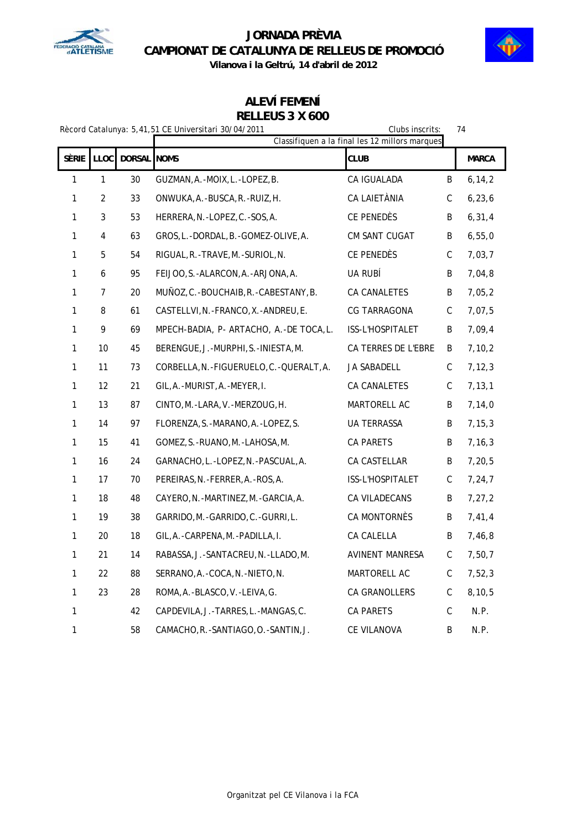



### **ALEVÍ FEMENÍ RELLEUS 3 X 600**

| Rècord Catalunya: 5,41,51 CE Universitari 30/04/2011<br>Clubs inscrits:<br>74<br>Classifiquen a la final les 12 millors marques |                  |                    |                                             |                     |             |              |
|---------------------------------------------------------------------------------------------------------------------------------|------------------|--------------------|---------------------------------------------|---------------------|-------------|--------------|
| SÈRIE                                                                                                                           | LLOC             | <b>DORSAL NOMS</b> |                                             | <b>CLUB</b>         |             | <b>MARCA</b> |
| $\mathbf{1}$                                                                                                                    | 1                | 30                 | GUZMAN, A. - MOIX, L. - LOPEZ, B.           | CA IGUALADA         | B           | 6, 14, 2     |
| $\mathbf{1}$                                                                                                                    | $\overline{2}$   | 33                 | ONWUKA, A. - BUSCA, R. - RUIZ, H.           | CA LAIETÀNIA        | $\mathsf C$ | 6, 23, 6     |
| $\mathbf{1}$                                                                                                                    | 3                | 53                 | HERRERA, N. - LOPEZ, C. - SOS, A.           | CE PENEDÈS          | B           | 6, 31, 4     |
| 1                                                                                                                               | 4                | 63                 | GROS, L.-DORDAL, B.-GOMEZ-OLIVE, A.         | CM SANT CUGAT       | B           | 6,55,0       |
| 1                                                                                                                               | 5                | 54                 | RIGUAL, R. - TRAVE, M. - SURIOL, N.         | CE PENEDÈS          | $\mathsf C$ | 7,03,7       |
| 1                                                                                                                               | $\boldsymbol{6}$ | 95                 | FEIJOO, S. - ALARCON, A. - ARJONA, A.       | UA RUBÍ             | B           | 7,04,8       |
| 1                                                                                                                               | $\overline{7}$   | 20                 | MUÑOZ, C.-BOUCHAIB, R.-CABESTANY, B.        | CA CANALETES        | B           | 7,05,2       |
| 1                                                                                                                               | 8                | 61                 | CASTELLVI, N. - FRANCO, X. - ANDREU, E.     | CG TARRAGONA        | C           | 7,07,5       |
| 1                                                                                                                               | 9                | 69                 | MPECH-BADIA, P- ARTACHO, A.-DE TOCA,L.      | ISS-L'HOSPITALET    | B           | 7,09,4       |
| $\mathbf{1}$                                                                                                                    | 10               | 45                 | BERENGUE, J. - MURPHI, S. - INIESTA, M.     | CA TERRES DE L'EBRE | B           | 7, 10, 2     |
| $\mathbf{1}$                                                                                                                    | 11               | 73                 | CORBELLA, N. - FIGUERUELO, C. - QUERALT, A. | JA SABADELL         | $\mathsf C$ | 7, 12, 3     |
| $\mathbf{1}$                                                                                                                    | 12               | 21                 | GIL, A. - MURIST, A. - MEYER, I.            | CA CANALETES        | C           | 7, 13, 1     |
| 1                                                                                                                               | 13               | 87                 | CINTO, M. - LARA, V. - MERZOUG, H.          | MARTORELL AC        | B           | 7, 14, 0     |
| $\mathbf{1}$                                                                                                                    | 14               | 97                 | FLORENZA, S. - MARANO, A. - LOPEZ, S.       | <b>UA TERRASSA</b>  | B           | 7, 15, 3     |
| $\mathbf{1}$                                                                                                                    | 15               | 41                 | GOMEZ, S. - RUANO, M. - LAHOSA, M.          | CA PARETS           | B           | 7, 16, 3     |
| 1                                                                                                                               | 16               | 24                 | GARNACHO, L. -LOPEZ, N. -PASCUAL, A.        | CA CASTELLAR        | Β           | 7, 20, 5     |
| $\mathbf{1}$                                                                                                                    | 17               | 70                 | PEREIRAS, N. -FERRER, A. -ROS, A.           | ISS-L'HOSPITALET    | С           | 7, 24, 7     |
| 1                                                                                                                               | 18               | 48                 | CAYERO, N. -MARTINEZ, M. -GARCIA, A.        | CA VILADECANS       | B           | 7, 27, 2     |
| 1                                                                                                                               | 19               | 38                 | GARRIDO, M. - GARRIDO, C. - GURRI, L.       | CA MONTORNÈS        | B           | 7,41,4       |
| $\mathbf{1}$                                                                                                                    | 20               | 18                 | GIL, A. - CARPENA, M. - PADILLA, I.         | CA CALELLA          | B           | 7,46,8       |
| 1                                                                                                                               | 21               | 14                 | RABASSA, J. - SANTACREU, N. - LLADO, M.     | AVINENT MANRESA     | C           | 7,50,7       |
| $\mathbf{1}$                                                                                                                    | 22               | 88                 | SERRANO, A. - COCA, N. - NIETO, N.          | MARTORELL AC        | $\mathsf C$ | 7,52,3       |
| $\mathbf{1}$                                                                                                                    | 23               | 28                 | ROMA, A.-BLASCO, V.-LEIVA, G.               | CA GRANOLLERS       | $\mathsf C$ | 8, 10, 5     |
| 1                                                                                                                               |                  | 42                 | CAPDEVILA, J.-TARRES, L.-MANGAS, C.         | CA PARETS           | $\mathsf C$ | N.P.         |
| 1                                                                                                                               |                  | 58                 | CAMACHO, R. - SANTIAGO, O. - SANTIN, J.     | CE VILANOVA         | B           | N.P.         |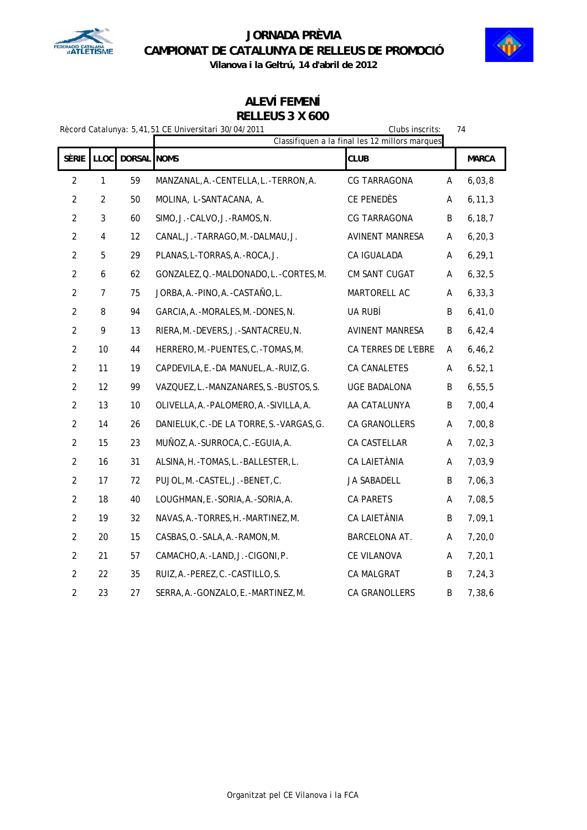



### **ALEVÍ FEMENÍ RELLEUS 3 X 600**

| Rècord Catalunya: 5.41.51 CE Universitari 30/04/2011 |  |  |
|------------------------------------------------------|--|--|

|                | Clubs inscrits:<br>Rècord Catalunya: 5,41,51 CE Universitari 30/04/2011<br>Classifiquen a la final les 12 millors marques |                    |                                           |                        |   | 74           |
|----------------|---------------------------------------------------------------------------------------------------------------------------|--------------------|-------------------------------------------|------------------------|---|--------------|
| SÈRIE          | <b>LLOC</b>                                                                                                               | <b>DORSAL NOMS</b> |                                           | <b>CLUB</b>            |   | <b>MARCA</b> |
| $\overline{2}$ | $\mathbf{1}$                                                                                                              | 59                 | MANZANAL, A. - CENTELLA, L. - TERRON, A.  | CG TARRAGONA           | A | 6,03,8       |
| $\overline{2}$ | $\overline{2}$                                                                                                            | 50                 | MOLINA, L-SANTACANA, A.                   | CE PENEDÈS             | Α | 6, 11, 3     |
| $\overline{2}$ | 3                                                                                                                         | 60                 | SIMO, J.-CALVO, J.-RAMOS, N.              | CG TARRAGONA           | B | 6, 18, 7     |
| $\overline{2}$ | 4                                                                                                                         | 12                 | CANAL, J.-TARRAGO, M.-DALMAU, J.          | <b>AVINENT MANRESA</b> | A | 6, 20, 3     |
| $\overline{2}$ | 5                                                                                                                         | 29                 | PLANAS, L-TORRAS, A.-ROCA, J.             | CA IGUALADA            | Α | 6, 29, 1     |
| $\overline{2}$ | 6                                                                                                                         | 62                 | GONZALEZ, Q. - MALDONADO, L. - CORTES, M. | CM SANT CUGAT          | A | 6, 32, 5     |
| $\overline{2}$ | 7                                                                                                                         | 75                 | JORBA, A. - PINO, A. - CASTAÑO, L.        | MARTORELL AC           | Α | 6, 33, 3     |
| $\overline{2}$ | 8                                                                                                                         | 94                 | GARCIA, A. - MORALES, M. - DONES, N.      | UA RUBÍ                | B | 6,41,0       |
| $\overline{2}$ | 9                                                                                                                         | 13                 | RIERA, M. - DEVERS, J. - SANTACREU, N.    | <b>AVINENT MANRESA</b> | B | 6,42,4       |
| $\overline{2}$ | 10                                                                                                                        | 44                 | HERRERO, M. - PUENTES, C. - TOMAS, M.     | CA TERRES DE L'EBRE    | A | 6, 46, 2     |
| $\overline{2}$ | 11                                                                                                                        | 19                 | CAPDEVILA, E.-DA MANUEL, A.-RUIZ, G.      | CA CANALETES           | Α | 6, 52, 1     |
| $\overline{2}$ | 12                                                                                                                        | 99                 | VAZQUEZ, L.-MANZANARES, S.-BUSTOS, S.     | <b>UGE BADALONA</b>    | B | 6, 55, 5     |
| $\overline{2}$ | 13                                                                                                                        | 10                 | OLIVELLA, A. - PALOMERO, A. - SIVILLA, A. | AA CATALUNYA           | B | 7,00,4       |
| $\overline{2}$ | 14                                                                                                                        | 26                 | DANIELUK, C.-DE LA TORRE, S.-VARGAS, G.   | CA GRANOLLERS          | Α | 7,00,8       |
| $\overline{2}$ | 15                                                                                                                        | 23                 | MUÑOZ, A. - SURROCA, C. - EGUIA, A.       | CA CASTELLAR           | Α | 7,02,3       |
| $\overline{2}$ | 16                                                                                                                        | 31                 | ALSINA, H.-TOMAS, L.-BALLESTER, L.        | CA LAIETÀNIA           | Α | 7,03,9       |
| $\overline{2}$ | 17                                                                                                                        | 72                 | PUJOL, M.-CASTEL, J.-BENET, C.            | JA SABADELL            | B | 7,06,3       |
| $\overline{2}$ | 18                                                                                                                        | 40                 | LOUGHMAN, E.-SORIA, A.-SORIA, A.          | CA PARETS              | A | 7,08,5       |
| $\overline{2}$ | 19                                                                                                                        | 32                 | NAVAS, A. - TORRES, H. - MARTINEZ, M.     | CA LAIETÀNIA           | B | 7,09,1       |
| $\overline{2}$ | 20                                                                                                                        | 15                 | CASBAS, O. - SALA, A. - RAMON, M.         | BARCELONA AT.          | А | 7, 20, 0     |
| $\overline{2}$ | 21                                                                                                                        | 57                 | CAMACHO, A.-LAND, J.-CIGONI, P.           | CE VILANOVA            | A | 7, 20, 1     |
| $\overline{2}$ | 22                                                                                                                        | 35                 | RUIZ, A. - PEREZ, C. - CASTILLO, S.       | CA MALGRAT             | B | 7, 24, 3     |
| $\overline{c}$ | 23                                                                                                                        | 27                 | SERRA, A. - GONZALO, E. - MARTINEZ, M.    | CA GRANOLLERS          | B | 7,38,6       |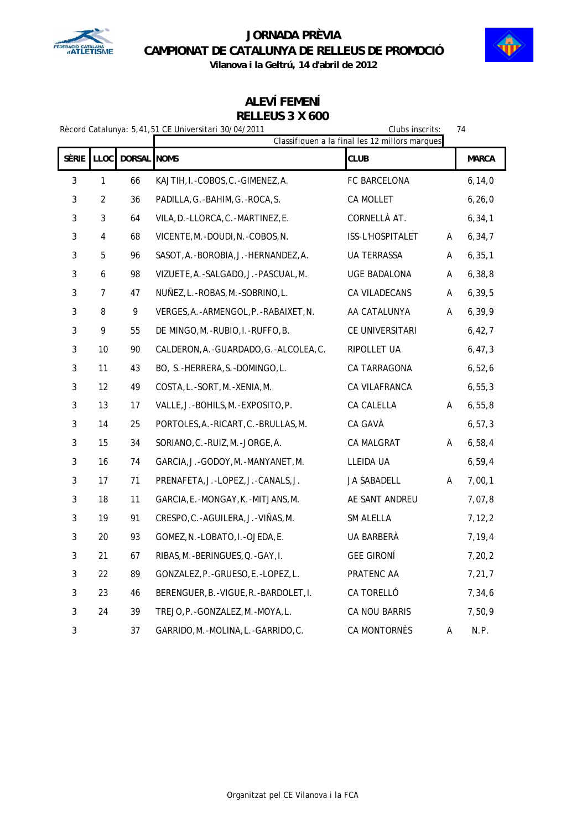



### **ALEVÍ FEMENÍ RELLEUS 3 X 600**

| Rècord Catalunya: 5,41,51 CE Universitari 30/04/2011<br>Clubs inscrits:<br>74<br>Classifiquen a la final les 12 millors marques |                |             |                                           |                   |   |              |
|---------------------------------------------------------------------------------------------------------------------------------|----------------|-------------|-------------------------------------------|-------------------|---|--------------|
| SÈRIE                                                                                                                           | LLOC           | DORSAL NOMS |                                           | <b>CLUB</b>       |   | <b>MARCA</b> |
| $\mathbf{3}$                                                                                                                    | $\mathbf{1}$   | 66          | KAJTIH, I.-COBOS, C.-GIMENEZ, A.          | FC BARCELONA      |   | 6, 14, 0     |
| 3                                                                                                                               | $\overline{2}$ | 36          | PADILLA, G.-BAHIM, G.-ROCA, S.            | CA MOLLET         |   | 6, 26, 0     |
| 3                                                                                                                               | 3              | 64          | VILA, D. -LLORCA, C. -MARTINEZ, E.        | CORNELLÀ AT.      |   | 6, 34, 1     |
| 3                                                                                                                               | $\pmb{4}$      | 68          | VICENTE, M. - DOUDI, N. - COBOS, N.       | ISS-L'HOSPITALET  | A | 6, 34, 7     |
| 3                                                                                                                               | 5              | 96          | SASOT, A. - BOROBIA, J. - HERNANDEZ, A.   | UA TERRASSA       | A | 6, 35, 1     |
| 3                                                                                                                               | 6              | 98          | VIZUETE, A. - SALGADO, J. - PASCUAL, M.   | UGE BADALONA      | А | 6, 38, 8     |
| 3                                                                                                                               | $\overline{7}$ | 47          | NUNEZ, L.-ROBAS, M.-SOBRINO, L.           | CA VILADECANS     | A | 6, 39, 5     |
| 3                                                                                                                               | 8              | 9           | VERGES, A. - ARMENGOL, P. - RABAIXET, N.  | AA CATALUNYA      | Α | 6, 39, 9     |
| 3                                                                                                                               | 9              | 55          | DE MINGO, M. - RUBIO, I. - RUFFO, B.      | CE UNIVERSITARI   |   | 6,42,7       |
| 3                                                                                                                               | 10             | 90          | CALDERON, A. - GUARDADO, G. - ALCOLEA, C. | RIPOLLET UA       |   | 6, 47, 3     |
| 3                                                                                                                               | 11             | 43          | BO, S.-HERRERA, S.-DOMINGO, L.            | CA TARRAGONA      |   | 6,52,6       |
| $\mathbf{3}$                                                                                                                    | 12             | 49          | COSTA, L.-SORT, M.-XENIA, M.              | CA VILAFRANCA     |   | 6, 55, 3     |
| 3                                                                                                                               | 13             | 17          | VALLE, J.-BOHILS, M.-EXPOSITO, P.         | CA CALELLA        | Α | 6, 55, 8     |
| $\mathbf{3}$                                                                                                                    | 14             | 25          | PORTOLES, A. - RICART, C. - BRULLAS, M.   | CA GAVÀ           |   | 6, 57, 3     |
| 3                                                                                                                               | 15             | 34          | SORIANO, C.-RUIZ, M.-JORGE, A.            | CA MALGRAT        | Α | 6,58,4       |
| 3                                                                                                                               | 16             | 74          | GARCIA, J.-GODOY, M.-MANYANET, M.         | LLEIDA UA         |   | 6, 59, 4     |
| 3                                                                                                                               | 17             | 71          | PRENAFETA, J.-LOPEZ, J.-CANALS, J.        | JA SABADELL       | Α | 7,00,1       |
| $\mathbf{3}$                                                                                                                    | 18             | 11          | GARCIA, E.-MONGAY, K.-MITJANS, M.         | AE SANT ANDREU    |   | 7,07,8       |
| 3                                                                                                                               | 19             | 91          | CRESPO, C. - AGUILERA, J. - VIÑAS, M.     | SM ALELLA         |   | 7, 12, 2     |
| 3                                                                                                                               | 20             | 93          | GOMEZ, N. - LOBATO, I. - OJEDA, E.        | UA BARBERÀ        |   | 7,19,4       |
| 3                                                                                                                               | 21             | 67          | RIBAS, M. - BERINGUES, Q. - GAY, I.       | <b>GEE GIRONÍ</b> |   | 7, 20, 2     |
| 3                                                                                                                               | 22             | 89          | GONZALEZ, P. - GRUESO, E. - LOPEZ, L.     | PRATENC AA        |   | 7, 21, 7     |
| 3                                                                                                                               | 23             | 46          | BERENGUER, B. - VIGUE, R. - BARDOLET, I.  | CA TORELLÓ        |   | 7,34,6       |
| $\mathbf{3}$                                                                                                                    | 24             | 39          | TREJO, P. - GONZALEZ, M. - MOYA, L.       | CA NOU BARRIS     |   | 7,50,9       |
| 3                                                                                                                               |                | 37          | GARRIDO, M. - MOLINA, L. - GARRIDO, C.    | CA MONTORNÈS      | Α | N.P.         |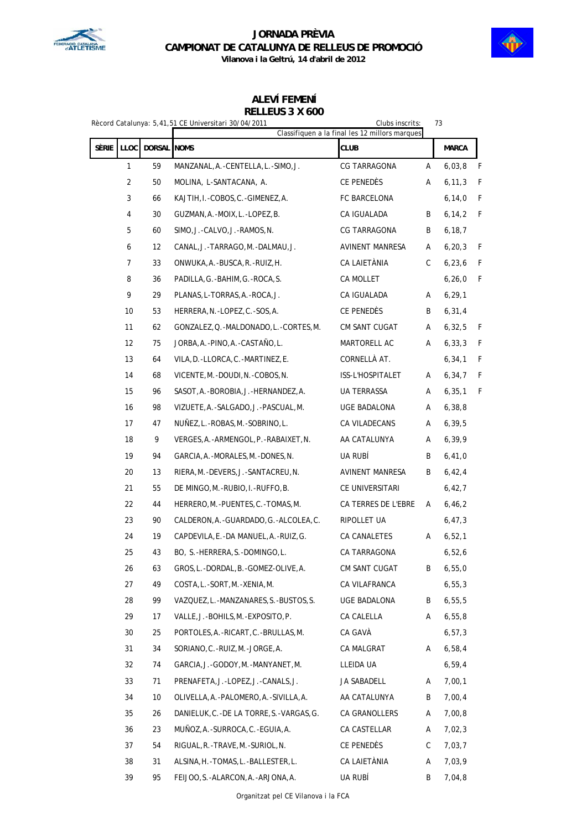



**ALEVÍ FEMENÍ**

### **RELLEUS 3 X 600**

|       |                |             | Rècord Catalunya: 5,41,51 CE Universitari 30/04/2011 | Clubs inscrits:<br>Classifiquen a la final les 12 millors marques |   | 73           |              |
|-------|----------------|-------------|------------------------------------------------------|-------------------------------------------------------------------|---|--------------|--------------|
| Sèrie | LLOC           | DORSAL NOMS |                                                      | <b>CLUB</b>                                                       |   | <b>MARCA</b> |              |
|       | 1              | 59          | MANZANAL, A. - CENTELLA, L. - SIMO, J.               | CG TARRAGONA                                                      | Α | 6,03,8       | $\mathsf{F}$ |
|       | $\overline{2}$ | 50          | MOLINA, L-SANTACANA, A.                              | CE PENEDÈS                                                        | Α | 6, 11, 3     | F            |
|       | 3              | 66          | KAJTIH, I.-COBOS, C.-GIMENEZ, A.                     | FC BARCELONA                                                      |   | 6, 14, 0     | F            |
|       | 4              | 30          | GUZMAN, A. - MOIX, L. - LOPEZ, B.                    | CA IGUALADA                                                       | B | 6, 14, 2     | $\mathsf F$  |
|       | 5              | 60          | SIMO, J.-CALVO, J.-RAMOS, N.                         | CG TARRAGONA                                                      | B | 6, 18, 7     |              |
|       | 6              | 12          | CANAL, J.-TARRAGO, M.-DALMAU, J.                     | AVINENT MANRESA                                                   | Α | 6, 20, 3     | F            |
|       | 7              | 33          | ONWUKA, A. - BUSCA, R. - RUIZ, H.                    | CA LAIETÀNIA                                                      | C | 6, 23, 6     | F            |
|       | 8              | 36          | PADILLA, G.-BAHIM, G.-ROCA, S.                       | CA MOLLET                                                         |   | 6, 26, 0     | F            |
|       | 9              | 29          | PLANAS, L-TORRAS, A. - ROCA, J.                      | CA IGUALADA                                                       | Α | 6, 29, 1     |              |
|       | 10             | 53          | HERRERA, N. - LOPEZ, C. - SOS, A.                    | CE PENEDÈS                                                        | B | 6, 31, 4     |              |
|       | 11             | 62          | GONZALEZ, Q. -MALDONADO, L. -CORTES, M.              | CM SANT CUGAT                                                     | Α | 6, 32, 5     | F            |
|       | 12             | 75          | JORBA, A.-PINO, A.-CASTAÑO, L.                       | MARTORELL AC                                                      | Α | 6, 33, 3     | $\mathsf F$  |
|       | 13             | 64          | VILA, D. - LLORCA, C. - MARTINEZ, E.                 | CORNELLÀ AT.                                                      |   | 6, 34, 1     | F            |
|       | 14             | 68          | VICENTE, M. - DOUDI, N. - COBOS, N.                  | ISS-L'HOSPITALET                                                  | Α | 6, 34, 7     | F            |
|       | 15             | 96          | SASOT, A. - BOROBIA, J. - HERNANDEZ, A.              | UA TERRASSA                                                       | Α | 6, 35, 1     | F            |
|       | 16             | 98          | VIZUETE, A. - SALGADO, J. - PASCUAL, M.              | UGE BADALONA                                                      | Α | 6, 38, 8     |              |
|       | 17             | 47          | NUÑEZ, L.-ROBAS, M.-SOBRINO, L.                      | CA VILADECANS                                                     | Α | 6, 39, 5     |              |
|       | 18             | 9           | VERGES, A. - ARMENGOL, P. - RABAIXET, N.             | AA CATALUNYA                                                      | Α | 6, 39, 9     |              |
|       | 19             | 94          | GARCIA, A. - MORALES, M. - DONES, N.                 | UA RUBÍ                                                           | B | 6,41,0       |              |
|       | 20             | 13          | RIERA, M. - DEVERS, J. - SANTACREU, N.               | AVINENT MANRESA                                                   | B | 6,42,4       |              |
|       | 21             | 55          | DE MINGO, M.-RUBIO, I.-RUFFO, B.                     | CE UNIVERSITARI                                                   |   | 6,42,7       |              |
|       | 22             | 44          | HERRERO, M. - PUENTES, C. - TOMAS, M.                | CA TERRES DE L'EBRE                                               | Α | 6, 46, 2     |              |
|       | 23             | 90          | CALDERON, A. - GUARDADO, G. - ALCOLEA, C.            | RIPOLLET UA                                                       |   | 6, 47, 3     |              |
|       | 24             | 19          | CAPDEVILA, E.-DA MANUEL, A.-RUIZ, G.                 | CA CANALETES                                                      | Α | 6,52,1       |              |
|       | 25             | 43          | BO, S.-HERRERA, S.-DOMINGO, L.                       | CA TARRAGONA                                                      |   | 6,52,6       |              |
|       | 26             | 63          | GROS, L.-DORDAL, B.-GOMEZ-OLIVE, A.                  | CM SANT CUGAT                                                     | B | 6,55,0       |              |
|       | 27             | 49          | COSTA, L. - SORT, M. - XENIA, M.                     | CA VILAFRANCA                                                     |   | 6, 55, 3     |              |
|       | 28             | 99          | VAZQUEZ,L.-MANZANARES,S.-BUSTOS,S.                   | UGE BADALONA                                                      | B | 6,55,5       |              |
|       | 29             | 17          | VALLE, J.-BOHILS, M.-EXPOSITO, P.                    | CA CALELLA                                                        | Α | 6, 55, 8     |              |
|       | 30             | 25          | PORTOLES, A. - RICART, C. - BRULLAS, M.              | CA GAVÀ                                                           |   | 6, 57, 3     |              |
|       | 31             | 34          | SORIANO, C. - RUIZ, M. - JORGE, A.                   | CA MALGRAT                                                        | A | 6,58,4       |              |
|       | 32             | 74          | GARCIA, J.-GODOY, M.-MANYANET, M.                    | LLEIDA UA                                                         |   | 6, 59, 4     |              |
|       | 33             | 71          | PRENAFETA, J.-LOPEZ, J.-CANALS, J.                   | JA SABADELL                                                       | A | 7,00,1       |              |
|       | 34             | 10          | OLIVELLA, A. - PALOMERO, A. - SIVILLA, A.            | AA CATALUNYA                                                      | B | 7,00,4       |              |
|       | 35             | 26          | DANIELUK, C.-DE LA TORRE, S.-VARGAS, G.              | CA GRANOLLERS                                                     | A | 7,00,8       |              |
|       | 36             | 23          | MUNOZ, A.-SURROCA, C.-EGUIA, A.                      | CA CASTELLAR                                                      | A | 7,02,3       |              |
|       | 37             | 54          | RIGUAL, R. - TRAVE, M. - SURIOL, N.                  | CE PENEDÈS                                                        | C | 7,03,7       |              |
|       | 38             | 31          | ALSINA, H. - TOMAS, L. - BALLESTER, L.               | CA LAIETÀNIA                                                      | Α | 7,03,9       |              |
|       | 39             | 95          | FEIJOO, S. - ALARCON, A. - ARJONA, A.                | UA RUBÍ                                                           | B | 7,04,8       |              |

Organitzat pel CE Vilanova i la FCA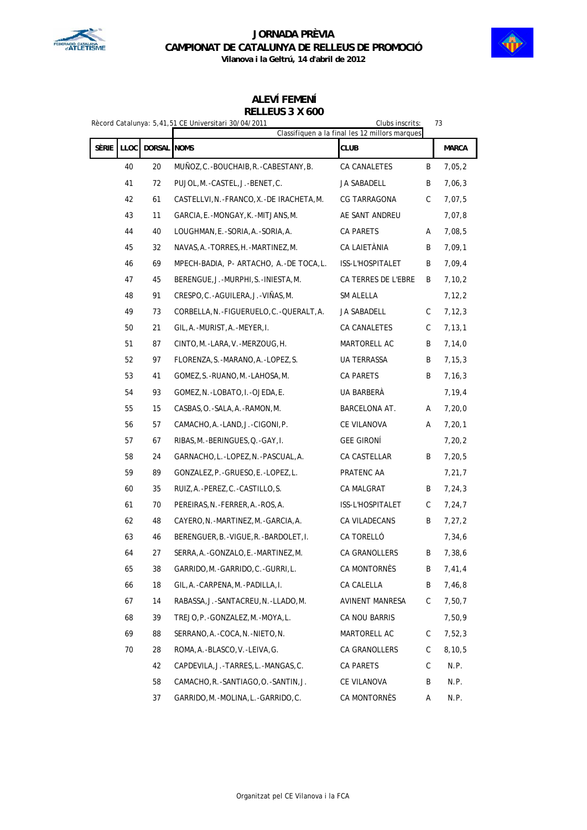

 $\overline{\phantom{a}}$ 

# **JORNADA PRÈVIA CAMPIONAT DE CATALUNYA DE RELLEUS DE PROMOCIÓ**



**Vilanova i la Geltrú, 14 d'abril de 2012**

# **ALEVÍ FEMENÍ**

### **RELLEUS 3 X 600**

|                                     |    |    | Rècord Catalunya: 5,41,51 CE Universitari 30/04/2011 | Clubs inscrits:<br>Classifiquen a la final les 12 millors marques |   | 73           |
|-------------------------------------|----|----|------------------------------------------------------|-------------------------------------------------------------------|---|--------------|
| Sèrie<br><b>LLOC</b><br>DORSAL NOMS |    |    |                                                      | <b>CLUB</b>                                                       |   | <b>MARCA</b> |
|                                     | 40 | 20 | MUÑOZ, C.-BOUCHAIB, R.-CABESTANY, B.                 | CA CANALETES                                                      | B | 7,05,2       |
|                                     | 41 | 72 | PUJOL, M.-CASTEL, J.-BENET, C.                       | JA SABADELL                                                       | B | 7,06,3       |
|                                     | 42 | 61 | CASTELLVI, N. - FRANCO, X. - DE IRACHETA, M.         | CG TARRAGONA                                                      | С | 7,07,5       |
|                                     | 43 | 11 | GARCIA, E.-MONGAY, K.-MITJANS, M.                    | AE SANT ANDREU                                                    |   | 7,07,8       |
|                                     | 44 | 40 | LOUGHMAN, E.-SORIA, A.-SORIA, A.                     | CA PARETS                                                         | Α | 7,08,5       |
|                                     | 45 | 32 | NAVAS, A. - TORRES, H. - MARTINEZ, M.                | CA LAIETÀNIA                                                      | B | 7,09,1       |
|                                     | 46 | 69 | MPECH-BADIA, P- ARTACHO, A.-DE TOCA, L.              | ISS-L'HOSPITALET                                                  | B | 7,09,4       |
|                                     | 47 | 45 | BERENGUE, J. - MURPHI, S. - INIESTA, M.              | CA TERRES DE L'EBRE                                               | B | 7, 10, 2     |
|                                     | 48 | 91 | CRESPO, C.-AGUILERA, J.-VIÑAS, M.                    | SM ALELLA                                                         |   | 7, 12, 2     |
|                                     | 49 | 73 | CORBELLA, N. - FIGUERUELO, C. - QUERALT, A.          | JA SABADELL                                                       | C | 7, 12, 3     |
|                                     | 50 | 21 | GIL, A. - MURIST, A. - MEYER, I.                     | CA CANALETES                                                      | C | 7, 13, 1     |
|                                     | 51 | 87 | CINTO, M.-LARA, V.-MERZOUG, H.                       | MARTORELL AC                                                      | B | 7,14,0       |
|                                     | 52 | 97 | FLORENZA, S.-MARANO, A.-LOPEZ, S.                    | UA TERRASSA                                                       | B | 7, 15, 3     |
|                                     | 53 | 41 | GOMEZ, S. - RUANO, M. - LAHOSA, M.                   | CA PARETS                                                         | B | 7,16,3       |
|                                     | 54 | 93 | GOMEZ, N. -LOBATO, I. -OJEDA, E.                     | UA BARBERÀ                                                        |   | 7,19,4       |
|                                     | 55 | 15 | CASBAS, O. - SALA, A. - RAMON, M.                    | BARCELONA AT.                                                     | Α | 7, 20, 0     |
|                                     | 56 | 57 | CAMACHO, A.-LAND, J.-CIGONI, P.                      | CE VILANOVA                                                       | Α | 7, 20, 1     |
|                                     | 57 | 67 | RIBAS, M. - BERINGUES, Q. - GAY, I.                  | <b>GEE GIRONÍ</b>                                                 |   | 7,20,2       |
|                                     | 58 | 24 | GARNACHO, L.-LOPEZ, N.-PASCUAL, A.                   | CA CASTELLAR                                                      | B | 7, 20, 5     |
|                                     | 59 | 89 | GONZALEZ, P. - GRUESO, E. - LOPEZ, L.                | PRATENC AA                                                        |   | 7, 21, 7     |
|                                     | 60 | 35 | RUIZ, A. - PEREZ, C. - CASTILLO, S.                  | CA MALGRAT                                                        | B | 7,24,3       |
|                                     | 61 | 70 | PEREIRAS, N. - FERRER, A. - ROS, A.                  | ISS-L'HOSPITALET                                                  | C | 7,24,7       |
|                                     | 62 | 48 | CAYERO, N. - MARTINEZ, M. - GARCIA, A.               | CA VILADECANS                                                     | B | 7,27,2       |
|                                     | 63 | 46 | BERENGUER, B. - VIGUE, R. - BARDOLET, I.             | CA TORELLÓ                                                        |   | 7,34,6       |
|                                     | 64 | 27 | SERRA, A. - GONZALO, E. - MARTINEZ, M.               | CA GRANOLLERS                                                     | B | 7,38,6       |
|                                     | 65 | 38 | GARRIDO, M. - GARRIDO, C. - GURRI, L.                | CA MONTORNES                                                      | B | 7,41,4       |
|                                     | 66 | 18 | GIL, A. - CARPENA, M. - PADILLA, I.                  | CA CALELLA                                                        | B | 7,46,8       |
|                                     | 67 | 14 | RABASSA, J.-SANTACREU, N.-LLADO, M.                  | <b>AVINENT MANRESA</b>                                            | С | 7,50,7       |
|                                     | 68 | 39 | TREJO.P.-GONZALEZ.M.-MOYA.L.                         | CA NOU BARRIS                                                     |   | 7,50,9       |
|                                     | 69 | 88 | SERRANO, A. -COCA, N. -NIETO, N.                     | MARTORELL AC                                                      | C | 7,52,3       |
|                                     | 70 | 28 | ROMA, A. - BLASCO, V. - LEIVA, G.                    | CA GRANOLLERS                                                     | C | 8,10,5       |
|                                     |    | 42 | CAPDEVILA, J.-TARRES, L.-MANGAS, C.                  | CA PARETS                                                         | C | N.P.         |
|                                     |    | 58 | CAMACHO, R. - SANTIAGO, O. - SANTIN, J.              | CE VILANOVA                                                       | B | N.P.         |
|                                     |    | 37 | GARRIDO, M. - MOLINA, L. - GARRIDO, C.               | CA MONTORNÈS                                                      | Α | N.P.         |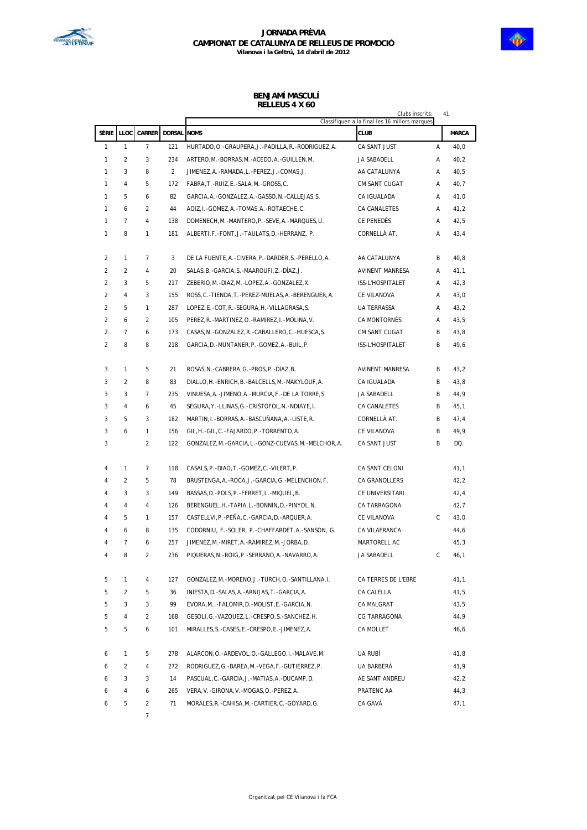

### **BENJAMÍ MASCULÍ RELLEUS 4 X 60**

|                |                |                |                    |                                                           | Clubs inscrits:                                               |   | 41           |
|----------------|----------------|----------------|--------------------|-----------------------------------------------------------|---------------------------------------------------------------|---|--------------|
| Sèrie          | LLOC           | <b>CARRER</b>  | <b>DORSAL NOMS</b> |                                                           | Classifiquen a la final les 16 millors marques<br><b>CLUB</b> |   | <b>MARCA</b> |
| 1              | $\mathbf{1}$   | 7              | 121                | HURTADO, O. - GRAUPERA, J. - PADILLA, R. - RODRIGUEZ, A.  | CA SANT JUST                                                  | Α | 40,0         |
| 1              | 2              | 3              | 234                | ARTERO, M. - BORRAS, M. - ACEDO, A. - GUILLEN, M.         | JA SABADELL                                                   | Α | 40,2         |
| 1              | 3              | 8              | $\overline{2}$     | JIMENEZ, A.-RAMADA, L.-PEREZ, J.-COMAS, J.                | AA CATALUNYA                                                  | A | 40,5         |
| 1              | $\overline{4}$ | 5              | 172                | FABRA, T.-RUIZ, E.-SALA, M.-GROSS, C.                     | CM SANT CUGAT                                                 | Α | 40,7         |
| 1              | 5              | 6              | 82                 | GARCIA, A. - GONZALEZ, A. - GASSO, N. - CALLEJAS, S.      | CA IGUALADA                                                   | Α | 41,0         |
| 1              | 6              | 2              | 44                 | AOIZ, I.-GOMEZ, A.-TOMAS, A.-ROTAECHE, C.                 | CA CANALETES                                                  | Α | 41,2         |
| 1              | $\overline{7}$ | $\overline{4}$ | 138                | DOMENECH, M. -MANTERO, P. - SEVE, A. -MARQUES, U.         | CE PENEDÈS                                                    | Α | 42,5         |
| 1              | 8              | 1              | 181                | ALBERTI, F.-FONT, J.-TAULATS, D.-HERRANZ, P.              | CORNELLÀ AT.                                                  | Α | 43,4         |
| $\overline{2}$ | 1              | $\overline{7}$ | 3                  | DE LA FUENTE, A. - CIVERA, P. - DARDER, S. - PERELLO, A.  | AA CATALUNYA                                                  | B | 40,8         |
| $\overline{2}$ | $\overline{2}$ | $\overline{4}$ | 20                 | SALAS, B. - GARCIA, S. - MAAROUFI, Z. - DIAZ, J.          | AVINENT MANRESA                                               | Α | 41,1         |
| 2              | 3              | 5              | 217                | ZEBERIO, M. - DIAZ, M. - LOPEZ, A. - GONZALEZ, X.         | ISS-L'HOSPITALET                                              | Α | 42,3         |
| 2              | $\overline{4}$ | 3              | 155                | ROSS, C. - TIENDA, T. - PEREZ-MUELAS, A. - BERENGUER, A.  | CE VILANOVA                                                   | Α | 43,0         |
| 2              | 5              | $\mathbf{1}$   | 287                | LOPEZ, E.-COT, R.-SEGURA, H.-VILLAGRASA, S.               | UA TERRASSA                                                   | A | 43,2         |
| 2              | 6              | 2              | 105                | PEREZ, R. - MARTINEZ, O. - RAMIREZ, I. - MOLINA, V.       | CA MONTORNÈS                                                  | Α | 43,5         |
| $\overline{2}$ | $\overline{7}$ | 6              | 173                | CASAS, N. - GONZALEZ, R. - CABALLERO, C. - HUESCA, S.     | CM SANT CUGAT                                                 | В | 43,8         |
| $\overline{2}$ | 8              | 8              | 218                | GARCIA, D. - MUNTANER, P. - GOMEZ, A. - BUIL, P.          | ISS-L'HOSPITALET                                              | B | 49,6         |
| 3              | 1              | 5              | 21                 | ROSAS, N. -CABRERA, G. -PROS, P. -DIAZ, B.                | <b>AVINENT MANRESA</b>                                        | В | 43,2         |
| 3              | $\overline{2}$ | 8              | 83                 | DIALLO, H. - ENRICH, B. - BALCELLS, M. - MAKYLOUF, A.     | CA IGUALADA                                                   | B | 43,8         |
| 3              | 3              | $\overline{7}$ | 235                | VINUESA, A. - JIMENO, A. - MURCIA, F. - DE LA TORRE, S.   | JA SABADELL                                                   | В | 44,9         |
| 3              | $\overline{4}$ | 6              | 45                 | SEGURA, Y. -LLINAS, G. -CRISTOFOL, N. -NDIAYE, I.         | CA CANALETES                                                  | B | 45,1         |
| 3              | 5              | 3              | 182                | MARTIN, I.-BORRAS, A.-BASCUÑANA, A.-LISTE, R.             | CORNELLÀ AT.                                                  | B | 47,4         |
| 3              | 6              | 1              | 156                | GIL, H.-GIL, C.-FAJARDO, P.-TORRENTO, A.                  | CE VILANOVA                                                   | B | 49,9         |
| 3              |                | $\overline{2}$ | 122                | GONZALEZ, M. - GARCIA, L. - GONZ-CUEVAS, M. - MELCHOR, A. | CA SANT JUST                                                  | B | DQ.          |
| 4              | $\mathbf{1}$   | 7              | 118                | CASALS, P. - DIAO, T. - GOMEZ, C. - VILERT, P.            | CA SANT CELONI                                                |   | 41,1         |
| 4              | $\overline{2}$ | 5              | 78                 | BRUSTENGA, A. - ROCA, J. - GARCIA, G. - MELENCHON, F.     | CA GRANOLLERS                                                 |   | 42,2         |
| 4              | 3              | 3              | 149                | BASSAS, D. - POLS, P. - FERRET, L. - MIQUEL, B.           | CE UNIVERSITARI                                               |   | 42,4         |
| 4              | 4              | 4              | 126                | BERENGUEL, H. - TAPIA, L. - BONNIN, D. - PINYOL, N.       | CA TARRAGONA                                                  |   | 42,7         |
| 4              | 5              | $\mathbf{1}$   | 157                | CASTELLVI, P. - PEÑA, C. - GARCIA, D. - ARQUER, A.        | CE VILANOVA                                                   | C | 43,0         |
| 4              | 6              | 8              | 135                | CODORNIU, F.-SOLER, P.-CHAFFARDET, A.-SANSON, G.          | CA VILAFRANCA                                                 |   | 44,6         |
| 4              | $\overline{7}$ | 6              | 257                | JIMENEZ, M.-MIRET, A.-RAMIREZ, M.-JORBA, D.               | MARTORELL AC                                                  |   | 45,3         |
| 4              | 8              | 2              | 236                | PIQUERAS, N. - ROIG, P. - SERRANO, A. - NAVARRO, A.       | JA SABADELL                                                   | С | 46,1         |
| 5              | 1              | 4              | 127                | GONZALEZ, M. -MORENO, J. - TURCH, O. - SANTILLANA, I.     | CA TERRES DE L'EBRE                                           |   | 41,1         |
| 5              | $\overline{2}$ | 5              | 36                 | INIESTA, D. - SALAS, A. - ARNIJAS, T. - GARCIA, A.        | CA CALELLA                                                    |   | 41,5         |
| 5              | 3              | 3              | 99                 | EVORA, M., -FALOMIR, D. - MOLIST, E. - GARCIA, N.         | CA MALGRAT                                                    |   | 43,5         |
| 5              | 4              | $\overline{2}$ | 168                | GESOLI, G. - VAZQUEZ, L. - CRESPO, S. - SANCHEZ, H.       | CG TARRAGONA                                                  |   | 44,9         |
| 5              | 5              | 6              | 101                | MIRALLES, S.-CASES, E.-CRESPO, E.-JIMENEZ, A.             | CA MOLLET                                                     |   | 46, 6        |
| 6              | 1              | 5              | 278                | ALARCON, O. - ARDEVOL, O. - GALLEGO, I. - MALAVE, M.      | UA RUBÍ                                                       |   | 41,8         |
| 6              | 2              | 4              | 272                | RODRIGUEZ, G.-BAREA, M.-VEGA, F.-GUTIERREZ, P.            | UA BARBERÀ                                                    |   | 41,9         |
| 6              | 3              | 3              | 14                 | PASCUAL, C.-GARCIA, J.-MATIAS, A.-DUCAMP, D.              | AE SANT ANDREU                                                |   | 42,2         |
| 6              | 4              | 6              | 265                | VERA, V.-GIRONA, V.-MOGAS, O.-PEREZ, A.                   | PRATENC AA                                                    |   | 44,3         |
| 6              | 5              | $\overline{a}$ | 71                 | MORALES, R. -CAHISA, M. -CARTIER, C. -GOYARD, G.          | CA GAVÀ                                                       |   | 47,1         |
|                |                | 7              |                    |                                                           |                                                               |   |              |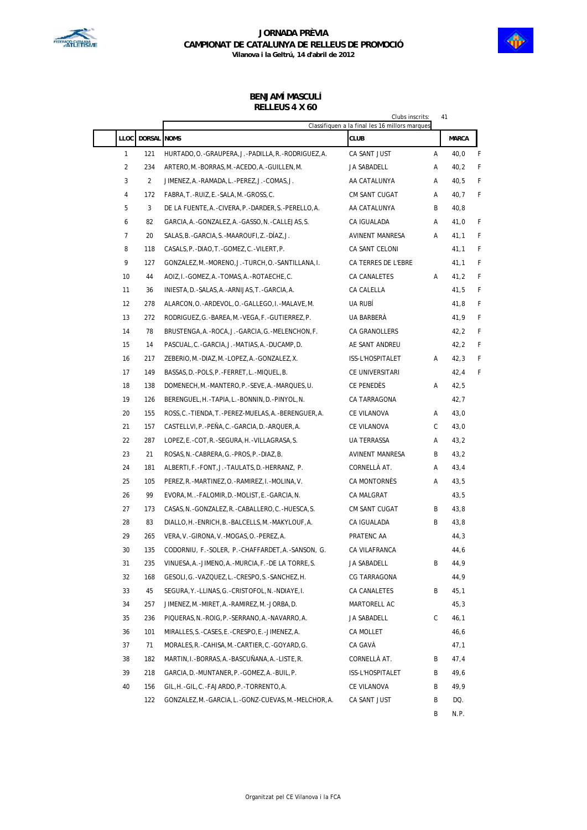



#### **BENJAMÍ MASCULÍ RELLEUS 4 X 60**

|                |                    | 41<br>Clubs inscrits:<br>Classifiquen a la final les 16 millors marques |                     |   |              |   |  |  |
|----------------|--------------------|-------------------------------------------------------------------------|---------------------|---|--------------|---|--|--|
| <b>LLOC</b>    | <b>DORSAL NOMS</b> |                                                                         | <b>CLUB</b>         |   | <b>MARCA</b> |   |  |  |
| $\mathbf{1}$   | 121                | HURTADO, O. - GRAUPERA, J. - PADILLA, R. - RODRIGUEZ, A.                | CA SANT JUST        | Α | 40,0         | F |  |  |
| 2              | 234                | ARTERO, M. - BORRAS, M. - ACEDO, A. - GUILLEN, M.                       | JA SABADELL         | Α | 40,2         | F |  |  |
| 3              | $\overline{2}$     | JIMENEZ, A.-RAMADA, L.-PEREZ, J.-COMAS, J.                              | AA CATALUNYA        | Α | 40,5         | F |  |  |
| 4              | 172                | FABRA, T. - RUIZ, E. - SALA, M. - GROSS, C.                             | CM SANT CUGAT       | Α | 40,7         | F |  |  |
| 5              | 3                  | DE LA FUENTE, A. - CIVERA, P. - DARDER, S. - PERELLO, A.                | AA CATALUNYA        | В | 40, 8        |   |  |  |
| 6              | 82                 | GARCIA, A. - GONZALEZ, A. - GASSO, N. - CALLEJAS, S.                    | CA IGUALADA         | A | 41,0         | F |  |  |
| $\overline{7}$ | 20                 | SALAS, B. - GARCIA, S. - MAAROUFI, Z. - DIAZ, J.                        | AVINENT MANRESA     | Α | 41,1         | F |  |  |
| 8              | 118                | CASALS, P. - DIAO, T. - GOMEZ, C. - VILERT, P.                          | CA SANT CELONI      |   | 41,1         | F |  |  |
| 9              | 127                | GONZALEZ, M. -MORENO, J. - TURCH, O. - SANTILLANA, I.                   | CA TERRES DE L'EBRE |   | 41,1         | F |  |  |
| 10             | 44                 | AOIZ, I. - GOMEZ, A. - TOMAS, A. - ROTAECHE, C.                         | CA CANALETES        | A | 41,2         | F |  |  |
| 11             | 36                 | INIESTA, D. - SALAS, A. - ARNIJAS, T. - GARCIA, A.                      | CA CALELLA          |   | 41,5         | F |  |  |
| 12             | 278                | ALARCON, O. - ARDEVOL, O. - GALLEGO, I. - MALAVE, M.                    | UA RUBÍ             |   | 41,8         | F |  |  |
| 13             | 272                | RODRIGUEZ, G.-BAREA, M.-VEGA, F.-GUTIERREZ, P.                          | UA BARBERÀ          |   | 41,9         | F |  |  |
| 14             | 78                 | BRUSTENGA, A. - ROCA, J. - GARCIA, G. - MELENCHON, F.                   | CA GRANOLLERS       |   | 42,2         | F |  |  |
| 15             | 14                 | PASCUAL, C. - GARCIA, J. - MATIAS, A. - DUCAMP, D.                      | AE SANT ANDREU      |   | 42,2         | F |  |  |
| 16             | 217                | ZEBERIO, M. - DIAZ, M. - LOPEZ, A. - GONZALEZ, X.                       | ISS-L'HOSPITALET    | Α | 42,3         | F |  |  |
| 17             | 149                | BASSAS, D. - POLS, P. - FERRET, L. - MIQUEL, B.                         | CE UNIVERSITARI     |   | 42,4         | F |  |  |
| 18             | 138                | DOMENECH, M. -MANTERO, P. - SEVE, A. -MARQUES, U.                       | CE PENEDÈS          | Α | 42,5         |   |  |  |
| 19             | 126                | BERENGUEL, H. - TAPIA, L. - BONNIN, D. - PINYOL, N.                     | CA TARRAGONA        |   | 42,7         |   |  |  |
| 20             | 155                | ROSS, C. - TIENDA, T. - PEREZ-MUELAS, A. - BERENGUER, A.                | CE VILANOVA         | Α | 43,0         |   |  |  |
| 21             | 157                | CASTELLVI, P. - PEÑA, C. - GARCIA, D. - ARQUER, A.                      | CE VILANOVA         | C | 43,0         |   |  |  |
| 22             | 287                | LOPEZ, E.-COT, R.-SEGURA, H.-VILLAGRASA, S.                             | UA TERRASSA         | A | 43,2         |   |  |  |
| 23             | 21                 | ROSAS, N. -CABRERA, G. -PROS, P. -DIAZ, B.                              | AVINENT MANRESA     | В | 43,2         |   |  |  |
| 24             | 181                | ALBERTI, F.-FONT, J.-TAULATS, D.-HERRANZ, P.                            | CORNELLÀ AT.        | A | 43,4         |   |  |  |
| 25             | 105                | PEREZ, R. -MARTINEZ, O. -RAMIREZ, I. -MOLINA, V.                        | CA MONTORNÈS        | Α | 43,5         |   |  |  |
| 26             | 99                 | EVORA, M. . - FALOMIR, D. - MOLIST, E. - GARCIA, N.                     | <b>CA MALGRAT</b>   |   | 43,5         |   |  |  |
| 27             | 173                | CASAS, N. - GONZALEZ, R. - CABALLERO, C. - HUESCA, S.                   | CM SANT CUGAT       | В | 43,8         |   |  |  |
| 28             | 83                 | DIALLO, H. - ENRICH, B. - BALCELLS, M. - MAKYLOUF, A.                   | CA IGUALADA         | B | 43,8         |   |  |  |
| 29             | 265                | VERA, V.-GIRONA, V.-MOGAS, O.-PEREZ, A.                                 | PRATENC AA          |   | 44,3         |   |  |  |
| 30             | 135                | CODORNIU, F.-SOLER, P.-CHAFFARDET, A.-SANSON, G.                        | CA VILAFRANCA       |   | 44,6         |   |  |  |
| 31             | 235                | VINUESA, A. - JIMENO, A. - MURCIA, F. - DE LA TORRE, S.                 | JA SABADELL         | B | 44,9         |   |  |  |
| 32             | 168                | GESOLI, G. - VAZQUEZ, L. - CRESPO, S. - SANCHEZ, H.                     | CG TARRAGONA        |   | 44,9         |   |  |  |
| 33             | 45                 | SEGURA, Y.-LLINAS, G.-CRISTOFOL, N.-NDIAYE, I.                          | CA CANALETES        | B | 45,1         |   |  |  |
| 34             | 257                | JIMENEZ, M.-MIRET, A.-RAMIREZ, M.-JORBA, D.                             | MARTORELL AC        |   | 45,3         |   |  |  |
| 35             | 236                | PIQUERAS, N. - ROIG, P. - SERRANO, A. - NAVARRO, A.                     | JA SABADELL         | C | 46,1         |   |  |  |
| 36             | 101                | MIRALLES.S.-CASES.E.-CRESPO.E.-JIMENEZ.A.                               | CA MOLLET           |   | 46,6         |   |  |  |
| 37             | 71                 | MORALES, R. - CAHISA, M. - CARTIER, C. - GOYARD, G.                     | CA GAVÀ             |   | 47,1         |   |  |  |
| 38             | 182                | MARTIN, I.-BORRAS, A.-BASCUÑANA, A.-LISTE, R.                           | CORNELLÀ AT.        | В | 47,4         |   |  |  |
| 39             | 218                | GARCIA, D. -MUNTANER, P. - GOMEZ, A. -BUIL, P.                          | ISS-L'HOSPITALET    | В | 49,6         |   |  |  |
| 40             | 156                | GIL, H. - GIL, C. - FAJARDO, P. - TORRENTO, A.                          | CE VILANOVA         | B | 49,9         |   |  |  |
|                | 122                | GONZALEZ, M. - GARCIA, L. - GONZ-CUEVAS, M. - MELCHOR, A.               | CA SANT JUST        | В | DQ.          |   |  |  |
|                |                    |                                                                         |                     | B | N.P.         |   |  |  |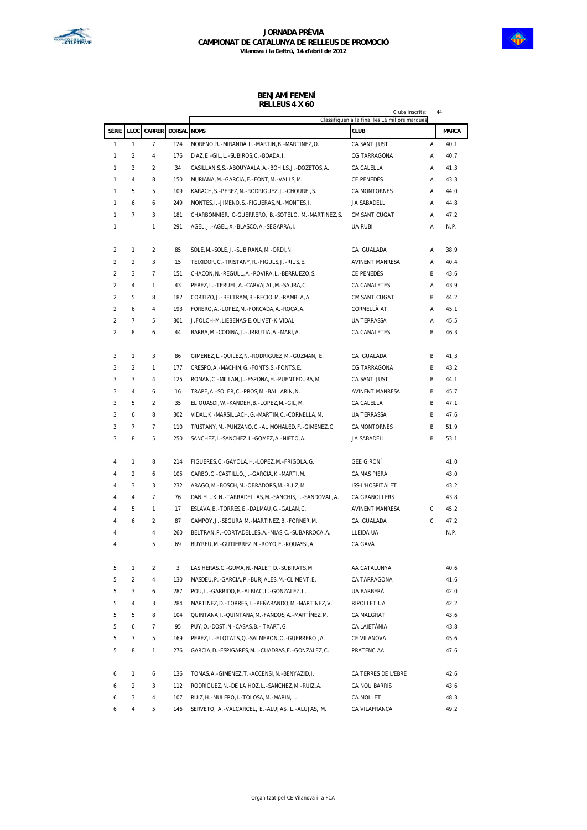



#### **BENJAMÍ FEMENÍ RELLEUS 4 X 60**

|                |                |                |                    |                                                             | Clubs inscrits:                                               | 44 |              |
|----------------|----------------|----------------|--------------------|-------------------------------------------------------------|---------------------------------------------------------------|----|--------------|
|                | SÈRIE LLOC     |                | CARRER DORSAL NOMS |                                                             | Classifiquen a la final les 16 millors marques<br><b>CLUB</b> |    | <b>MARCA</b> |
| 1              | $\mathbf{1}$   | $\overline{7}$ | 124                | MORENO, R.-MIRANDA, L.-MARTIN, B.-MARTINEZ, O.              | CA SANT JUST                                                  | Α  | 40,1         |
| 1              | $\overline{2}$ | 4              | 176                | DIAZ, E.-GIL, L.-SUBIROS, C.-BOADA, I.                      | <b>CG TARRAGONA</b>                                           | Α  | 40,7         |
| 1              | 3              | 2              | 34                 | CASILLANIS, S. - ABOUYAALA, A. - BOHILS, J. - DOZETOS, A.   | CA CALELLA                                                    | Α  | 41,3         |
| 1              | 4              | 8              | 150                | MURIANA, M.-GARCIA, E.-FONT, M.-VALLS, M.                   | CE PENEDÈS                                                    | Α  | 43,3         |
| 1              | 5              | 5              | 109                | KARACH, S. -PEREZ, N. -RODRIGUEZ, J. - CHOURFI, S.          | CA MONTORNÈS                                                  | Α  | 44,0         |
| 1              | 6              | 6              | 249                | MONTES, I. - JIMENO, S. - FIGUERAS, M. - MONTES, I.         | JA SABADELL                                                   | Α  | 44,8         |
| 1              | $\overline{7}$ | 3              | 181                | CHARBONNIER, C-GUERRERO, B.-SOTELO, M.-MARTINEZ, S.         | CM SANT CUGAT                                                 | А  | 47,2         |
| 1              |                | 1              | 291                | AGEL, J. - AGEL, X. - BLASCO, A. - SEGARRA, I.              | UA RUBÍ                                                       | А  | N.P.         |
| 2              | 1              | $\overline{2}$ | 85                 | SOLE, M. - SOLE, J. - SUBIRANA, M. - ORDI, N.               | CA IGUALADA                                                   | Α  | 38,9         |
| $\overline{2}$ | 2              | 3              | 15                 | TEIXIDOR, C. - TRISTANY, R. - FIGULS, J. - RIUS, E.         | AVINENT MANRESA                                               | Α  | 40,4         |
| $\overline{2}$ | 3              | 7              | 151                | CHACON, N. - REGULL, A. - ROVIRA, L. - BERRUEZO, S.         | CE PENEDÈS                                                    | В  | 43,6         |
| $\overline{2}$ | 4              | 1              | 43                 | PEREZ, L.-TERUEL, A.-CARVAJAL, M.-SAURA, C.                 | CA CANALETES                                                  | Α  | 43,9         |
| $\overline{2}$ | 5              | 8              | 182                | CORTIZO, J. - BELTRAM, B. - RECIO, M. - RAMBLA, A.          | CM SANT CUGAT                                                 | В  | 44,2         |
| $\overline{2}$ | 6              | 4              | 193                | FORERO, A.-LOPEZ, M.-FORCADA, A.-ROCA, A.                   | CORNELLÀ AT.                                                  | Α  | 45,1         |
| $\overline{c}$ | 7              | 5              | 301                | J. FOLCH-M. LIEBENAS-E. OLIVET-K. VIDAL                     | <b>UA TERRASSA</b>                                            | Α  | 45,5         |
| $\overline{c}$ | 8              | 6              | 44                 | BARBA, M. - CODINA, J. - URRUTIA, A. - MARÍ, A.             | CA CANALETES                                                  | В  | 46,3         |
| 3              | 1              | 3              | 86                 | GIMENEZ, L.-QUILEZ, N.-RODRIGUEZ, M.-GUZMAN, E.             | CA IGUALADA                                                   | В  | 41,3         |
| 3              | $\overline{2}$ | 1              | 177                | CRESPO, A. - MACHIN, G. - FONTS, S. - FONTS, E.             | CG TARRAGONA                                                  | В  | 43,2         |
| 3              | 3              | 4              | 125                | ROMAN, C. - MILLAN, J. - ESPONA, H. - PUENTEDURA, M.        | CA SANT JUST                                                  | В  | 44,1         |
| 3              | 4              | 6              | 16                 | TRAPE, A. - SOLER, C. - PROS, M. - BALLARIN, N.             | AVINENT MANRESA                                               | В  | 45,7         |
| 3              | 5              | 2              | 35                 | EL OUASDI, W. - KANDEH, B. - LOPEZ, M. - GIL, M.            | CA CALELLA                                                    | В  | 47,1         |
| 3              | 6              | 8              | 302                | VIDAL, K.-MARSILLACH, G.-MARTIN, C.-CORNELLA, M.            | <b>UA TERRASSA</b>                                            | В  | 47,6         |
| 3              | 7              | $\overline{7}$ | 110                | TRISTANY, M. - PUNZANO, C. - AL MOHALED, F. - GIMENEZ, C.   | CA MONTORNÈS                                                  | В  | 51,9         |
| 3              | 8              | 5              | 250                | SANCHEZ, I.-SANCHEZ, I.-GOMEZ, A.-NIETO, A.                 | JA SABADELL                                                   | В  | 53,1         |
| 4              | 1              | 8              | 214                | FIGUERES, C. - GAYOLA, H. - LOPEZ, M. - FRIGOLA, G.         | <b>GEE GIRONÍ</b>                                             |    | 41,0         |
| 4              | $\overline{2}$ | 6              | 105                | CARBO, C.-CASTILLO, J.-GARCIA, K.-MARTI, M.                 | CA MAS PIERA                                                  |    | 43,0         |
| 4              | 3              | 3              | 232                | ARAGO, M.-BOSCH, M.-OBRADORS, M.-RUIZ, M.                   | ISS-L'HOSPITALET                                              |    | 43,2         |
| 4              | 4              | $\overline{7}$ | 76                 | DANIELUK, N. - TARRADELLAS, M. - SANCHIS, J. - SANDOVAL, A. | CA GRANOLLERS                                                 |    | 43,8         |
| 4              | 5              | 1              | 17                 | ESLAVA, B.-TORRES, E.-DALMAU, G.-GALAN, C.                  | AVINENT MANRESA                                               | С  | 45,2         |
| 4              | 6              | $\overline{2}$ | 87                 | CAMPOY, J.-SEGURA, M.-MARTINEZ, B.-FORNER, M.               | CA IGUALADA                                                   | С  | 47,2         |
| 4              |                | 4              | 260                | BELTRAN, P.-CORTADELLES, A.-MIAS, C.-SUBARROCA, A.          | LLEIDA UA                                                     |    | N.P.         |
| 4              |                | 5              | 69                 | BUYREU, M. - GUTIERREZ, N. - ROYO, E. - KOUASSI, A.         | CA GAVÀ                                                       |    |              |
| 5              | $\mathbf{1}$   | $\overline{2}$ | 3                  | LAS HERAS, C.-GUMA, N.-MALET, D.-SUBIRATS, M.               | AA CATALUNYA                                                  |    | 40,6         |
| 5              | $\overline{2}$ | 4              | 130                | MASDEU, P.-GARCIA, P.-BURJALES, M.-CLIMENT, E.              | CA TARRAGONA                                                  |    | 41,6         |
| 5              | 3              | 6              | 287                | POU, L.-GARRIDO, E.-ALBIAC, L.-GONZALEZ, L.                 | UA BARBERÀ                                                    |    | 42,0         |
| 5              | 4              | 3              | 284                | MARTINEZ, D. -TORRES, L. -PEÑARANDO, M. -MARTINEZ, V.       | RIPOLLET UA                                                   |    | 42, 2        |
| 5              | 5              | 8              | 104                | QUINTANA, I. - QUINTANA, M. - FANDOS, A. - MARTÍNEZ, M.     | CA MALGRAT                                                    |    | 43,6         |
| 5              | 6              | $\overline{7}$ | 95                 | PUY, O. -DOST, N. -CASAS, B. -ITXART, G.                    | CA LAIETÀNIA                                                  |    | 43,8         |
| 5              | $\overline{7}$ | 5              | 169                | PEREZ, L.-FLOTATS, Q.-SALMERON, O.-GUERRERO, A.             | CE VILANOVA                                                   |    | 45, 6        |
| 5              | 8              | 1              | 276                | GARCIA, D. - ESPIGARES, M. . - CUADRAS, E. - GONZALEZ, C.   | PRATENC AA                                                    |    | 47,6         |
| 6              | $\mathbf{1}$   | 6              | 136                | TOMAS, A. - GIMENEZ, T. - ACCENSI, N. - BENYAZID, I.        | CA TERRES DE L'EBRE                                           |    | 42,6         |
| 6              | $\overline{2}$ | 3              | 112                | RODRIGUEZ, N. - DE LA HOZ, L. - SANCHEZ, M. - RUIZ, A.      | CA NOU BARRIS                                                 |    | 43,6         |
| 6              | 3              | 4              | 107                | RUIZ, H.-MULERO, I.-TOLOSA, M.-MARIN, L.                    | CA MOLLET                                                     |    | 48,3         |
| 6              | $\overline{4}$ | 5              | 146                | SERVETO, A.-VALCARCEL, E.-ALUJAS, L.-ALUJAS, M.             | CA VILAFRANCA                                                 |    | 49,2         |